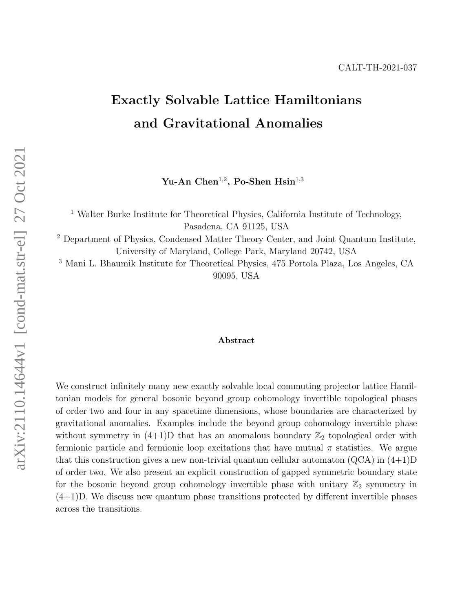# <span id="page-0-0"></span>Exactly Solvable Lattice Hamiltonians and Gravitational Anomalies

Yu-An Chen<sup>1,2</sup>, Po-Shen Hsin<sup>1,3</sup>

<sup>1</sup> Walter Burke Institute for Theoretical Physics, California Institute of Technology, Pasadena, CA 91125, USA

<sup>2</sup> Department of Physics, Condensed Matter Theory Center, and Joint Quantum Institute, University of Maryland, College Park, Maryland 20742, USA

<sup>3</sup> Mani L. Bhaumik Institute for Theoretical Physics, 475 Portola Plaza, Los Angeles, CA 90095, USA

#### Abstract

We construct infinitely many new exactly solvable local commuting projector lattice Hamiltonian models for general bosonic beyond group cohomology invertible topological phases of order two and four in any spacetime dimensions, whose boundaries are characterized by gravitational anomalies. Examples include the beyond group cohomology invertible phase without symmetry in  $(4+1)D$  that has an anomalous boundary  $\mathbb{Z}_2$  topological order with fermionic particle and fermionic loop excitations that have mutual  $\pi$  statistics. We argue that this construction gives a new non-trivial quantum cellular automaton  $(QCA)$  in  $(4+1)D$ of order two. We also present an explicit construction of gapped symmetric boundary state for the bosonic beyond group cohomology invertible phase with unitary  $\mathbb{Z}_2$  symmetry in (4+1)D. We discuss new quantum phase transitions protected by different invertible phases across the transitions.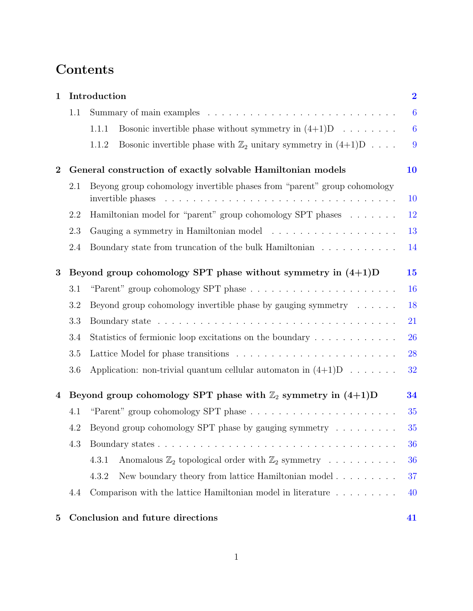# Contents

| $\mathbf{1}$   |     | Introduction                                                                                                                                                                                                                                                                                                                         |                  |  |  |  |  |
|----------------|-----|--------------------------------------------------------------------------------------------------------------------------------------------------------------------------------------------------------------------------------------------------------------------------------------------------------------------------------------|------------------|--|--|--|--|
|                | 1.1 |                                                                                                                                                                                                                                                                                                                                      |                  |  |  |  |  |
|                |     | Bosonic invertible phase without symmetry in $(4+1)D \dots \dots$<br>1.1.1                                                                                                                                                                                                                                                           | $\boldsymbol{6}$ |  |  |  |  |
|                |     | Bosonic invertible phase with $\mathbb{Z}_2$ unitary symmetry in $(4+1)D \ldots$ .<br>1.1.2                                                                                                                                                                                                                                          | 9                |  |  |  |  |
| $\bf{2}$       |     | General construction of exactly solvable Hamiltonian models                                                                                                                                                                                                                                                                          | 10               |  |  |  |  |
|                | 2.1 | Beyong group cohomology invertible phases from "parent" group cohomology<br>10<br>invertible phases<br>and a construction of the construction of the construction of the construction of the construction of the construction of the construction of the construction of the construction of the construction of the construction of |                  |  |  |  |  |
|                | 2.2 | Hamiltonian model for "parent" group cohomology SPT phases                                                                                                                                                                                                                                                                           |                  |  |  |  |  |
|                | 2.3 |                                                                                                                                                                                                                                                                                                                                      |                  |  |  |  |  |
|                | 2.4 | Boundary state from truncation of the bulk Hamiltonian                                                                                                                                                                                                                                                                               | 14               |  |  |  |  |
| 3              |     | Beyond group cohomology SPT phase without symmetry in $(4+1)D$                                                                                                                                                                                                                                                                       | 15               |  |  |  |  |
|                | 3.1 |                                                                                                                                                                                                                                                                                                                                      | 16               |  |  |  |  |
|                | 3.2 | Beyond group cohomology invertible phase by gauging symmetry $\dots \dots$                                                                                                                                                                                                                                                           | 18               |  |  |  |  |
|                | 3.3 |                                                                                                                                                                                                                                                                                                                                      | 21               |  |  |  |  |
|                | 3.4 | Statistics of fermionic loop excitations on the boundary                                                                                                                                                                                                                                                                             | 26               |  |  |  |  |
|                | 3.5 |                                                                                                                                                                                                                                                                                                                                      | 28               |  |  |  |  |
|                | 3.6 | Application: non-trivial quantum cellular automaton in $(4+1)D \ldots \ldots$                                                                                                                                                                                                                                                        | 32               |  |  |  |  |
| $\overline{4}$ |     | Beyond group cohomology SPT phase with $\mathbb{Z}_2$ symmetry in $(4+1)D$                                                                                                                                                                                                                                                           | 34               |  |  |  |  |
|                | 4.1 |                                                                                                                                                                                                                                                                                                                                      |                  |  |  |  |  |
|                | 4.2 | Beyond group cohomology SPT phase by gauging symmetry $\dots \dots$                                                                                                                                                                                                                                                                  |                  |  |  |  |  |
|                | 4.3 |                                                                                                                                                                                                                                                                                                                                      |                  |  |  |  |  |
|                |     | 4.3.1<br>Anomalous $\mathbb{Z}_2$ topological order with $\mathbb{Z}_2$ symmetry                                                                                                                                                                                                                                                     | 36               |  |  |  |  |
|                |     | 4.3.2<br>New boundary theory from lattice Hamiltonian model $\ldots \ldots \ldots$                                                                                                                                                                                                                                                   | 37               |  |  |  |  |
|                | 4.4 | Comparison with the lattice Hamiltonian model in literature $\dots \dots \dots$                                                                                                                                                                                                                                                      | 40               |  |  |  |  |
| $\mathbf{5}$   |     | Conclusion and future directions                                                                                                                                                                                                                                                                                                     | 41               |  |  |  |  |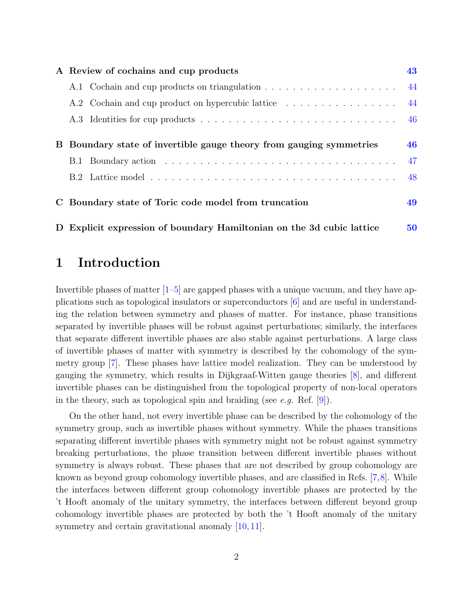|          | A Review of cochains and cup products                                 |    |  |  |  |
|----------|-----------------------------------------------------------------------|----|--|--|--|
|          |                                                                       | 44 |  |  |  |
|          | A.2 Cochain and cup product on hypercubic lattice                     | 44 |  |  |  |
|          |                                                                       | 46 |  |  |  |
| $\bf{B}$ | Boundary state of invertible gauge theory from gauging symmetries     | 46 |  |  |  |
|          |                                                                       | 47 |  |  |  |
|          |                                                                       | 48 |  |  |  |
|          | C Boundary state of Toric code model from truncation                  | 49 |  |  |  |
|          | D Explicit expression of boundary Hamiltonian on the 3d cubic lattice | 50 |  |  |  |

## <span id="page-2-0"></span>1 Introduction

Invertible phases of matter  $\left|1-\overline{5}\right|$  are gapped phases with a unique vacuum, and they have applications such as topological insulators or superconductors [\[6\]](#page-53-2) and are useful in understanding the relation between symmetry and phases of matter. For instance, phase transitions separated by invertible phases will be robust against perturbations; similarly, the interfaces that separate different invertible phases are also stable against perturbations. A large class of invertible phases of matter with symmetry is described by the cohomology of the symmetry group [\[7\]](#page-53-3). These phases have lattice model realization. They can be understood by gauging the symmetry, which results in Dijkgraaf-Witten gauge theories [\[8\]](#page-54-0), and different invertible phases can be distinguished from the topological property of non-local operators in the theory, such as topological spin and braiding (see e.g. Ref.  $[9]$ ).

On the other hand, not every invertible phase can be described by the cohomology of the symmetry group, such as invertible phases without symmetry. While the phases transitions separating different invertible phases with symmetry might not be robust against symmetry breaking perturbations, the phase transition between different invertible phases without symmetry is always robust. These phases that are not described by group cohomology are known as beyond group cohomology invertible phases, and are classified in Refs. [\[7,](#page-53-3)[8\]](#page-54-0). While the interfaces between different group cohomology invertible phases are protected by the 't Hooft anomaly of the unitary symmetry, the interfaces between different beyond group cohomology invertible phases are protected by both the 't Hooft anomaly of the unitary symmetry and certain gravitational anomaly [\[10,](#page-54-2) [11\]](#page-54-3).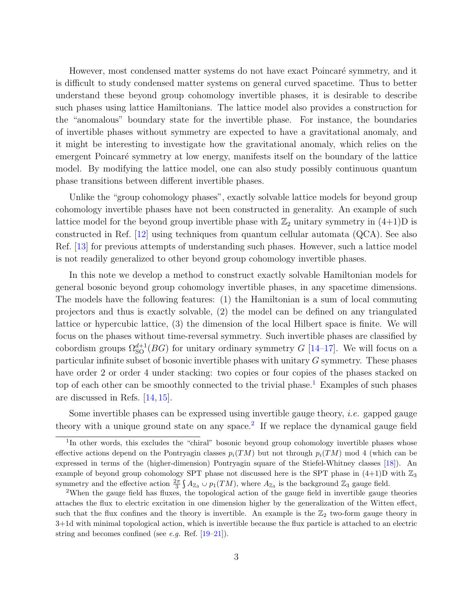However, most condensed matter systems do not have exact Poincaré symmetry, and it is difficult to study condensed matter systems on general curved spacetime. Thus to better understand these beyond group cohomology invertible phases, it is desirable to describe such phases using lattice Hamiltonians. The lattice model also provides a construction for the "anomalous" boundary state for the invertible phase. For instance, the boundaries of invertible phases without symmetry are expected to have a gravitational anomaly, and it might be interesting to investigate how the gravitational anomaly, which relies on the emergent Poincaré symmetry at low energy, manifests itself on the boundary of the lattice model. By modifying the lattice model, one can also study possibly continuous quantum phase transitions between different invertible phases.

Unlike the "group cohomology phases", exactly solvable lattice models for beyond group cohomology invertible phases have not been constructed in generality. An example of such lattice model for the beyond group invertible phase with  $\mathbb{Z}_2$  unitary symmetry in  $(4+1)$ D is constructed in Ref. [\[12\]](#page-54-4) using techniques from quantum cellular automata (QCA). See also Ref. [\[13\]](#page-54-5) for previous attempts of understanding such phases. However, such a lattice model is not readily generalized to other beyond group cohomology invertible phases.

In this note we develop a method to construct exactly solvable Hamiltonian models for general bosonic beyond group cohomology invertible phases, in any spacetime dimensions. The models have the following features: (1) the Hamiltonian is a sum of local commuting projectors and thus is exactly solvable, (2) the model can be defined on any triangulated lattice or hypercubic lattice, (3) the dimension of the local Hilbert space is finite. We will focus on the phases without time-reversal symmetry. Such invertible phases are classified by cobordism groups  $\Omega_{\text{SO}}^{d+1}(BG)$  for unitary ordinary symmetry G [\[14–](#page-54-6)[17\]](#page-54-7). We will focus on a particular infinite subset of bosonic invertible phases with unitary G symmetry. These phases have order 2 or order 4 under stacking: two copies or four copies of the phases stacked on top of each other can be smoothly connected to the trivial phase.<sup>[1](#page-3-0)</sup> Examples of such phases are discussed in Refs. [\[14,](#page-54-6) [15\]](#page-54-8).

Some invertible phases can be expressed using invertible gauge theory, i.e. gapped gauge theory with a unique ground state on any space.<sup>[2](#page-3-1)</sup> If we replace the dynamical gauge field

<span id="page-3-0"></span><sup>&</sup>lt;sup>1</sup>In other words, this excludes the "chiral" bosonic beyond group cohomology invertible phases whose effective actions depend on the Pontryagin classes  $p_i(TM)$  but not through  $p_i(TM)$  mod 4 (which can be expressed in terms of the (higher-dimension) Pontryagin square of the Stiefel-Whitney classes [\[18\]](#page-54-9)). An example of beyond group cohomology SPT phase not discussed here is the SPT phase in  $(4+1)D$  with  $\mathbb{Z}_3$ symmetry and the effective action  $\frac{2\pi}{3} \int A_{\mathbb{Z}_3} \cup p_1(TM)$ , where  $A_{\mathbb{Z}_3}$  is the background  $\mathbb{Z}_3$  gauge field.

<span id="page-3-1"></span><sup>2</sup>When the gauge field has fluxes, the topological action of the gauge field in invertible gauge theories attaches the flux to electric excitation in one dimension higher by the generalization of the Witten effect, such that the flux confines and the theory is invertible. An example is the  $\mathbb{Z}_2$  two-form gauge theory in 3+1d with minimal topological action, which is invertible because the flux particle is attached to an electric string and becomes confined (see  $e.g.$  Ref.  $[19-21]$  $[19-21]$ ).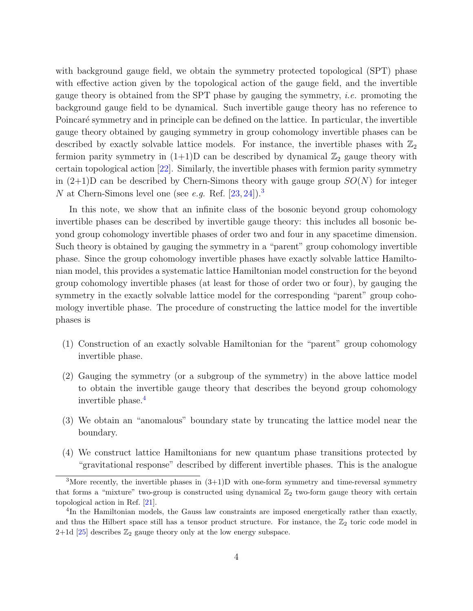with background gauge field, we obtain the symmetry protected topological (SPT) phase with effective action given by the topological action of the gauge field, and the invertible gauge theory is obtained from the SPT phase by gauging the symmetry, *i.e.* promoting the background gauge field to be dynamical. Such invertible gauge theory has no reference to Poincaré symmetry and in principle can be defined on the lattice. In particular, the invertible gauge theory obtained by gauging symmetry in group cohomology invertible phases can be described by exactly solvable lattice models. For instance, the invertible phases with  $\mathbb{Z}_2$ fermion parity symmetry in  $(1+1)D$  can be described by dynamical  $\mathbb{Z}_2$  gauge theory with certain topological action [\[22\]](#page-55-0). Similarly, the invertible phases with fermion parity symmetry in  $(2+1)D$  can be described by Chern-Simons theory with gauge group  $SO(N)$  for integer N at Chern-Simons level one (see e.g. Ref.  $[23, 24]$  $[23, 24]$  $[23, 24]$ ).<sup>[3](#page-4-0)</sup>

In this note, we show that an infinite class of the bosonic beyond group cohomology invertible phases can be described by invertible gauge theory: this includes all bosonic beyond group cohomology invertible phases of order two and four in any spacetime dimension. Such theory is obtained by gauging the symmetry in a "parent" group cohomology invertible phase. Since the group cohomology invertible phases have exactly solvable lattice Hamiltonian model, this provides a systematic lattice Hamiltonian model construction for the beyond group cohomology invertible phases (at least for those of order two or four), by gauging the symmetry in the exactly solvable lattice model for the corresponding "parent" group cohomology invertible phase. The procedure of constructing the lattice model for the invertible phases is

- (1) Construction of an exactly solvable Hamiltonian for the "parent" group cohomology invertible phase.
- (2) Gauging the symmetry (or a subgroup of the symmetry) in the above lattice model to obtain the invertible gauge theory that describes the beyond group cohomology invertible phase.[4](#page-4-1)
- (3) We obtain an "anomalous" boundary state by truncating the lattice model near the boundary.
- (4) We construct lattice Hamiltonians for new quantum phase transitions protected by "gravitational response" described by different invertible phases. This is the analogue

<span id="page-4-0"></span><sup>&</sup>lt;sup>3</sup>More recently, the invertible phases in  $(3+1)D$  with one-form symmetry and time-reversal symmetry that forms a "mixture" two-group is constructed using dynamical  $\mathbb{Z}_2$  two-form gauge theory with certain topological action in Ref. [\[21\]](#page-54-11).

<span id="page-4-1"></span><sup>&</sup>lt;sup>4</sup>In the Hamiltonian models, the Gauss law constraints are imposed energetically rather than exactly, and thus the Hilbert space still has a tensor product structure. For instance, the  $\mathbb{Z}_2$  toric code model in  $2+1d$  [\[25\]](#page-55-3) describes  $\mathbb{Z}_2$  gauge theory only at the low energy subspace.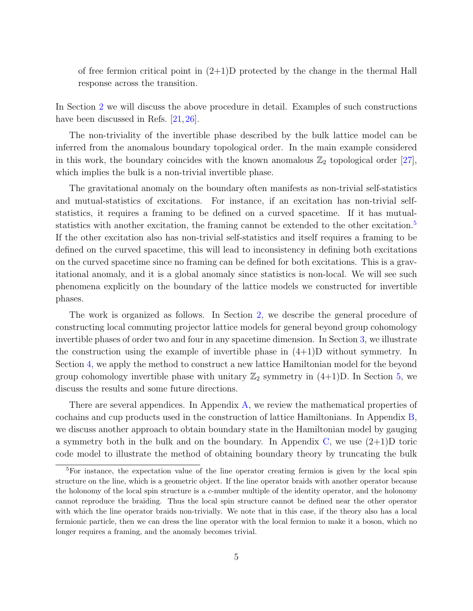of free fermion critical point in  $(2+1)D$  protected by the change in the thermal Hall response across the transition.

In Section [2](#page-10-0) we will discuss the above procedure in detail. Examples of such constructions have been discussed in Refs. [\[21,](#page-54-11) [26\]](#page-55-4).

The non-triviality of the invertible phase described by the bulk lattice model can be inferred from the anomalous boundary topological order. In the main example considered in this work, the boundary coincides with the known anomalous  $\mathbb{Z}_2$  topological order  $[27]$ , which implies the bulk is a non-trivial invertible phase.

The gravitational anomaly on the boundary often manifests as non-trivial self-statistics and mutual-statistics of excitations. For instance, if an excitation has non-trivial selfstatistics, it requires a framing to be defined on a curved spacetime. If it has mutual-statistics with another excitation, the framing cannot be extended to the other excitation.<sup>[5](#page-5-0)</sup> If the other excitation also has non-trivial self-statistics and itself requires a framing to be defined on the curved spacetime, this will lead to inconsistency in defining both excitations on the curved spacetime since no framing can be defined for both excitations. This is a gravitational anomaly, and it is a global anomaly since statistics is non-local. We will see such phenomena explicitly on the boundary of the lattice models we constructed for invertible phases.

The work is organized as follows. In Section [2,](#page-10-0) we describe the general procedure of constructing local commuting projector lattice models for general beyond group cohomology invertible phases of order two and four in any spacetime dimension. In Section [3,](#page-15-0) we illustrate the construction using the example of invertible phase in  $(4+1)D$  without symmetry. In Section [4,](#page-34-0) we apply the method to construct a new lattice Hamiltonian model for the beyond group cohomology invertible phase with unitary  $\mathbb{Z}_2$  symmetry in  $(4+1)D$ . In Section [5,](#page-41-0) we discuss the results and some future directions.

There are several appendices. In Appendix [A,](#page-43-0) we review the mathematical properties of cochains and cup products used in the construction of lattice Hamiltonians. In Appendix [B,](#page-46-1) we discuss another approach to obtain boundary state in the Hamiltonian model by gauging a symmetry both in the bulk and on the boundary. In Appendix [C,](#page-49-0) we use  $(2+1)D$  toric code model to illustrate the method of obtaining boundary theory by truncating the bulk

<span id="page-5-0"></span><sup>5</sup>For instance, the expectation value of the line operator creating fermion is given by the local spin structure on the line, which is a geometric object. If the line operator braids with another operator because the holonomy of the local spin structure is a c-number multiple of the identity operator, and the holonomy cannot reproduce the braiding. Thus the local spin structure cannot be defined near the other operator with which the line operator braids non-trivially. We note that in this case, if the theory also has a local fermionic particle, then we can dress the line operator with the local fermion to make it a boson, which no longer requires a framing, and the anomaly becomes trivial.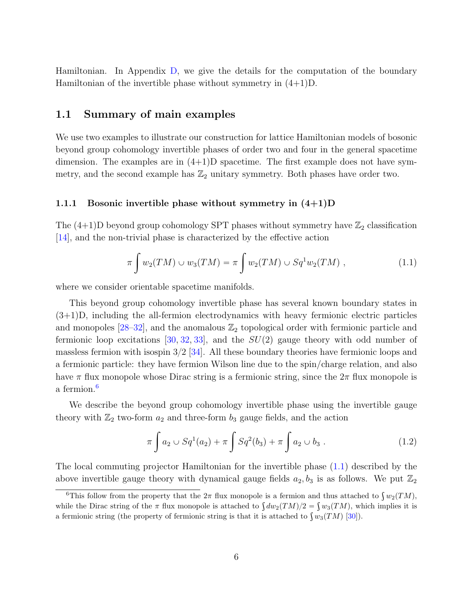Hamiltonian. In Appendix [D,](#page-50-0) we give the details for the computation of the boundary Hamiltonian of the invertible phase without symmetry in (4+1)D.

## <span id="page-6-0"></span>1.1 Summary of main examples

We use two examples to illustrate our construction for lattice Hamiltonian models of bosonic beyond group cohomology invertible phases of order two and four in the general spacetime dimension. The examples are in  $(4+1)$ D spacetime. The first example does not have symmetry, and the second example has  $\mathbb{Z}_2$  unitary symmetry. Both phases have order two.

#### <span id="page-6-1"></span>1.1.1 Bosonic invertible phase without symmetry in  $(4+1)D$

The  $(4+1)$ D beyond group cohomology SPT phases without symmetry have  $\mathbb{Z}_2$  classification [\[14\]](#page-54-6), and the non-trivial phase is characterized by the effective action

<span id="page-6-3"></span>
$$
\pi \int w_2(TM) \cup w_3(TM) = \pi \int w_2(TM) \cup Sq^1w_2(TM) , \qquad (1.1)
$$

where we consider orientable spacetime manifolds.

This beyond group cohomology invertible phase has several known boundary states in (3+1)D, including the all-fermion electrodynamics with heavy fermionic electric particles and monopoles  $[28-32]$  $[28-32]$ , and the anomalous  $\mathbb{Z}_2$  topological order with fermionic particle and fermionic loop excitations [\[30,](#page-55-8) [32,](#page-55-7) [33\]](#page-55-9), and the  $SU(2)$  gauge theory with odd number of massless fermion with isospin  $3/2$  [\[34\]](#page-55-10). All these boundary theories have fermionic loops and a fermionic particle: they have fermion Wilson line due to the spin/charge relation, and also have  $\pi$  flux monopole whose Dirac string is a fermionic string, since the  $2\pi$  flux monopole is a fermion.<sup>[6](#page-6-2)</sup>

We describe the beyond group cohomology invertible phase using the invertible gauge theory with  $\mathbb{Z}_2$  two-form  $a_2$  and three-form  $b_3$  gauge fields, and the action

$$
\pi \int a_2 \cup Sq^1(a_2) + \pi \int Sq^2(b_3) + \pi \int a_2 \cup b_3 . \tag{1.2}
$$

The local commuting projector Hamiltonian for the invertible phase [\(1.1\)](#page-6-3) described by the above invertible gauge theory with dynamical gauge fields  $a_2, b_3$  is as follows. We put  $\mathbb{Z}_2$ 

<span id="page-6-2"></span><sup>&</sup>lt;sup>6</sup>This follow from the property that the  $2\pi$  flux monopole is a fermion and thus attached to  $\int w_2(TM)$ , This follow from the property that the  $2\pi$  flux monopole is a fermion and thus attached to  $\int w_2(TM)$ , while the Dirac string of the  $\pi$  flux monopole is attached to  $\int dw_2(TM)/2 = \int w_3(TM)$ , which implies it is while the Dirac string of the  $\pi$  flux monopole is attached to  $\int dw_2(TM)/2 = \int w_3(TM)$ , while it is attached to  $\int w_3(TM)$  [\[30\]](#page-55-8)).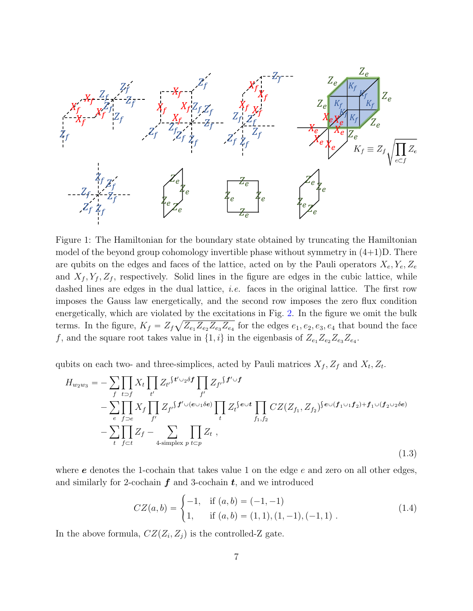<span id="page-7-0"></span>

Figure 1: The Hamiltonian for the boundary state obtained by truncating the Hamiltonian model of the beyond group cohomology invertible phase without symmetry in  $(4+1)D$ . There are qubits on the edges and faces of the lattice, acted on by the Pauli operators  $X_e, Y_e, Z_e$ and  $X_f, Y_f, Z_f$ , respectively. Solid lines in the figure are edges in the cubic lattice, while dashed lines are edges in the dual lattice, *i.e.* faces in the original lattice. The first row imposes the Gauss law energetically, and the second row imposes the zero flux condition energetically, which are violated by the excitations in Fig. [2.](#page-8-0) In the figure we omit the bulk terms. In the figure,  $K_f = Z_f \sqrt{Z_{e_1} Z_{e_2} Z_{e_3} Z_{e_4}}$  for the edges  $e_1, e_2, e_3, e_4$  that bound the face f, and the square root takes value in  $\{1, i\}$  in the eigenbasis of  $Z_{e_1}Z_{e_2}Z_{e_3}Z_{e_4}$ .

qubits on each two- and three-simplices, acted by Pauli matrices  $X_f$ ,  $Z_f$  and  $X_t$ ,  $Z_t$ .

$$
H_{w_2w_3} = -\sum_{f} \prod_{t \supset f} X_t \prod_{t'} Z_{t'} S^{t' \cup_2 \delta f} \prod_{f'} Z_{f'} S^{f' \cup f} - \sum_{e} \prod_{f \supset e} X_f \prod_{f'} Z_{f'} S^{f' \cup (e \cup_1 \delta e)} \prod_{t} Z_t S^{e \cup t} \prod_{f_1, f_2} CZ(Z_{f_1}, Z_{f_2}) S^{e \cup (f_1 \cup_1 f_2) + f_1 \cup (f_2 \cup_2 \delta e)} - \sum_{t} \prod_{f \subset t} Z_f - \sum_{4 \text{ simplex } p} \prod_{t \subset p} Z_t ,
$$
\n(1.3)

where  $e$  denotes the 1-cochain that takes value 1 on the edge  $e$  and zero on all other edges, and similarly for 2-cochain  $f$  and 3-cochain  $t$ , and we introduced

$$
CZ(a,b) = \begin{cases} -1, & \text{if } (a,b) = (-1,-1) \\ 1, & \text{if } (a,b) = (1,1), (1,-1), (-1,1) \end{cases}
$$
(1.4)

In the above formula,  $CZ(Z_i, Z_j)$  is the controlled-Z gate.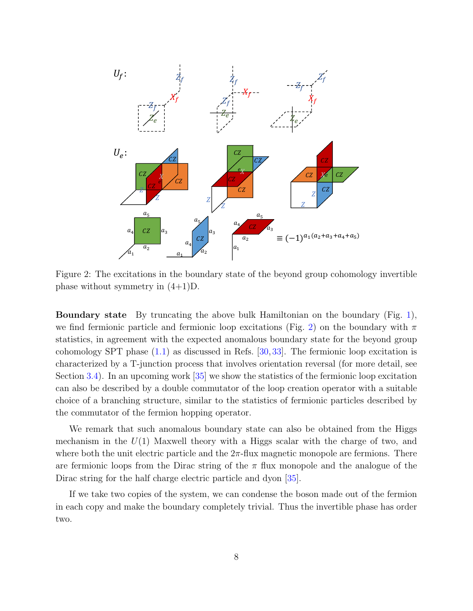<span id="page-8-0"></span>

Figure 2: The excitations in the boundary state of the beyond group cohomology invertible phase without symmetry in (4+1)D.

Boundary state By truncating the above bulk Hamiltonian on the boundary (Fig. [1\)](#page-7-0), we find fermionic particle and fermionic loop excitations (Fig. [2\)](#page-8-0) on the boundary with  $\pi$ statistics, in agreement with the expected anomalous boundary state for the beyond group cohomology SPT phase [\(1.1\)](#page-6-3) as discussed in Refs. [\[30,](#page-55-8) [33\]](#page-55-9). The fermionic loop excitation is characterized by a T-junction process that involves orientation reversal (for more detail, see Section [3.4\)](#page-26-0). In an upcoming work [\[35\]](#page-56-0) we show the statistics of the fermionic loop excitation can also be described by a double commutator of the loop creation operator with a suitable choice of a branching structure, similar to the statistics of fermionic particles described by the commutator of the fermion hopping operator.

We remark that such anomalous boundary state can also be obtained from the Higgs mechanism in the  $U(1)$  Maxwell theory with a Higgs scalar with the charge of two, and where both the unit electric particle and the  $2\pi$ -flux magnetic monopole are fermions. There are fermionic loops from the Dirac string of the  $\pi$  flux monopole and the analogue of the Dirac string for the half charge electric particle and dyon [\[35\]](#page-56-0).

If we take two copies of the system, we can condense the boson made out of the fermion in each copy and make the boundary completely trivial. Thus the invertible phase has order two.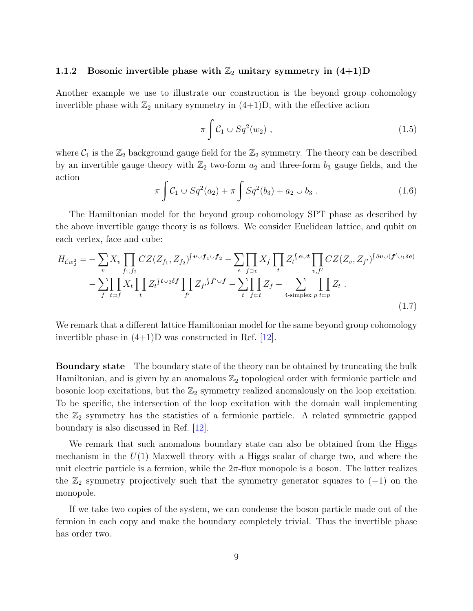### <span id="page-9-0"></span>1.1.2 Bosonic invertible phase with  $\mathbb{Z}_2$  unitary symmetry in  $(4+1)D$

Another example we use to illustrate our construction is the beyond group cohomology invertible phase with  $\mathbb{Z}_2$  unitary symmetry in  $(4+1)D$ , with the effective action

$$
\pi \int C_1 \cup Sq^2(w_2) , \qquad (1.5)
$$

where  $C_1$  is the  $\mathbb{Z}_2$  background gauge field for the  $\mathbb{Z}_2$  symmetry. The theory can be described by an invertible gauge theory with  $\mathbb{Z}_2$  two-form  $a_2$  and three-form  $b_3$  gauge fields, and the action

$$
\pi \int C_1 \cup Sq^2(a_2) + \pi \int Sq^2(b_3) + a_2 \cup b_3 . \tag{1.6}
$$

The Hamiltonian model for the beyond group cohomology SPT phase as described by the above invertible gauge theory is as follows. We consider Euclidean lattice, and qubit on each vertex, face and cube:

$$
H_{\mathcal{C}w_2^2} = -\sum_v X_v \prod_{f_1, f_2} CZ(Z_{f_1}, Z_{f_2})^{\int \boldsymbol{v} \cup f_1 \cup f_2} - \sum_e \prod_{f \supset e} X_f \prod_t Z_t^{\int \boldsymbol{e} \cup t} \prod_{v, f'} CZ(Z_v, Z_{f'})^{\int \delta \boldsymbol{v} \cup (f' \cup_1 \delta \boldsymbol{e})} - \sum_f \prod_{t \supset f} X_t \prod_{t} Z_t^{\int \boldsymbol{t} \cup_2 \delta f} \prod_{f'} Z_{f'}^{\int \boldsymbol{f} \cup f} - \sum_{t} \prod_{f \subset t} Z_f - \sum_{4 \text{ simplex } p} \prod_{t \subset p} Z_t \tag{1.7}
$$

We remark that a different lattice Hamiltonian model for the same beyond group cohomology invertible phase in  $(4+1)$ D was constructed in Ref.  $|12|$ .

Boundary state The boundary state of the theory can be obtained by truncating the bulk Hamiltonian, and is given by an anomalous  $\mathbb{Z}_2$  topological order with fermionic particle and bosonic loop excitations, but the  $\mathbb{Z}_2$  symmetry realized anomalously on the loop excitation. To be specific, the intersection of the loop excitation with the domain wall implementing the  $\mathbb{Z}_2$  symmetry has the statistics of a fermionic particle. A related symmetric gapped boundary is also discussed in Ref. [\[12\]](#page-54-4).

We remark that such anomalous boundary state can also be obtained from the Higgs mechanism in the  $U(1)$  Maxwell theory with a Higgs scalar of charge two, and where the unit electric particle is a fermion, while the  $2\pi$ -flux monopole is a boson. The latter realizes the  $\mathbb{Z}_2$  symmetry projectively such that the symmetry generator squares to  $(-1)$  on the monopole.

If we take two copies of the system, we can condense the boson particle made out of the fermion in each copy and make the boundary completely trivial. Thus the invertible phase has order two.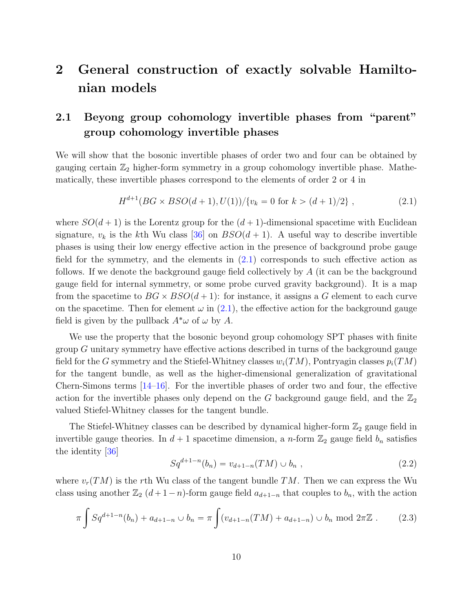# <span id="page-10-0"></span>2 General construction of exactly solvable Hamiltonian models

## <span id="page-10-1"></span>2.1 Beyong group cohomology invertible phases from "parent" group cohomology invertible phases

We will show that the bosonic invertible phases of order two and four can be obtained by gauging certain  $\mathbb{Z}_2$  higher-form symmetry in a group cohomology invertible phase. Mathematically, these invertible phases correspond to the elements of order 2 or 4 in

<span id="page-10-2"></span>
$$
H^{d+1}(BG \times BSO(d+1), U(1))/\{v_k = 0 \text{ for } k > (d+1)/2\},\tag{2.1}
$$

where  $SO(d + 1)$  is the Lorentz group for the  $(d + 1)$ -dimensional spacetime with Euclidean signature,  $v_k$  is the kth Wu class [\[36\]](#page-56-1) on  $BSO(d + 1)$ . A useful way to describe invertible phases is using their low energy effective action in the presence of background probe gauge field for the symmetry, and the elements in  $(2.1)$  corresponds to such effective action as follows. If we denote the background gauge field collectively by A (it can be the background gauge field for internal symmetry, or some probe curved gravity background). It is a map from the spacetime to  $BG \times BSO(d+1)$ : for instance, it assigns a G element to each curve on the spacetime. Then for element  $\omega$  in [\(2.1\)](#page-10-2), the effective action for the background gauge field is given by the pullback  $A^*\omega$  of  $\omega$  by A.

We use the property that the bosonic beyond group cohomology SPT phases with finite group G unitary symmetry have effective actions described in turns of the background gauge field for the G symmetry and the Stiefel-Whitney classes  $w_i(TM)$ , Pontryagin classes  $p_i(TM)$ for the tangent bundle, as well as the higher-dimensional generalization of gravitational Chern-Simons terms  $[14-16]$  $[14-16]$ . For the invertible phases of order two and four, the effective action for the invertible phases only depend on the G background gauge field, and the  $\mathbb{Z}_2$ valued Stiefel-Whitney classes for the tangent bundle.

The Stiefel-Whitney classes can be described by dynamical higher-form  $\mathbb{Z}_2$  gauge field in invertible gauge theories. In  $d + 1$  spacetime dimension, a *n*-form  $\mathbb{Z}_2$  gauge field  $b_n$  satisfies the identity [\[36\]](#page-56-1)

$$
Sq^{d+1-n}(b_n) = v_{d+1-n}(TM) \cup b_n , \qquad (2.2)
$$

where  $v_r(TM)$  is the rth Wu class of the tangent bundle TM. Then we can express the Wu class using another  $\mathbb{Z}_2$   $(d+1-n)$ -form gauge field  $a_{d+1-n}$  that couples to  $b_n$ , with the action

$$
\pi \int Sq^{d+1-n}(b_n) + a_{d+1-n} \cup b_n = \pi \int (v_{d+1-n}(TM) + a_{d+1-n}) \cup b_n \text{ mod } 2\pi \mathbb{Z} . \tag{2.3}
$$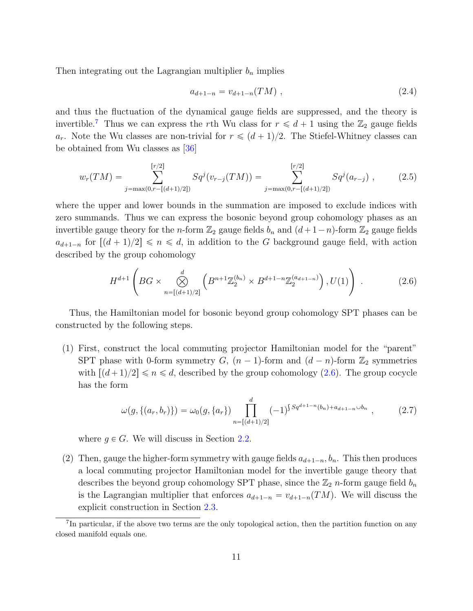Then integrating out the Lagrangian multiplier  $b_n$  implies

$$
a_{d+1-n} = v_{d+1-n}(TM) \t\t(2.4)
$$

and thus the fluctuation of the dynamical gauge fields are suppressed, and the theory is invertible.<sup>[7](#page-11-0)</sup> Thus we can express the rth Wu class for  $r \le d + 1$  using the  $\mathbb{Z}_2$  gauge fields  $a_r$ . Note the Wu classes are non-trivial for  $r \leq (d + 1)/2$ . The Stiefel-Whitney classes can be obtained from Wu classes as [\[36\]](#page-56-1)

$$
w_r(TM) = \sum_{j=\max(0,r-[(d+1)/2])}^{[r/2]} Sq^j(v_{r-j}(TM)) = \sum_{j=\max(0,r-[(d+1)/2])}^{[r/2]} Sq^j(a_{r-j}) ,
$$
 (2.5)

where the upper and lower bounds in the summation are imposed to exclude indices with zero summands. Thus we can express the bosonic beyond group cohomology phases as an invertible gauge theory for the *n*-form  $\mathbb{Z}_2$  gauge fields  $b_n$  and  $(d+1-n)$ -form  $\mathbb{Z}_2$  gauge fields  $a_{d+1-n}$  for  $\lfloor (d+1)/2 \rfloor \le n \le d$ , in addition to the G background gauge field, with action described by the group cohomology ˜ ¸

<span id="page-11-1"></span>
$$
H^{d+1}\left(BG \times \bigotimes_{n=[(d+1)/2]}^{d} \left(B^{n+1}\mathbb{Z}_2^{(b_n)} \times B^{d+1-n}\mathbb{Z}_2^{(a_{d+1-n})}\right), U(1)\right) \tag{2.6}
$$

Thus, the Hamiltonian model for bosonic beyond group cohomology SPT phases can be constructed by the following steps.

(1) First, construct the local commuting projector Hamiltonian model for the "parent" SPT phase with 0-form symmetry G,  $(n - 1)$ -form and  $(d - n)$ -form  $\mathbb{Z}_2$  symmetries with  $\left[\frac{d+1}{2}\right] \leq n \leq d$ , described by the group cohomology [\(2.6\)](#page-11-1). The group cocycle has the form

$$
\omega(g, \{(a_r, b_r)\}) = \omega_0(g, \{a_r\}) \prod_{n=[(d+1)/2]}^{d} (-1)^{\int Sq^{d+1-n}(b_n)+a_{d+1-n}\cup b_n}, \qquad (2.7)
$$

where  $q \in G$ . We will discuss in Section [2.2.](#page-12-0)

(2) Then, gauge the higher-form symmetry with gauge fields  $a_{d+1-n}$ ,  $b_n$ . This then produces a local commuting projector Hamiltonian model for the invertible gauge theory that describes the beyond group cohomology SPT phase, since the  $\mathbb{Z}_2$  *n*-form gauge field  $b_n$ is the Lagrangian multiplier that enforces  $a_{d+1-n} = v_{d+1-n}(TM)$ . We will discuss the explicit construction in Section [2.3.](#page-13-0)

<span id="page-11-0"></span><sup>&</sup>lt;sup>7</sup>In particular, if the above two terms are the only topological action, then the partition function on any closed manifold equals one.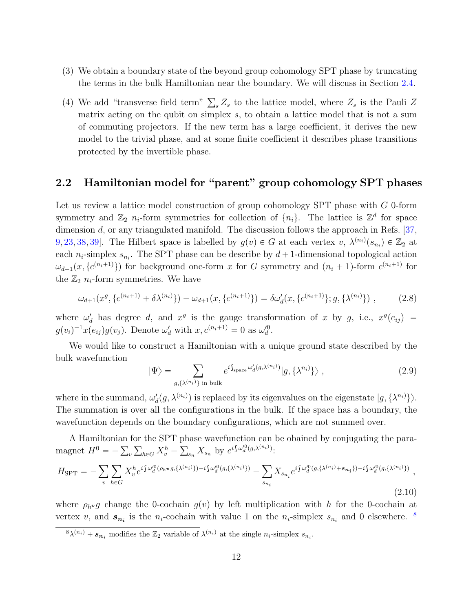- (3) We obtain a boundary state of the beyond group cohomology SPT phase by truncating the terms in the bulk Hamiltonian near the boundary. We will discuss in Section [2.4.](#page-14-0)
- (4) We add "transverse field term"  $\sum_{s} Z_s$  to the lattice model, where  $Z_s$  is the Pauli Z matrix acting on the qubit on simplex s, to obtain a lattice model that is not a sum of commuting projectors. If the new term has a large coefficient, it derives the new model to the trivial phase, and at some finite coefficient it describes phase transitions protected by the invertible phase.

## <span id="page-12-0"></span>2.2 Hamiltonian model for "parent" group cohomology SPT phases

Let us review a lattice model construction of group cohomology SPT phase with G 0-form symmetry and  $\mathbb{Z}_2$  n<sub>i</sub>-form symmetries for collection of  $\{n_i\}$ . The lattice is  $\mathbb{Z}^d$  for space dimension  $d$ , or any triangulated manifold. The discussion follows the approach in Refs. [\[37,](#page-56-2) [9,](#page-54-1) [23,](#page-55-1) [38,](#page-56-3) 39. The Hilbert space is labelled by  $g(v) \in G$  at each vertex  $v, \lambda^{(n_i)}(s_{n_i}) \in \mathbb{Z}_2$  at each  $n_i$ -simplex  $s_{n_i}$ . The SPT phase can be describe by  $d+1$ -dimensional topological action  $\omega_{d+1}(x, \{c^{(n_i+1)}\})$  for background one-form x for G symmetry and  $(n_i + 1)$ -form  $c^{(n_i+1)}$  for the  $\mathbb{Z}_2$  n<sub>i</sub>-form symmetries. We have

$$
\omega_{d+1}(x^g, \{c^{(n_i+1)} + \delta \lambda^{(n_i)}\}) - \omega_{d+1}(x, \{c^{(n_i+1)}\}) = \delta \omega'_d(x, \{c^{(n_i+1)}\}; g, \{\lambda^{(n_i)}\}) ,
$$
 (2.8)

where  $\omega'_d$  has degree d, and  $x^g$  is the gauge transformation of x by g, i.e.,  $x^g(e_{ij})$  =  $g(v_i)^{-1}x(e_{ij})g(v_j)$ . Denote  $\omega'_d$  with  $x, c^{(n_i+1)} = 0$  as  $\omega''_d$ .

We would like to construct a Hamiltonian with a unique ground state described by the bulk wavefunction

$$
|\Psi\rangle = \sum_{g,\{\lambda^{(n_i)}\} \text{ in bulk}} e^{i \int_{\text{space}} \omega'_d(g,\lambda^{(n_i)})} |g,\{\lambda^{n_i}\}\rangle ,
$$
 (2.9)

where in the summand,  $\omega'_d(g, \lambda^{(n_i)})$  is replaced by its eigenvalues on the eigenstate  $|g, \{\lambda^{n_i}\}\rangle$ . The summation is over all the configurations in the bulk. If the space has a boundary, the wavefunction depends on the boundary configurations, which are not summed over.

A Hamiltonian for the SPT phase wavefunction can be obained by conjugating the para-A Hamiltonian for the SP I phase wavenunction can<br>magnet  $H^0 = -\sum_v \sum_{h \in G} X_v^h - \sum_{s_n} X_{s_n}$  by  $e^{i \int \omega_d^{(0)}(g, \lambda^{(n_i)})}$ :

$$
H_{\rm SPT} = -\sum_{v} \sum_{h \in G} X_v^h e^{i \int \omega_d^{0} (\rho_h v g, \{\lambda^{(n_i)}\}) - i \int \omega_d^{0} (g, \{\lambda^{(n_i)}\})} - \sum_{s_{n_i}} X_{s_{n_i}} e^{i \int \omega_d^{0} (g, \{\lambda^{(n_i)} + s_{n_i}\}) - i \int \omega_d^{0} (g, \{\lambda^{(n_i)}\})},
$$
\n(2.10)

where  $\rho_h v g$  change the 0-cochain  $g(v)$  by left multiplication with h for the 0-cochain at vertex v, and  $s_{n_i}$  is the n<sub>i</sub>-cochain with value 1 on the n<sub>i</sub>-simplex  $s_{n_i}$  and 0 elsewhere. <sup>[8](#page-12-1)</sup>

<span id="page-12-1"></span> ${}^8\lambda^{(n_i)} + s_{n_i}$  modifies the  $\mathbb{Z}_2$  variable of  $\lambda^{(n_i)}$  at the single  $n_i$ -simplex  $s_{n_i}$ .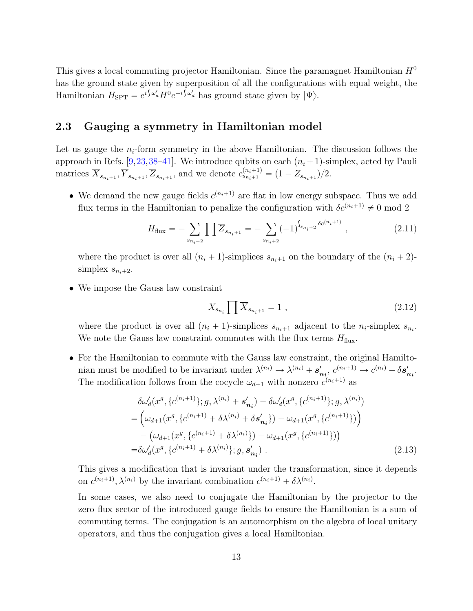This gives a local commuting projector Hamiltonian. Since the paramagnet Hamiltonian  $H^0$ has the ground state given by superposition of all the configurations with equal weight, the Hamiltonian  $H_{\text{SPT}} = e^{i \int \omega_d^{\prime} H^0 e^{-i \int \omega_d^{\prime}} }$  has ground state given by  $|\Psi\rangle$ .

## <span id="page-13-0"></span>2.3 Gauging a symmetry in Hamiltonian model

Let us gauge the  $n_i$ -form symmetry in the above Hamiltonian. The discussion follows the approach in Refs. [\[9,](#page-54-1)[23,](#page-55-1)[38](#page-56-3)[–41\]](#page-56-5). We introduce qubits on each  $(n_i + 1)$ -simplex, acted by Pauli matrices  $\overline{X}_{s_{n_i+1}}, \overline{Y}_{s_{n_i+1}}, \overline{Z}_{s_{n_i+1}},$  and we denote  $c_{s_{n_i+1}}^{(n_i+1)} = (1 - Z_{s_{n_i+1}})/2$ .

• We demand the new gauge fields  $c^{(n_i+1)}$  are flat in low energy subspace. Thus we add flux terms in the Hamiltonian to penalize the configuration with  $\delta c^{(n_i+1)} \neq 0$  mod 2

$$
H_{\text{flux}} = -\sum_{s_{n_i+2}} \prod \overline{Z}_{s_{n_i+1}} = -\sum_{s_{n_i+2}} (-1)^{\int_{s_{n_i+2}} \delta c^{(n_i+1)}} , \qquad (2.11)
$$

where the product is over all  $(n_i + 1)$ -simplices  $s_{n_i+1}$  on the boundary of the  $(n_i + 2)$ simplex  $s_{n_i+2}$ .

• We impose the Gauss law constraint

$$
X_{s_{n_i}} \prod \overline{X}_{s_{n_i+1}} = 1 \tag{2.12}
$$

where the product is over all  $(n_i + 1)$ -simplices  $s_{n_i+1}$  adjacent to the  $n_i$ -simplex  $s_{n_i}$ . We note the Gauss law constraint commutes with the flux terms  $H_{\text{flux}}$ .

• For the Hamiltonian to commute with the Gauss law constraint, the original Hamiltonian must be modified to be invariant under  $\lambda^{(n_i)} \to \lambda^{(n_i)} + s'_{n_i}$ ,  $c^{(n_i+1)} \to c^{(n_i)} + \delta s'_{n_i}$ . The modification follows from the cocycle  $\omega_{d+1}$  with nonzero  $c^{(n_i+1)}$  as

$$
\delta\omega'_{d}(x^{g}, \{c^{(n_{i}+1)}\}; g, \lambda^{(n_{i})} + \mathbf{s}'_{n_{i}}) - \delta\omega'_{d}(x^{g}, \{c^{(n_{i}+1)}\}; g, \lambda^{(n_{i})})
$$
\n
$$
= \left(\omega_{d+1}(x^{g}, \{c^{(n_{i}+1)} + \delta\lambda^{(n_{i})} + \delta\mathbf{s}'_{n_{i}}\}) - \omega_{d+1}(x^{g}, \{c^{(n_{i}+1)}\})\right)
$$
\n
$$
- \left(\omega_{d+1}(x^{g}, \{c^{(n_{i}+1)} + \delta\lambda^{(n_{i})}\}) - \omega_{d+1}(x^{g}, \{c^{(n_{i}+1)}\})\right)
$$
\n
$$
= \delta\omega'_{d}(x^{g}, \{c^{(n_{i}+1)} + \delta\lambda^{(n_{i})}\}; g, \mathbf{s}'_{n_{i}}).
$$
\n(2.13)

This gives a modification that is invariant under the transformation, since it depends on  $c^{(n_i+1)}$ ,  $\lambda^{(n_i)}$  by the invariant combination  $c^{(n_i+1)} + \delta \lambda^{(n_i)}$ .

In some cases, we also need to conjugate the Hamiltonian by the projector to the zero flux sector of the introduced gauge fields to ensure the Hamiltonian is a sum of commuting terms. The conjugation is an automorphism on the algebra of local unitary operators, and thus the conjugation gives a local Hamiltonian.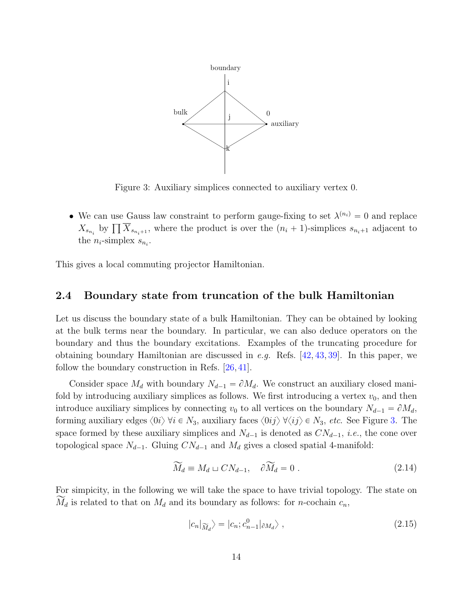<span id="page-14-1"></span>

Figure 3: Auxiliary simplices connected to auxiliary vertex 0.

• We can use Gauss law constraint to perform gauge-fixing to set  $\lambda^{(n_i)} = 0$  and replace We can use Gauss law constraint to perform gauge-nxing to set  $\lambda^{(n)} = 0$  and replace  $X_{s_{n_i}}$  by  $\prod \overline{X}_{s_{n_i+1}}$ , where the product is over the  $(n_i + 1)$ -simplices  $s_{n_i+1}$  adjacent to the  $n_i$ -simplex  $s_{n_i}$ .

This gives a local commuting projector Hamiltonian.

### <span id="page-14-0"></span>2.4 Boundary state from truncation of the bulk Hamiltonian

Let us discuss the boundary state of a bulk Hamiltonian. They can be obtained by looking at the bulk terms near the boundary. In particular, we can also deduce operators on the boundary and thus the boundary excitations. Examples of the truncating procedure for obtaining boundary Hamiltonian are discussed in e.g. Refs. [\[42,](#page-56-6) [43,](#page-56-7) [39\]](#page-56-4). In this paper, we follow the boundary construction in Refs. [\[26,](#page-55-4) [41\]](#page-56-5).

Consider space  $M_d$  with boundary  $N_{d-1} = \partial M_d$ . We construct an auxiliary closed manifold by introducing auxiliary simplices as follows. We first introducing a vertex  $v_0$ , and then introduce auxiliary simplices by connecting  $v_0$  to all vertices on the boundary  $N_{d-1} = \partial M_d$ , forming auxiliary edges  $\langle 0i \rangle \forall i \in N_3$ , auxiliary faces  $\langle 0i j \rangle \forall \langle ij \rangle \in N_3$ , etc. See Figure [3.](#page-14-1) The space formed by these auxiliary simplices and  $N_{d-1}$  is denoted as  $CN_{d-1}$ , *i.e.*, the cone over topological space  $N_{d-1}$ . Gluing  $CN_{d-1}$  and  $M_d$  gives a closed spatial 4-manifold:

$$
\widetilde{M}_d \equiv M_d \sqcup CN_{d-1}, \quad \partial \widetilde{M}_d = 0 \ . \tag{2.14}
$$

For simpicity, in the following we will take the space to have trivial topology. The state on  $\widetilde{M}_d$  is related to that on  $M_d$  and its boundary as follows: for *n*-cochain  $c_n$ ,

$$
|c_n|_{\widetilde{M}_d} \rangle = |c_n; c_{n-1}^0|_{\partial M_d} \rangle , \qquad (2.15)
$$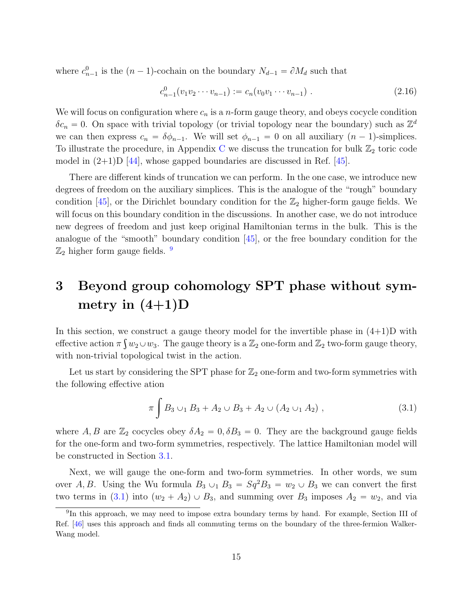where  $c_{n-1}^0$  is the  $(n-1)$ -cochain on the boundary  $N_{d-1} = \partial M_d$  such that

$$
c_{n-1}^0(v_1v_2\cdots v_{n-1}) := c_n(v_0v_1\cdots v_{n-1}) . \qquad (2.16)
$$

We will focus on configuration where  $c_n$  is a *n*-form gauge theory, and obeys cocycle condition  $\delta c_n = 0$ . On space with trivial topology (or trivial topology near the boundary) such as  $\mathbb{Z}^d$ we can then express  $c_n = \delta \phi_{n-1}$ . We will set  $\phi_{n-1} = 0$  on all auxiliary  $(n - 1)$ -simplices. To illustrate the procedure, in Appendix [C](#page-49-0) we discuss the truncation for bulk  $\mathbb{Z}_2$  toric code model in  $(2+1)$ D [\[44\]](#page-56-8), whose gapped boundaries are discussed in Ref. [\[45\]](#page-56-9).

There are different kinds of truncation we can perform. In the one case, we introduce new degrees of freedom on the auxiliary simplices. This is the analogue of the "rough" boundary condition [\[45\]](#page-56-9), or the Dirichlet boundary condition for the  $\mathbb{Z}_2$  higher-form gauge fields. We will focus on this boundary condition in the discussions. In another case, we do not introduce new degrees of freedom and just keep original Hamiltonian terms in the bulk. This is the analogue of the "smooth" boundary condition [\[45\]](#page-56-9), or the free boundary condition for the  $\mathbb{Z}_2$  higher form gauge fields.  $9$ 

# <span id="page-15-0"></span>3 Beyond group cohomology SPT phase without symmetry in  $(4+1)D$

In this section, we construct a gauge theory model for the invertible phase in  $(4+1)D$  with effective action  $\pi \int w_2 \cup w_3$ . The gauge theory is a  $\mathbb{Z}_2$  one-form and  $\mathbb{Z}_2$  two-form gauge theory, with non-trivial topological twist in the action.

Let us start by considering the SPT phase for  $\mathbb{Z}_2$  one-form and two-form symmetries with the following effective ation

<span id="page-15-2"></span>
$$
\pi \int B_3 \cup_1 B_3 + A_2 \cup B_3 + A_2 \cup (A_2 \cup_1 A_2) , \qquad (3.1)
$$

where A, B are  $\mathbb{Z}_2$  cocycles obey  $\delta A_2 = 0$ ,  $\delta B_3 = 0$ . They are the background gauge fields for the one-form and two-form symmetries, respectively. The lattice Hamiltonian model will be constructed in Section [3.1.](#page-16-0)

Next, we will gauge the one-form and two-form symmetries. In other words, we sum over A, B. Using the Wu formula  $B_3 \cup_1 B_3 = Sq^2 B_3 = w_2 \cup B_3$  we can convert the first two terms in [\(3.1\)](#page-15-2) into  $(w_2 + A_2) \cup B_3$ , and summing over  $B_3$  imposes  $A_2 = w_2$ , and via

<span id="page-15-1"></span><sup>&</sup>lt;sup>9</sup>In this approach, we may need to impose extra boundary terms by hand. For example, Section III of Ref. [\[46\]](#page-57-0) uses this approach and finds all commuting terms on the boundary of the three-fermion Walker-Wang model.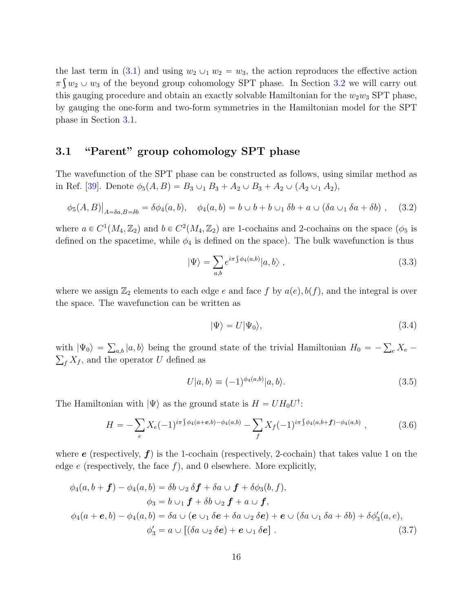the last term in [\(3.1\)](#page-15-2) and using  $w_2 \cup_1 w_2 = w_3$ , the action reproduces the effective action  $\pi \int w_2 \cup w_3$  of the beyond group cohomology SPT phase. In Section [3.2](#page-18-0) we will carry out this gauging procedure and obtain an exactly solvable Hamiltonian for the  $w_2w_3$  SPT phase, by gauging the one-form and two-form symmetries in the Hamiltonian model for the SPT phase in Section [3.1.](#page-16-0)

## <span id="page-16-0"></span>3.1 "Parent" group cohomology SPT phase

The wavefunction of the SPT phase can be constructed as follows, using similar method as in Ref. [\[39\]](#page-56-4). Denote  $\phi_5(A, B) = B_3 \cup_1 B_3 + A_2 \cup B_3 + A_2 \cup (A_2 \cup_1 A_2),$ 

$$
\phi_5(A, B)|_{A = \delta a, B = \delta b} = \delta \phi_4(a, b), \quad \phi_4(a, b) = b \cup b + b \cup_1 \delta b + a \cup (\delta a \cup_1 \delta a + \delta b), \quad (3.2)
$$

where  $a \in C^1(M_4, \mathbb{Z}_2)$  and  $b \in C^2(M_4, \mathbb{Z}_2)$  are 1-cochains and 2-cochains on the space  $(\phi_5$  is defined on the spacetime, while  $\phi_4$  is defined on the space). The bulk wavefunction is thus

<span id="page-16-2"></span>
$$
|\Psi\rangle = \sum_{a,b} e^{i\pi \int \phi_4(a,b)} |a,b\rangle , \qquad (3.3)
$$

where we assign  $\mathbb{Z}_2$  elements to each edge e and face f by  $a(e), b(f)$ , and the integral is over the space. The wavefunction can be written as

$$
|\Psi\rangle = U|\Psi_0\rangle,\tag{3.4}
$$

with  $|\Psi_0\rangle =$ with  $|\Psi_0\rangle = \sum_{a,b} |a, b\rangle$  being the ground state of the trivial Hamiltonian  $H_0 = -\sum_{e} X_e$  $\sum_{f} X_{f}$ , and the operator U defined as

<span id="page-16-1"></span>
$$
U|a,b\rangle \equiv (-1)^{\phi_4(a,b)}|a,b\rangle. \tag{3.5}
$$

The Hamiltonian with  $|\Psi\rangle$  as the ground state is  $H = U H_0 U^{\dagger}$ :

<span id="page-16-3"></span>
$$
H = -\sum_{e} X_e(-1)^{i\pi \int \phi_4(a+e,b)-\phi_4(a,b)} - \sum_{f} X_f(-1)^{i\pi \int \phi_4(a,b+f)-\phi_4(a,b)}, \qquad (3.6)
$$

where  $e$  (respectively,  $f$ ) is the 1-cochain (respectively, 2-cochain) that takes value 1 on the edge  $e$  (respectively, the face  $f$ ), and 0 elsewhere. More explicitly,

$$
\phi_4(a, b + f) - \phi_4(a, b) = \delta b \cup_2 \delta f + \delta a \cup f + \delta \phi_3(b, f),
$$
  
\n
$$
\phi_3 = b \cup_1 f + \delta b \cup_2 f + a \cup f,
$$
  
\n
$$
\phi_4(a + e, b) - \phi_4(a, b) = \delta a \cup (e \cup_1 \delta e + \delta a \cup_2 \delta e) + e \cup (\delta a \cup_1 \delta a + \delta b) + \delta \phi'_3(a, e),
$$
  
\n
$$
\phi'_3 = a \cup [(\delta a \cup_2 \delta e) + e \cup_1 \delta e].
$$
\n(3.7)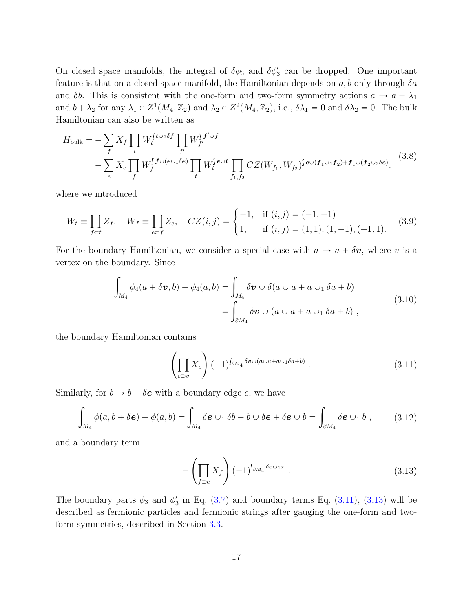On closed space manifolds, the integral of  $\delta\phi_3$  and  $\delta\phi'_3$  can be dropped. One important feature is that on a closed space manifold, the Hamiltonian depends on  $a, b$  only through  $\delta a$ and  $\delta b$ . This is consistent with the one-form and two-form symmetry actions  $a \to a + \lambda_1$ and  $b + \lambda_2$  for any  $\lambda_1 \in Z^1(M_4, \mathbb{Z}_2)$  and  $\lambda_2 \in Z^2(M_4, \mathbb{Z}_2)$ , i.e.,  $\delta \lambda_1 = 0$  and  $\delta \lambda_2 = 0$ . The bulk Hamiltonian can also be written as

$$
H_{\text{bulk}} = -\sum_{f} X_{f} \prod_{t} W_{t}^{\int t \cup 2\delta f} \prod_{f'} W_{f'}^{\int t' \cup f} W_{f'}^{\int t' \cup f'} \n- \sum_{e} X_{e} \prod_{f} W_{f}^{\int t \cup (e \cup_{1} \delta e)} \prod_{t} W_{t}^{\int e \cup t} \prod_{f_{1},f_{2}} CZ(W_{f_{1}}, W_{f_{2}})^{\int e \cup (f_{1} \cup_{1} f_{2}) + f_{1} \cup (f_{2} \cup_{2} \delta e)}.
$$
\n(3.8)

where we introduced

$$
W_t \equiv \prod_{f \subset t} Z_f, \quad W_f \equiv \prod_{e \subset f} Z_e, \quad CZ(i,j) = \begin{cases} -1, & \text{if } (i,j) = (-1,-1) \\ 1, & \text{if } (i,j) = (1,1), (1,-1), (-1,1). \end{cases} (3.9)
$$

For the boundary Hamiltonian, we consider a special case with  $a \to a + \delta v$ , where v is a vertex on the boundary. Since

$$
\int_{M_4} \phi_4(a + \delta \boldsymbol{v}, b) - \phi_4(a, b) = \int_{M_4} \delta \boldsymbol{v} \cup \delta(a \cup a + a \cup_1 \delta a + b)
$$
\n
$$
= \int_{\partial M_4} \delta \boldsymbol{v} \cup (a \cup a + a \cup_1 \delta a + b) ,
$$
\n(3.10)

<span id="page-17-2"></span><span id="page-17-0"></span>the boundary Hamiltonian contains

$$
-\left(\prod_{e\supset v} X_e\right) (-1)^{\int_{\partial M_4} \delta v \cup (a \cup a + a \cup 1 \delta a + b)}.
$$
\n(3.11)

Similarly, for  $b \to b + \delta e$  with a boundary edge e, we have

$$
\int_{M_4} \phi(a, b + \delta e) - \phi(a, b) = \int_{M_4} \delta e \cup_1 \delta b + b \cup \delta e + \delta e \cup b = \int_{\partial M_4} \delta e \cup_1 b , \qquad (3.12)
$$

<span id="page-17-1"></span>and a boundary term

$$
-\left(\prod_{f\supset e} X_f\right)(-1)^{\int_{\partial M_4} \delta e \cup_1 x} . \tag{3.13}
$$

The boundary parts  $\phi_3$  and  $\phi'_3$  in Eq. [\(3.7\)](#page-16-1) and boundary terms Eq. [\(3.11\)](#page-17-0), [\(3.13\)](#page-17-1) will be described as fermionic particles and fermionic strings after gauging the one-form and twoform symmetries, described in Section [3.3.](#page-21-0)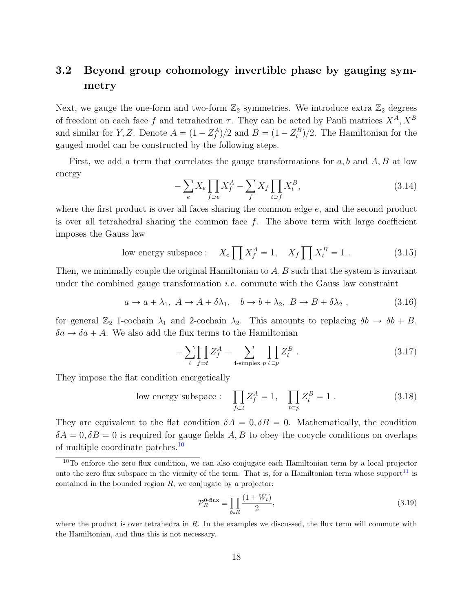## <span id="page-18-0"></span>3.2 Beyond group cohomology invertible phase by gauging symmetry

Next, we gauge the one-form and two-form  $\mathbb{Z}_2$  symmetries. We introduce extra  $\mathbb{Z}_2$  degrees of freedom on each face f and tetrahedron  $\tau$ . They can be acted by Pauli matrices  $X^A$ ,  $X^B$ and similar for Y, Z. Denote  $A = (1 - Z_f^A)/2$  and  $B = (1 - Z_t^B)/2$ . The Hamiltonian for the gauged model can be constructed by the following steps.

First, we add a term that correlates the gauge transformations for  $a, b$  and  $A, B$  at low energy

$$
-\sum_{e} X_e \prod_{f \supset e} X_f^A - \sum_{f} X_f \prod_{t \supset f} X_t^B,\tag{3.14}
$$

where the first product is over all faces sharing the common edge  $e$ , and the second product is over all tetrahedral sharing the common face  $f$ . The above term with large coefficient imposes the Gauss law

<span id="page-18-2"></span>low energy subspace: 
$$
X_e \prod X_f^A = 1
$$
,  $X_f \prod X_t^B = 1$ . (3.15)

Then, we minimally couple the original Hamiltonian to  $A, B$  such that the system is invariant under the combined gauge transformation *i.e.* commute with the Gauss law constraint

$$
a \to a + \lambda_1, \ A \to A + \delta\lambda_1, \quad b \to b + \lambda_2, \ B \to B + \delta\lambda_2 \ , \tag{3.16}
$$

for general  $\mathbb{Z}_2$  1-cochain  $\lambda_1$  and 2-cochain  $\lambda_2$ . This amounts to replacing  $\delta b \to \delta b + B$ ,  $\delta a \rightarrow \delta a + A$ . We also add the flux terms to the Hamiltonian

$$
-\sum_{t}\prod_{f \supset t} Z_f^A - \sum_{4\text{-simplex } p} \prod_{t \subset p} Z_t^B . \tag{3.17}
$$

They impose the flat condition energetically

low energy subspace : 
$$
\prod_{f \subset t} Z_f^A = 1, \quad \prod_{t \subset p} Z_t^B = 1.
$$
 (3.18)

They are equivalent to the flat condition  $\delta A = 0, \delta B = 0$ . Mathematically, the condition  $\delta A = 0$ ,  $\delta B = 0$  is required for gauge fields A, B to obey the cocycle conditions on overlaps of multiple coordinate patches.[10](#page-18-1)

$$
\mathcal{P}_R^{0\text{-flux}} \equiv \prod_{t \in R} \frac{(1 + W_t)}{2},\tag{3.19}
$$

where the product is over tetrahedra in  $R$ . In the examples we discussed, the flux term will commute with the Hamiltonian, and thus this is not necessary.

<span id="page-18-1"></span><sup>&</sup>lt;sup>10</sup>To enforce the zero flux condition, we can also conjugate each Hamiltonian term by a local projector onto the zero flux subspace in the vicinity of the term. That is, for a Hamiltonian term whose support<sup>[11](#page-0-0)</sup> is contained in the bounded region  $R$ , we conjugate by a projector: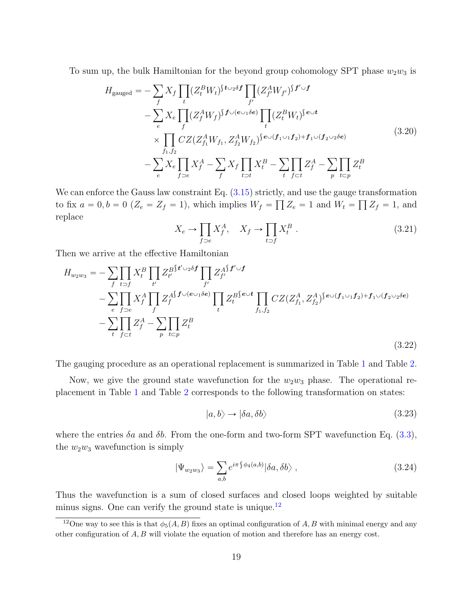To sum up, the bulk Hamiltonian for the beyond group cohomology SPT phase  $w_2w_3$  is

$$
H_{\text{gauged}} = -\sum_{f} X_{f} \prod_{t} (Z_{t}^{B} W_{t})^{f_{\text{U}_{2}} \delta f} \prod_{f'} (Z_{f'}^{A} W_{f'})^{f' \cup f} - \sum_{e} X_{e} \prod_{f} (Z_{f}^{A} W_{f})^{f_{\text{U}(e_{\text{U}_{1}} \delta e)}} \prod_{t} (Z_{t}^{B} W_{t})^{f_{\text{eU}}} \times \prod_{f_{1}, f_{2}} CZ (Z_{f_{1}}^{A} W_{f_{1}}, Z_{f_{2}}^{A} W_{f_{2}})^{f_{\text{eU}}(f_{1} \cup f_{2}) + f_{1} \cup (f_{2} \cup_{2} \delta e)} - \sum_{f} X_{e} \prod_{f \supset e} X_{f}^{A} - \sum_{f} X_{f} \prod_{t \supset t} X_{t}^{B} - \sum_{t} \prod_{f \in t} Z_{f}^{A} - \sum_{p} \prod_{t \in p} Z_{t}^{B}
$$
\n(3.20)

We can enforce the Gauss law constraint Eq.  $(3.15)$  strictly, and use the gauge transformation to fix  $a = 0, b = 0$  ( $Z_e = Z_f = 1$ ), which implies  $W_f = \prod Z_e = 1$  and  $W_t = \prod Z_f = 1$ , and replace

$$
X_e \to \prod_{f \supset e} X_f^A, \quad X_f \to \prod_{t \supset f} X_t^B \ . \tag{3.21}
$$

Then we arrive at the effective Hamiltonian

<span id="page-19-1"></span>
$$
H_{w_2w_3} = -\sum_{f} \prod_{t \supset f} X_t^B \prod_{t'} Z_{t'}^{B \{t' \cup_2 \delta f} \prod_{f'} Z_{f'}^{A \{f' \cup f\}} - \sum_{e} \prod_{f \supset e} X_f^A \prod_{f} Z_f^{A \{f \cup (e \cup_1 \delta e)\}} \prod_{t} Z_t^{B \{e \cup t} \prod_{f_1, f_2} CZ(Z_{f_1}^A, Z_{f_2}^A)^{\{e \cup (f_1 \cup_1 f_2) + f_1 \cup (f_2 \cup_2 \delta e)\}} - \sum_{t} \prod_{f \subset t} Z_f^A - \sum_{p} \prod_{t \subset p} Z_t^B
$$
\n(3.22)

The gauging procedure as an operational replacement is summarized in Table [1](#page-20-0) and Table [2.](#page-20-1)

Now, we give the ground state wavefunction for the  $w_2w_3$  phase. The operational replacement in Table [1](#page-20-0) and Table [2](#page-20-1) corresponds to the following transformation on states:

$$
|a,b\rangle \rightarrow |\delta a,\delta b\rangle \tag{3.23}
$$

where the entries  $\delta a$  and  $\delta b$ . From the one-form and two-form SPT wavefunction Eq. [\(3.3\)](#page-16-2), the  $w_2w_3$  wavefunction is simply

$$
|\Psi_{w_2w_3}\rangle = \sum_{a,b} e^{i\pi \int \phi_4(a,b)} |\delta a, \delta b\rangle , \qquad (3.24)
$$

Thus the wavefunction is a sum of closed surfaces and closed loops weighted by suitable minus signs. One can verify the ground state is unique.<sup>[12](#page-19-0)</sup>

<span id="page-19-0"></span><sup>&</sup>lt;sup>12</sup>One way to see this is that  $\phi_5(A, B)$  fixes an optimal configuration of A, B with minimal energy and any other configuration of  $A, B$  will violate the equation of motion and therefore has an energy cost.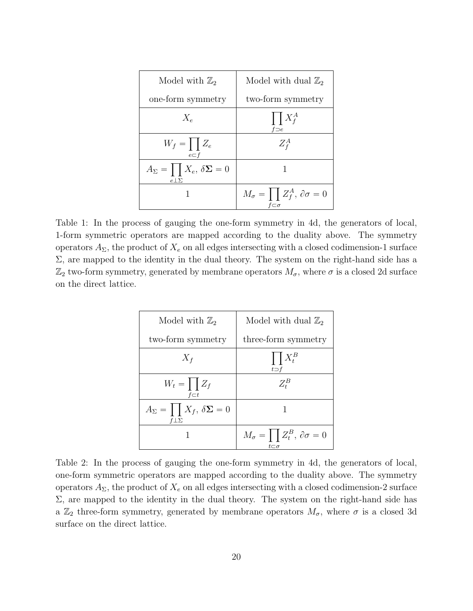<span id="page-20-0"></span>

| Model with $\mathbb{Z}_2$                                    | Model with dual $\mathbb{Z}_2$                                      |
|--------------------------------------------------------------|---------------------------------------------------------------------|
| one-form symmetry                                            | two-form symmetry                                                   |
| $X_{\epsilon}$                                               | $\prod X_f^A$<br>$f \supset e$                                      |
| $W_f = \prod Z_e$<br>$e \subset f$                           | $Z_f^A$                                                             |
| $A_{\Sigma} = \prod X_e, \delta \Sigma = 0$<br>$e\bot\Sigma$ |                                                                     |
|                                                              | $M_{\sigma} = \prod Z_f^A, \partial \sigma = 0$<br>$f\subset\sigma$ |

Table 1: In the process of gauging the one-form symmetry in 4d, the generators of local, 1-form symmetric operators are mapped according to the duality above. The symmetry operators  $A_{\Sigma}$ , the product of  $X_e$  on all edges intersecting with a closed codimension-1 surface  $\Sigma$ , are mapped to the identity in the dual theory. The system on the right-hand side has a  $\mathbb{Z}_2$  two-form symmetry, generated by membrane operators  $M_{\sigma}$ , where  $\sigma$  is a closed 2d surface on the direct lattice.

<span id="page-20-1"></span>

| Model with $\mathbb{Z}_2$                                    | Model with dual $\mathbb{Z}_2$                                                                          |
|--------------------------------------------------------------|---------------------------------------------------------------------------------------------------------|
| two-form symmetry                                            | three-form symmetry                                                                                     |
| $X_f$                                                        | $\prod X_t^B$<br>$t \supset f$                                                                          |
| $W_t = \prod Z_f$<br>$f \subset t$                           | $Z_t^B$                                                                                                 |
| $A_{\Sigma} = \prod X_f, \delta \Sigma = 0$<br>$f\bot\Sigma$ |                                                                                                         |
|                                                              | $M_{\sigma} = \left[ \begin{array}{c} Z_t^B, \partial \sigma = 0 \end{array} \right]$<br>$t$ C $\sigma$ |

Table 2: In the process of gauging the one-form symmetry in 4d, the generators of local, one-form symmetric operators are mapped according to the duality above. The symmetry operators  $A_{\Sigma}$ , the product of  $X_e$  on all edges intersecting with a closed codimension-2 surface  $\Sigma$ , are mapped to the identity in the dual theory. The system on the right-hand side has a  $\mathbb{Z}_2$  three-form symmetry, generated by membrane operators  $M_{\sigma}$ , where  $\sigma$  is a closed 3d surface on the direct lattice.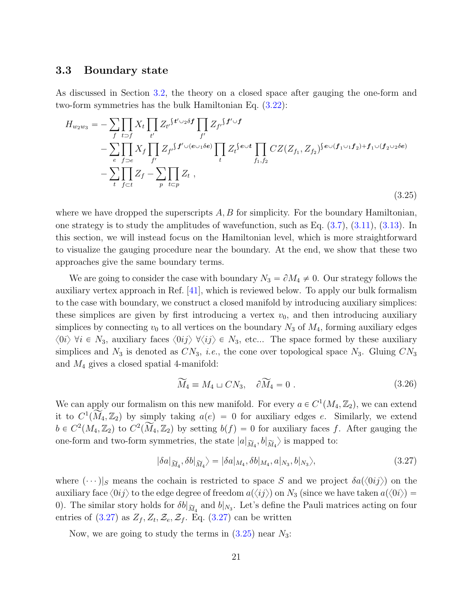### <span id="page-21-0"></span>3.3 Boundary state

As discussed in Section [3.2,](#page-18-0) the theory on a closed space after gauging the one-form and two-form symmetries has the bulk Hamiltonian Eq. [\(3.22\)](#page-19-1):

<span id="page-21-2"></span>
$$
H_{w_2w_3} = -\sum_{f} \prod_{t \supset f} X_t \prod_{t'} Z_{t'} S^{t' \cup 2\delta f} \prod_{f'} Z_{f'} S^{f' \cup f} - \sum_{e} \prod_{f \supset e} X_f \prod_{f'} Z_{f'} S^{t' \cup (e \cup_1 \delta e)} \prod_{t} Z_t^{f} \prod_{f_1, f_2} CZ(Z_{f_1}, Z_{f_2})^{f} e \cup (f_1 \cup_1 f_2) + f_1 \cup (f_2 \cup_2 \delta e) - \sum_{t} \prod_{f \subset t} Z_f - \sum_{p} \prod_{t \subset p} Z_t,
$$
\n(3.25)

where we have dropped the superscripts  $A, B$  for simplicity. For the boundary Hamiltonian, one strategy is to study the amplitudes of wavefunction, such as Eq.  $(3.7)$ ,  $(3.11)$ ,  $(3.13)$ . In this section, we will instead focus on the Hamiltonian level, which is more straightforward to visualize the gauging procedure near the boundary. At the end, we show that these two approaches give the same boundary terms.

We are going to consider the case with boundary  $N_3 = \partial M_4 \neq 0$ . Our strategy follows the auxiliary vertex approach in Ref. [\[41\]](#page-56-5), which is reviewed below. To apply our bulk formalism to the case with boundary, we construct a closed manifold by introducing auxiliary simplices: these simplices are given by first introducing a vertex  $v_0$ , and then introducing auxiliary simplices by connecting  $v_0$  to all vertices on the boundary  $N_3$  of  $M_4$ , forming auxiliary edges  $\langle 0i \rangle$   $\forall i \in N_3$ , auxiliary faces  $\langle 0i j \rangle$   $\forall \langle ij \rangle \in N_3$ , etc... The space formed by these auxiliary simplices and  $N_3$  is denoted as  $CN_3$ , *i.e.*, the cone over topological space  $N_3$ . Gluing  $CN_3$ and  $M_4$  gives a closed spatial 4-manifold:

$$
\widetilde{M}_4 \equiv M_4 \sqcup CN_3, \quad \partial \widetilde{M}_4 = 0 \ . \tag{3.26}
$$

We can apply our formalism on this new manifold. For every  $a \in C^1(M_4, \mathbb{Z}_2)$ , we can extend it to  $C^1(\widetilde{M}_4, \mathbb{Z}_2)$  by simply taking  $a(e) = 0$  for auxiliary edges e. Similarly, we extend  $b \in C^2(M_4, \mathbb{Z}_2)$  to  $C^2(\widetilde{M}_4, \mathbb{Z}_2)$  by setting  $b(f) = 0$  for auxiliary faces f. After gauging the one-form and two-form symmetries, the state  $|a|_{\widetilde{M}_4}$ ,  $b|_{\widetilde{M}_4}$  is mapped to:

$$
|\delta a|_{\widetilde{M}_4}, \delta b|_{\widetilde{M}_4}\rangle = |\delta a|_{M_4}, \delta b|_{M_4}, a|_{N_3}, b|_{N_3}\rangle,
$$
\n(3.27)

<span id="page-21-1"></span>where  $(\cdots)|_S$  means the cochain is restricted to space S and we project  $\delta a(\langle 0ij \rangle)$  on the auxiliary face  $\langle 0ij \rangle$  to the edge degree of freedom  $a(\langle ij \rangle)$  on  $N_3$  (since we have taken  $a(\langle 0i \rangle)$  = 0). The similar story holds for  $\delta b|_{\widetilde{M}_4}$  and  $b|_{N_3}$ . Let's define the Pauli matrices acting on four entries of  $(3.27)$  as  $Z_f$ ,  $Z_t$ ,  $Z_e$ ,  $Z_f$ . Eq.  $(3.27)$  can be written

Now, we are going to study the terms in  $(3.25)$  near  $N_3$ :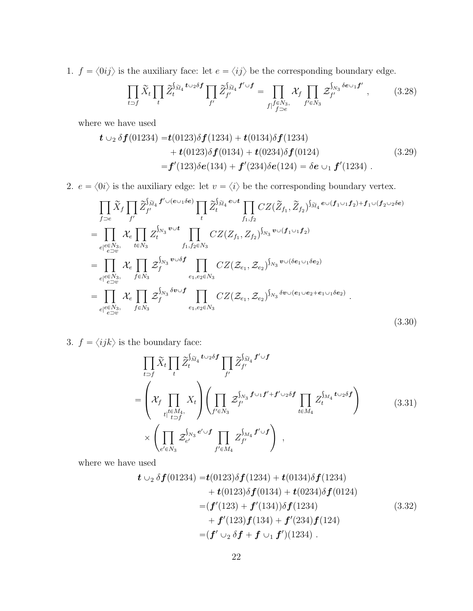1.  $f = \langle 0ij \rangle$  is the auxiliary face: let  $e = \langle ij \rangle$  be the corresponding boundary edge.

<span id="page-22-1"></span>
$$
\prod_{t \supset f} \widetilde{X}_t \prod_t \widetilde{Z}_t^{\int_{\widetilde{M}_4} t \cup_2 \delta f} \prod_{f'} \widetilde{Z}_{f'}^{\int_{\widetilde{M}_4} f' \cup f} = \prod_{f \mid f \in N_3, \atop f \supset e} \mathcal{X}_f \prod_{f' \in N_3} \mathcal{Z}_{f'}^{\int_{N_3} \delta e \cup_1 f'} , \qquad (3.28)
$$

where we have used

$$
\begin{aligned} \mathbf{t} \cup_2 \delta \mathbf{f}(01234) &= \mathbf{t}(0123)\delta \mathbf{f}(1234) + \mathbf{t}(0134)\delta \mathbf{f}(1234) \\ &+ \mathbf{t}(0123)\delta \mathbf{f}(0134) + \mathbf{t}(0234)\delta \mathbf{f}(0124) \\ &= \mathbf{f}'(123)\delta \mathbf{e}(134) + \mathbf{f}'(234)\delta \mathbf{e}(124) = \delta \mathbf{e} \cup_1 \mathbf{f}'(1234) \,. \end{aligned} \tag{3.29}
$$

2.  $e = \langle 0i \rangle$  is the auxiliary edge: let  $v = \langle i \rangle$  be the corresponding boundary vertex.

$$
\prod_{f\supset e} \widetilde{X}_f \prod_{f'} \widetilde{Z}_{f'}^{\widetilde{M}_4} f' \cup (e \cup_1 \delta e) \prod_{t} \widetilde{Z}_t^{\widetilde{M}_4} e^{\cup t} \prod_{f_1, f_2} CZ(\widetilde{Z}_{f_1}, \widetilde{Z}_{f_2})^{\widetilde{M}_4} e^{\cup (f_1 \cup_1 f_2) + f_1 \cup (f_2 \cup_2 \delta e)}
$$
\n
$$
= \prod_{e|e \in N_3, \atop e \supset v} \mathcal{X}_e \prod_{t \in N_3} Z_t^{\widetilde{N}_3} e^{\cup t} \prod_{f_1, f_2 \in N_3} CZ(Z_{f_1}, Z_{f_2})^{\widetilde{N}_3} e^{\cup (f_1 \cup_1 f_2)}
$$
\n
$$
= \prod_{e|e \in N_3, \atop e \supset v} \mathcal{X}_e \prod_{f \in N_3} \widetilde{Z}_f^{\widetilde{N}_3} e^{\cup \delta f} \prod_{e_1, e_2 \in N_3} CZ(\widetilde{Z}_{e_1}, \widetilde{Z}_{e_2})^{\widetilde{N}_3} e^{\cup (\delta e_1 \cup_1 \delta e_2)}
$$
\n
$$
= \prod_{e|e \in N_3, \atop e \supset v} \mathcal{X}_e \prod_{f \in N_3} \widetilde{Z}_f^{\widetilde{N}_3} \delta v \cup f \prod_{e_1, e_2 \in N_3} CZ(\widetilde{Z}_{e_1}, \widetilde{Z}_{e_2})^{\widetilde{N}_3} \delta v \cup (e_1 \cup e_2 + e_1 \cup_1 \delta e_2) .
$$
\n(3.30)

<span id="page-22-0"></span>3.  $f = \langle ijk \rangle$  is the boundary face:

$$
\prod_{t \supset f} \widetilde{X}_t \prod_t \widetilde{Z}_t^{\int_{\widetilde{M}_4} t \cup_2 \delta f} \prod_{f'} \widetilde{Z}_{f'}^{\int_{\widetilde{M}_4} f' \cup f}
$$
\n
$$
= \left( \mathcal{X}_f \prod_{t \mid t \in M_4, \atop t \mid t \supset f} X_t \right) \left( \prod_{f' \in N_3} \mathcal{Z}_{f'}^{\int_{N_3} f \cup_1 f' + f' \cup_2 \delta f} \prod_{t \in M_4} Z_t^{\int_{M_4} t \cup_2 \delta f} \right) \qquad (3.31)
$$
\n
$$
\times \left( \prod_{e' \in N_3} \mathcal{Z}_{e'}^{\int_{N_3} e' \cup f} \prod_{f' \in M_4} Z_{f'}^{\int_{M_4} f' \cup f} \right) ,
$$

where we have used

$$
\begin{aligned}\n\boldsymbol{t} \cup_2 \delta f(01234) &= \boldsymbol{t}(0123)\delta f(1234) + \boldsymbol{t}(0134)\delta f(1234) \\
&\quad + \boldsymbol{t}(0123)\delta f(0134) + \boldsymbol{t}(0234)\delta f(0124) \\
&= (\boldsymbol{f}'(123) + \boldsymbol{f}'(134))\delta \boldsymbol{f}(1234) \\
&\quad + \boldsymbol{f}'(123)\boldsymbol{f}(134) + \boldsymbol{f}'(234)\boldsymbol{f}(124) \\
&= (\boldsymbol{f}' \cup_2 \delta \boldsymbol{f} + \boldsymbol{f} \cup_1 \boldsymbol{f}')(1234) \ .\n\end{aligned}\n\tag{3.32}
$$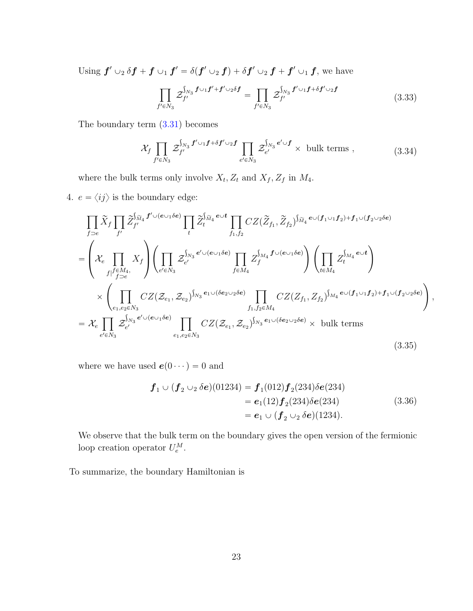Using  $\bm{f}' \cup_2 \delta \bm{f} + \bm{f} \cup_1 \bm{f}' = \delta(\bm{f}' \cup_2 \bm{f}) + \delta \bm{f}' \cup_2 \bm{f} + \bm{f}' \cup_1 \bm{f}$ , we have

$$
\prod_{f' \in N_3} \mathcal{Z}_{f'}^{\int_{N_3} f \cup_1 f' + f' \cup_2 \delta f} = \prod_{f' \in N_3} \mathcal{Z}_{f'}^{\int_{N_3} f' \cup_1 f + \delta f' \cup_2 f}
$$
\n(3.33)

<span id="page-23-0"></span>The boundary term  $(3.31)$  becomes

$$
\mathcal{X}_f \prod_{f' \in N_3} \mathcal{Z}_{f'}^{\int_{N_3} f' \cup_1 f + \delta f' \cup_2 f} \prod_{e' \in N_3} \mathcal{Z}_{e'}^{\int_{N_3} e' \cup f} \times \text{ bulk terms }, \qquad (3.34)
$$

where the bulk terms only involve  $X_t$ ,  $Z_t$  and  $X_f$ ,  $Z_f$  in  $M_4$ .

4.  $e = \langle ij \rangle$  is the boundary edge:

$$
\prod_{f\supset e} \widetilde{X}_f \prod_{f'} \widetilde{Z}_{f'}^{\widetilde{M}_4} f' \cup (e \cup_1 \delta e) \prod_{t} \widetilde{Z}_t^{\widetilde{M}_4} e \cup t \prod_{f_1, f_2} CZ(\widetilde{Z}_{f_1}, \widetilde{Z}_{f_2})^{\widetilde{M}_4} e \cup (f_1 \cup_1 f_2) + f_1 \cup (f_2 \cup_2 \delta e)
$$
\n
$$
= \left( \mathcal{X}_e \prod_{f \mid f \in M_4, f \atop f \mid f \supset e} X_f \right) \left( \prod_{e' \in N_3} \mathcal{Z}_{e'}^{\widetilde{M}_3} e' \cup (e \cup_1 \delta e) \prod_{f \in M_4} Z_f^{\widetilde{M}_4} f \cup (e \cup_1 \delta e) \right) \left( \prod_{t \in M_4} Z_t^{\widetilde{M}_4} e \cup t \right)
$$
\n
$$
\times \left( \prod_{e_1, e_2 \in N_3} CZ(\mathcal{Z}_{e_1}, \mathcal{Z}_{e_2})^{\widetilde{M}_3} e_1 \cup (\delta e_2 \cup_2 \delta e) \prod_{f_1, f_2 \in M_4} CZ(\mathcal{Z}_{f_1}, \mathcal{Z}_{f_2})^{\widetilde{M}_4} e \cup (f_1 \cup_1 f_2) + f_1 \cup (f_2 \cup_2 \delta e) \right),
$$
\n
$$
= \mathcal{X}_e \prod_{e' \in N_3} \mathcal{Z}_{e'}^{\widetilde{M}_3} e' \cup (e \cup_1 \delta e) \prod_{e_1, e_2 \in N_3} CZ(\mathcal{Z}_{e_1}, \mathcal{Z}_{e_2})^{\widetilde{M}_3} e_1 \cup (\delta e_2 \cup_2 \delta e) \times \text{bulk terms}
$$
\n(3.35)

where we have used  $\boldsymbol{e}(0\cdots)=0$  and

$$
\mathbf{f}_1 \cup (\mathbf{f}_2 \cup_2 \delta \mathbf{e}) (01234) = \mathbf{f}_1 (012) \mathbf{f}_2 (234) \delta \mathbf{e} (234)
$$
  
=  $\mathbf{e}_1 (12) \mathbf{f}_2 (234) \delta \mathbf{e} (234)$   
=  $\mathbf{e}_1 \cup (\mathbf{f}_2 \cup_2 \delta \mathbf{e}) (1234).$  (3.36)

We observe that the bulk term on the boundary gives the open version of the fermionic loop creation operator  $U_e^M$ .

To summarize, the boundary Hamiltonian is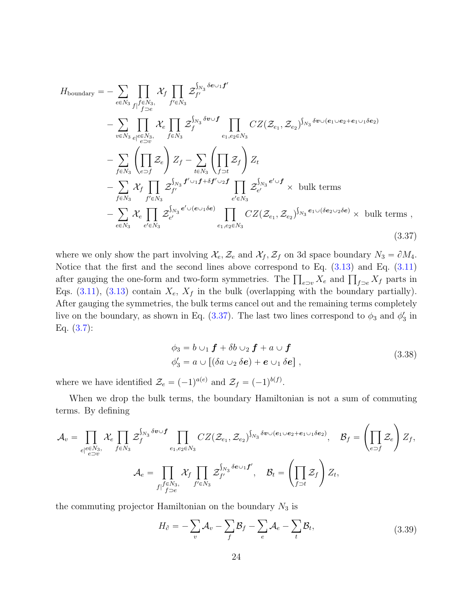<span id="page-24-0"></span>
$$
H_{\text{boundary}} = -\sum_{e \in N_3} \prod_{f|f \in N_3} \mathcal{X}_f \prod_{f' \in N_3} \mathcal{Z}_{f'}^{\int_{N_3} \delta e \cup 1 f'}
$$
  

$$
- \sum_{v \in N_3} \prod_{e|e \in N_3} \mathcal{X}_e \prod_{f \in N_3} \mathcal{Z}_{f}^{\int_{N_3} \delta v \cup f} \prod_{e_1, e_2 \in N_3} CZ(\mathcal{Z}_{e_1}, \mathcal{Z}_{e_2})^{\int_{N_3} \delta v \cup (e_1 \cup e_2 + e_1 \cup_1 \delta e_2)}
$$
  

$$
- \sum_{f \in N_3} \left( \prod_{e \supset f} \mathcal{Z}_e \right) Z_f - \sum_{t \in N_3} \left( \prod_{f \supset t} \mathcal{Z}_f \right) Z_t
$$
  

$$
- \sum_{f \in N_3} \mathcal{X}_f \prod_{f' \in N_3} \mathcal{Z}_{f'}^{\int_{N_3} f' \cup_1 f + \delta f' \cup_2 f} \prod_{e' \in N_3} \mathcal{Z}_{e'}^{\int_{N_3} e' \cup f} \times \text{ bulk terms}
$$
  

$$
- \sum_{e \in N_3} \mathcal{X}_e \prod_{e' \in N_3} \mathcal{Z}_{e'}^{\int_{N_3} e' \cup (e \cup_1 \delta e)} \prod_{e_1, e_2 \in N_3} CZ(\mathcal{Z}_{e_1}, \mathcal{Z}_{e_2})^{\int_{N_3} e_1 \cup (\delta e_2 \cup_2 \delta e)} \times \text{ bulk terms},
$$
  
(3.37)

where we only show the part involving  $\mathcal{X}_e, \mathcal{Z}_e$  and  $\mathcal{X}_f, \mathcal{Z}_f$  on 3d space boundary  $N_3 = \partial M_4$ . Notice that the first and the second lines above correspond to Eq. [\(3.13\)](#page-17-1) and Eq. [\(3.11\)](#page-17-0) Notice that the first and the second lines above correspond to Eq. (3.13) and Eq. (3.11)<br>after gauging the one-form and two-form symmetries. The  $\prod_{e=v} X_e$  and  $\prod_{f \supset e} X_f$  parts in Eqs.  $(3.11)$ ,  $(3.13)$  contain  $X_e$ ,  $X_f$  in the bulk (overlapping with the boundary partially). After gauging the symmetries, the bulk terms cancel out and the remaining terms completely live on the boundary, as shown in Eq.  $(3.37)$ . The last two lines correspond to  $\phi_3$  and  $\phi'_3$  in Eq. [\(3.7\)](#page-16-1):

$$
\phi_3 = b \cup_1 \mathbf{f} + \delta b \cup_2 \mathbf{f} + a \cup \mathbf{f}
$$
  
\n
$$
\phi'_3 = a \cup [(\delta a \cup_2 \delta \mathbf{e}) + \mathbf{e} \cup_1 \delta \mathbf{e}],
$$
\n(3.38)

where we have identified  $\mathcal{Z}_e = (-1)^{a(e)}$  and  $\mathcal{Z}_f = (-1)^{b(f)}$ .

When we drop the bulk terms, the boundary Hamiltonian is not a sum of commuting terms. By defining

$$
\mathcal{A}_{v} = \prod_{e|e \in N_{3}, \atop e \supset v} \mathcal{X}_{e} \prod_{f \in N_{3}} \mathcal{Z}_{f}^{\int_{N_{3}} \delta v \cup f} \prod_{e_{1}, e_{2} \in N_{3}} CZ(\mathcal{Z}_{e_{1}}, \mathcal{Z}_{e_{2}})^{\int_{N_{3}} \delta v \cup (e_{1} \cup e_{2} + e_{1} \cup_{1} \delta e_{2})}, \quad \mathcal{B}_{f} = \left( \prod_{e \supset f} \mathcal{Z}_{e} \right) Z_{f},
$$
\n
$$
\mathcal{A}_{e} = \prod_{f|f \in N_{3}, \atop f|f \supset e} \mathcal{X}_{f} \prod_{f' \in N_{3}} \mathcal{Z}_{f'}^{\int_{N_{3}} \delta e \cup_{1} f'}, \quad \mathcal{B}_{t} = \left( \prod_{f \supset t} \mathcal{Z}_{f} \right) Z_{t},
$$

the commuting projector Hamiltonian on the boundary  $N_3$  is

$$
H_{\partial} = -\sum_{v} \mathcal{A}_{v} - \sum_{f} \mathcal{B}_{f} - \sum_{e} \mathcal{A}_{e} - \sum_{t} \mathcal{B}_{t},
$$
\n(3.39)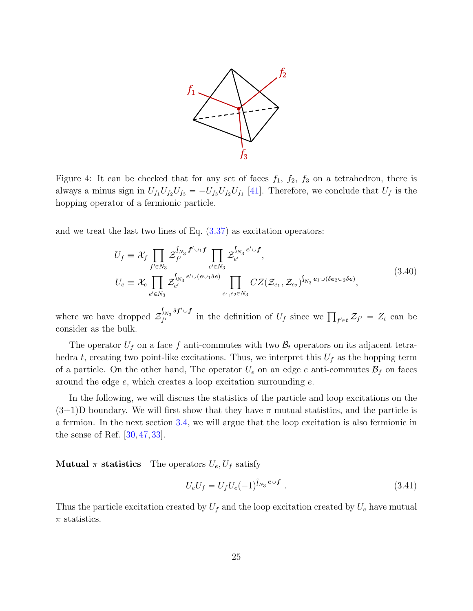

<span id="page-25-0"></span>Figure 4: It can be checked that for any set of faces  $f_1$ ,  $f_2$ ,  $f_3$  on a tetrahedron, there is always a minus sign in  $U_{f_1}U_{f_2}U_{f_3} = -U_{f_3}U_{f_2}U_{f_1}$  [\[41\]](#page-56-5). Therefore, we conclude that  $U_f$  is the hopping operator of a fermionic particle.

and we treat the last two lines of Eq. [\(3.37\)](#page-24-0) as excitation operators:

$$
U_f \equiv \mathcal{X}_f \prod_{f' \in N_3} \mathcal{Z}_{f'}^{\int_{N_3} f' \cup_1 f} \prod_{e' \in N_3} \mathcal{Z}_{e'}^{\int_{N_3} e' \cup f},
$$
  
\n
$$
U_e \equiv \mathcal{X}_e \prod_{e' \in N_3} \mathcal{Z}_{e'}^{\int_{N_3} e' \cup (e \cup_1 \delta e)} \prod_{e_1, e_2 \in N_3} CZ(\mathcal{Z}_{e_1}, \mathcal{Z}_{e_2})^{\int_{N_3} e_1 \cup (\delta e_2 \cup_2 \delta e)},
$$
\n(3.40)

where we have dropped  $\mathcal Z$  $_{N_3} \delta\pmb{f}'\!\cup\! \pmb{f}$  $\int_{f'} \int_{f'} \delta f' \cup f$  in the definition of  $U_f$  since we  $\prod_{f' \in t} \mathcal{Z}_{f'} = Z_t$  can be consider as the bulk.

The operator  $U_f$  on a face f anti-commutes with two  $\mathcal{B}_t$  operators on its adjacent tetrahedra t, creating two point-like excitations. Thus, we interpret this  $U_f$  as the hopping term of a particle. On the other hand, The operator  $U_e$  on an edge e anti-commutes  $\mathcal{B}_f$  on faces around the edge e, which creates a loop excitation surrounding e.

In the following, we will discuss the statistics of the particle and loop excitations on the  $(3+1)$ D boundary. We will first show that they have  $\pi$  mutual statistics, and the particle is a fermion. In the next section [3.4,](#page-26-0) we will argue that the loop excitation is also fermionic in the sense of Ref.  $[30, 47, 33]$  $[30, 47, 33]$  $[30, 47, 33]$  $[30, 47, 33]$  $[30, 47, 33]$ .

#### **Mutual**  $\pi$  statistics The operators  $U_e$ ,  $U_f$  satisfy

$$
U_e U_f = U_f U_e (-1)^{\int_{N_3} e \cup f} \tag{3.41}
$$

Thus the particle excitation created by  $U_f$  and the loop excitation created by  $U_e$  have mutual  $\pi$  statistics.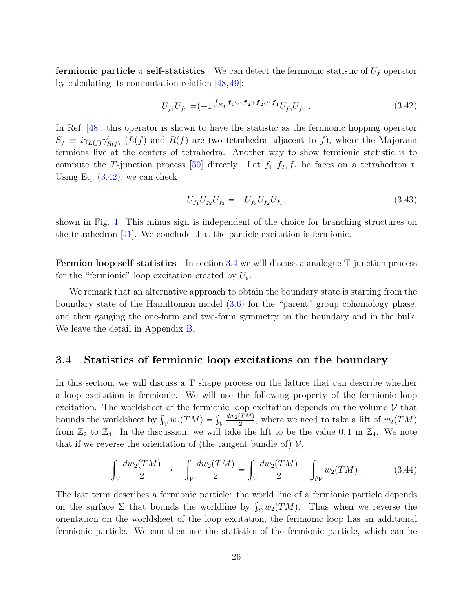**fermionic particle**  $\pi$  self-statistics We can detect the fermionic statistic of  $U_f$  operator by calculating its commutation relation  $[48, 49]$  $[48, 49]$  $[48, 49]$ :

$$
U_{f_1} U_{f_2} = (-1)^{\int_{N_3} f_1 \cup_1 f_2 + f_2 \cup_1 f_1} U_{f_2} U_{f_1} . \tag{3.42}
$$

<span id="page-26-1"></span>In Ref. [\[48\]](#page-57-2), this operator is shown to have the statistic as the fermionic hopping operator  $S_f \equiv i\gamma_{L(f)}\gamma'_{R(f)}(L(f)$  and  $R(f)$  are two tetrahedra adjacent to f), where the Majorana fermions live at the centers of tetrahedra. Another way to show fermionic statistic is to compute the T-junction process [\[50\]](#page-57-4) directly. Let  $f_1, f_2, f_3$  be faces on a tetrahedron t. Using Eq. [\(3.42\)](#page-26-1), we can check

$$
U_{f_1} U_{f_2} U_{f_3} = -U_{f_3} U_{f_2} U_{f_1},\tag{3.43}
$$

shown in Fig. [4.](#page-25-0) This minus sign is independent of the choice for branching structures on the tetrahedron [\[41\]](#page-56-5). We conclude that the particle excitation is fermionic.

Fermion loop self-statistics In section [3.4](#page-26-0) we will discuss a analogue T-junction process for the "fermionic" loop excitation created by  $U_e$ .

We remark that an alternative approach to obtain the boundary state is starting from the boundary state of the Hamiltonian model [\(3.6\)](#page-16-3) for the "parent" group cohomology phase, and then gauging the one-form and two-form symmetry on the boundary and in the bulk. We leave the detail in Appendix [B.](#page-46-1)

### <span id="page-26-0"></span>3.4 Statistics of fermionic loop excitations on the boundary

In this section, we will discuss a T shape process on the lattice that can describe whether a loop excitation is fermionic. We will use the following property of the fermionic loop excitation. The worldsheet of the fermionic loop excitation depends on the volume  $V$  that excitation. The worldsheet of the fermion<br>bounds the worldsheet by  $\int_{\mathcal{V}} w_3(TM) = \int_{\mathcal{V}}$  $dw_2(TM)$  $\frac{(TM)}{2}$ , where we need to take a lift of  $w_2(TM)$ from  $\mathbb{Z}_2$  to  $\mathbb{Z}_4$ . In the discussion, we will take the lift to be the value 0, 1 in  $\mathbb{Z}_4$ . We note that if we reverse the orientation of (the tangent bundle of)  $\mathcal{V}$ ,

$$
\int_{\mathcal{V}} \frac{dw_2(TM)}{2} \to -\int_{\mathcal{V}} \frac{dw_2(TM)}{2} = \int_{\mathcal{V}} \frac{dw_2(TM)}{2} - \int_{\partial \mathcal{V}} w_2(TM) . \tag{3.44}
$$

The last term describes a fermionic particle: the world line of a fermionic particle depends The last term describes a fermionic particle: the world line of a fermionic particle depends<br>on the surface  $\Sigma$  that bounds the worldline by  $\int_{\Sigma} w_2(TM)$ . Thus when we reverse the orientation on the worldsheet of the loop excitation, the fermionic loop has an additional fermionic particle. We can then use the statistics of the fermionic particle, which can be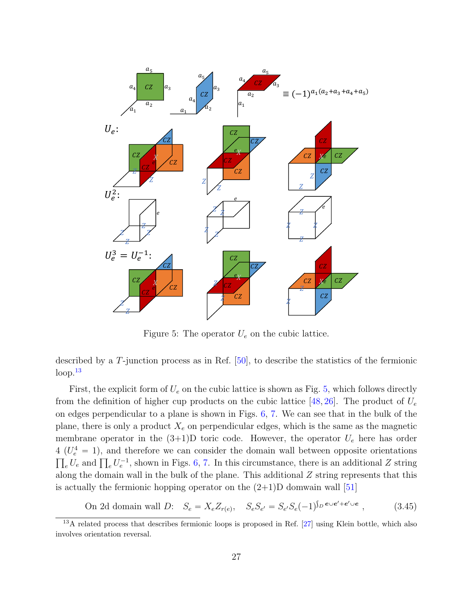<span id="page-27-1"></span>

Figure 5: The operator  $U_e$  on the cubic lattice.

described by a T-junction process as in Ref. [\[50\]](#page-57-4), to describe the statistics of the fermionic  $loop.<sup>13</sup>$  $loop.<sup>13</sup>$  $loop.<sup>13</sup>$ 

First, the explicit form of  $U_e$  on the cubic lattice is shown as Fig. [5,](#page-27-1) which follows directly from the definition of higher cup products on the cubic lattice [\[48,](#page-57-2) [26\]](#page-55-4). The product of  $U_e$ on edges perpendicular to a plane is shown in Figs. [6,](#page-28-1) [7.](#page-29-0) We can see that in the bulk of the plane, there is only a product  $X_e$  on perpendicular edges, which is the same as the magnetic membrane operator in the  $(3+1)D$  toric code. However, the operator  $U_e$  here has order  $4 (U_e^4 = 1)$ , and therefore we can consider the domain wall between opposite orientations  $(U_e^{\dagger} = 1)$ , and therefore we can consider the domain wall between opposite orientations  $e^U e$  and  $\prod_e U_e^{-1}$ , shown in Figs. [6,](#page-28-1) [7.](#page-29-0) In this circumstance, there is an additional Z string along the domain wall in the bulk of the plane. This additional Z string represents that this is actually the fermionic hopping operator on the  $(2+1)D$  domwain wall [\[51\]](#page-57-5)

On 2d domain wall D:  $S_e = X_e Z_{r(e)}$ ,  $S_e S_{e'} = S_{e'} S_e(-1)$  $\frac{1}{D}$ e $\cup$ e $'+$ e $'\cup$ e  $(3.45)$ 

<span id="page-27-0"></span> $13\overline{A}$  related process that describes fermionic loops is proposed in Ref. [\[27\]](#page-55-5) using Klein bottle, which also involves orientation reversal.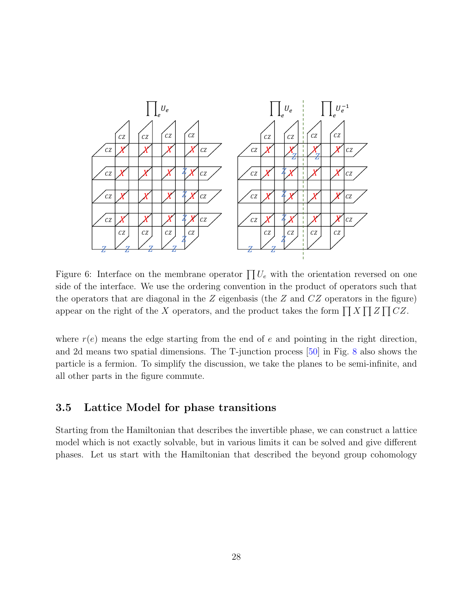<span id="page-28-1"></span>

Figure 6: Interface on the membrane operator  $\prod U_e$  with the orientation reversed on one side of the interface. We use the ordering convention in the product of operators such that the operators that are diagonal in the  $Z$  eigenbasis (the  $Z$  and  $CZ$  operators in the figure) the operators that are diagonal in the z eigenbasis (the z and  $C$ z operators in the figure<br>appear on the right of the X operators, and the product takes the form  $\prod X \prod Z \prod CZ$ .

where  $r(e)$  means the edge starting from the end of e and pointing in the right direction, and 2d means two spatial dimensions. The T-junction process [\[50\]](#page-57-4) in Fig. [8](#page-30-0) also shows the particle is a fermion. To simplify the discussion, we take the planes to be semi-infinite, and all other parts in the figure commute.

## <span id="page-28-0"></span>3.5 Lattice Model for phase transitions

Starting from the Hamiltonian that describes the invertible phase, we can construct a lattice model which is not exactly solvable, but in various limits it can be solved and give different phases. Let us start with the Hamiltonian that described the beyond group cohomology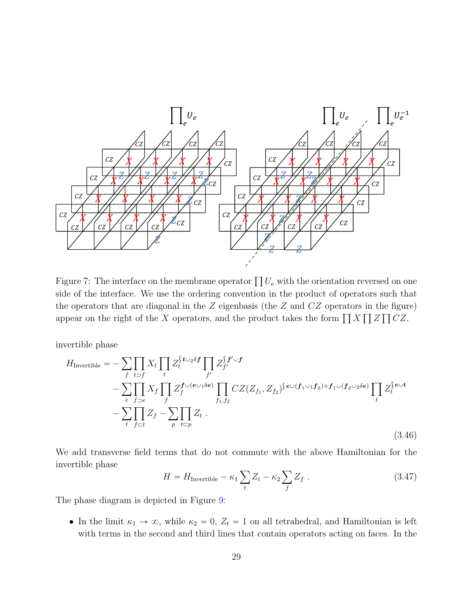<span id="page-29-0"></span>

Figure 7: The interface on the membrane operator  $\prod U_e$  with the orientation reversed on one side of the interface. We use the ordering convention in the product of operators such that the operators that are diagonal in the  $Z$  eigenbasis (the  $Z$  and  $CZ$  operators in the figure) the operators that are diagonal in the z eigenbasis (the z and C z operators in the figure<br>appear on the right of the X operators, and the product takes the form  $\prod X \prod Z \prod CZ$ .

invertible phase

$$
H_{\text{Invertible}} = -\sum_{f} \prod_{t \supset f} X_t \prod_t Z_t^{\{t \cup_2 \delta f\}} \prod_{f'} Z_{f'}^{\{f' \cup f\}} - \sum_{e} \prod_{f \supset e} X_f \prod_{f \supset e} Z_f^{\{t \cup e \cup_1 \delta e\}} \prod_{f_1, f_2} CZ(Z_{f_1}, Z_{f_2})^{\{e \cup (f_1 \cup_1 f_2) + f_1 \cup (f_2 \cup_2 \delta e)\}} \prod_t Z_t^{\{e \cup t\}} - \sum_{t} \prod_{f \subset t} Z_f - \sum_{p} \prod_{t \subset p} Z_t \ .
$$
\n(3.46)

We add transverse field terms that do not commute with the above Hamiltonian for the invertible phase

<span id="page-29-1"></span>
$$
H = H_{\text{Invertible}} - \kappa_1 \sum_{t} Z_t - \kappa_2 \sum_{f} Z_f \tag{3.47}
$$

The phase diagram is depicted in Figure [9:](#page-31-0)

• In the limit  $\kappa_1 \to \infty$ , while  $\kappa_2 = 0$ ,  $Z_t = 1$  on all tetrahedral, and Hamiltonian is left with terms in the second and third lines that contain operators acting on faces. In the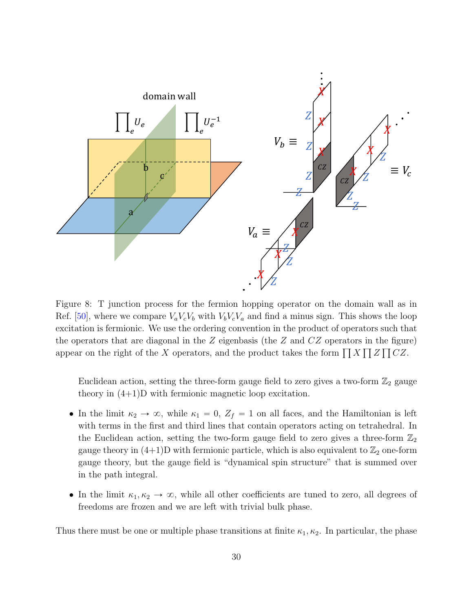<span id="page-30-0"></span>

Figure 8: T junction process for the fermion hopping operator on the domain wall as in Ref. [\[50\]](#page-57-4), where we compare  $V_a V_c V_b$  with  $V_b V_c V_a$  and find a minus sign. This shows the loop excitation is fermionic. We use the ordering convention in the product of operators such that the operators that are diagonal in the  $Z$  eigenbasis (the  $Z$  and  $CZ$  operators in the figure) the operators that are diagonal in the z eigenbasis (the z and Cz operators in the figure<br>appear on the right of the X operators, and the product takes the form  $\prod X \prod Z \prod CZ$ .

Euclidean action, setting the three-form gauge field to zero gives a two-form  $\mathbb{Z}_2$  gauge theory in (4+1)D with fermionic magnetic loop excitation.

- In the limit  $\kappa_2 \to \infty$ , while  $\kappa_1 = 0$ ,  $Z_f = 1$  on all faces, and the Hamiltonian is left with terms in the first and third lines that contain operators acting on tetrahedral. In the Euclidean action, setting the two-form gauge field to zero gives a three-form  $\mathbb{Z}_2$ gauge theory in  $(4+1)D$  with fermionic particle, which is also equivalent to  $\mathbb{Z}_2$  one-form gauge theory, but the gauge field is "dynamical spin structure" that is summed over in the path integral.
- In the limit  $\kappa_1, \kappa_2 \to \infty$ , while all other coefficients are tuned to zero, all degrees of freedoms are frozen and we are left with trivial bulk phase.

Thus there must be one or multiple phase transitions at finite  $\kappa_1, \kappa_2$ . In particular, the phase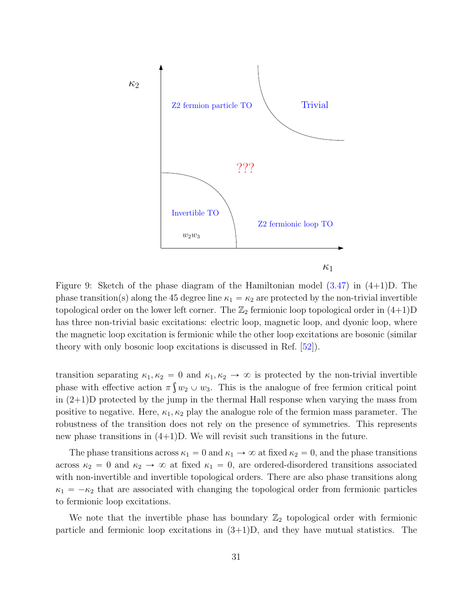<span id="page-31-0"></span>

Figure 9: Sketch of the phase diagram of the Hamiltonian model [\(3.47\)](#page-29-1) in (4+1)D. The phase transition(s) along the 45 degree line  $\kappa_1 = \kappa_2$  are protected by the non-trivial invertible topological order on the lower left corner. The  $\mathbb{Z}_2$  fermionic loop topological order in  $(4+1)D$ has three non-trivial basic excitations: electric loop, magnetic loop, and dyonic loop, where the magnetic loop excitation is fermionic while the other loop excitations are bosonic (similar theory with only bosonic loop excitations is discussed in Ref. [\[52\]](#page-57-6)).

transition separating  $\kappa_1, \kappa_2 = 0$  and  $\kappa_1, \kappa_2 \to \infty$  is protected by the non-trivial invertible phase with effective action  $\pi \int w_2 \cup w_3$ . This is the analogue of free fermion critical point in (2+1)D protected by the jump in the thermal Hall response when varying the mass from positive to negative. Here,  $\kappa_1, \kappa_2$  play the analogue role of the fermion mass parameter. The robustness of the transition does not rely on the presence of symmetries. This represents new phase transitions in  $(4+1)D$ . We will revisit such transitions in the future.

The phase transitions across  $\kappa_1 = 0$  and  $\kappa_1 \to \infty$  at fixed  $\kappa_2 = 0$ , and the phase transitions across  $\kappa_2 = 0$  and  $\kappa_2 \rightarrow \infty$  at fixed  $\kappa_1 = 0$ , are ordered-disordered transitions associated with non-invertible and invertible topological orders. There are also phase transitions along  $\kappa_1 = -\kappa_2$  that are associated with changing the topological order from fermionic particles to fermionic loop excitations.

We note that the invertible phase has boundary  $\mathbb{Z}_2$  topological order with fermionic particle and fermionic loop excitations in  $(3+1)D$ , and they have mutual statistics. The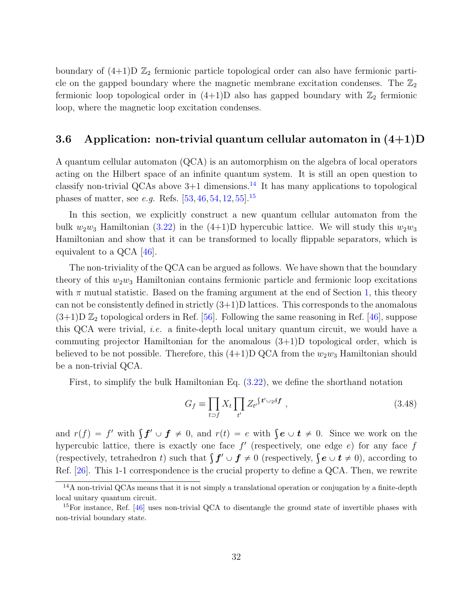boundary of  $(4+1)D \mathbb{Z}_2$  fermionic particle topological order can also have fermionic particle on the gapped boundary where the magnetic membrane excitation condenses. The  $\mathbb{Z}_2$ fermionic loop topological order in  $(4+1)D$  also has gapped boundary with  $\mathbb{Z}_2$  fermionic loop, where the magnetic loop excitation condenses.

## <span id="page-32-0"></span>3.6 Application: non-trivial quantum cellular automaton in  $(4+1)D$

A quantum cellular automaton (QCA) is an automorphism on the algebra of local operators acting on the Hilbert space of an infinite quantum system. It is still an open question to classify non-trivial QCAs above  $3+1$  dimensions.<sup>[14](#page-32-1)</sup> It has many applications to topological phases of matter, see *e.g.* Refs.  $[53, 46, 54, 12, 55]$  $[53, 46, 54, 12, 55]$  $[53, 46, 54, 12, 55]$  $[53, 46, 54, 12, 55]$  $[53, 46, 54, 12, 55]$  $[53, 46, 54, 12, 55]$  $[53, 46, 54, 12, 55]$  $[53, 46, 54, 12, 55]$  $[53, 46, 54, 12, 55]$ .<sup>[15](#page-32-2)</sup>

In this section, we explicitly construct a new quantum cellular automaton from the bulk  $w_2w_3$  Hamiltonian [\(3.22\)](#page-19-1) in the (4+1)D hypercubic lattice. We will study this  $w_2w_3$ Hamiltonian and show that it can be transformed to locally flippable separators, which is equivalent to a  $QCA$  [\[46\]](#page-57-0).

The non-triviality of the QCA can be argued as follows. We have shown that the boundary theory of this  $w_2w_3$  Hamiltonian contains fermionic particle and fermionic loop excitations with  $\pi$  mutual statistic. Based on the framing argument at the end of Section [1,](#page-2-0) this theory can not be consistently defined in strictly  $(3+1)$ D lattices. This corresponds to the anomalous  $(3+1)D\mathbb{Z}_2$  topological orders in Ref. [\[56\]](#page-57-10). Following the same reasoning in Ref. [\[46\]](#page-57-0), suppose this QCA were trivial, i.e. a finite-depth local unitary quantum circuit, we would have a commuting projector Hamiltonian for the anomalous (3+1)D topological order, which is believed to be not possible. Therefore, this  $(4+1)D$  QCA from the  $w_2w_3$  Hamiltonian should be a non-trivial QCA.

First, to simplify the bulk Hamiltonian Eq. [\(3.22\)](#page-19-1), we define the shorthand notation

$$
G_f \equiv \prod_{t \supset f} X_t \prod_{t'} Z_{t'} \S^{t' \cup_2 \delta f} \;, \tag{3.48}
$$

and  $r(f) = f'$  with  $\int f' \cup f \neq 0$ , and  $r(t) = e$  with  $\int e \cup t \neq 0$ . Since we work on the hypercubic lattice, there is exactly one face  $f'$  (respectively, one edge  $e$ ) for any face  $f$ hypercubic lattice, there is exactly one face f (respectively, one edge e) for any face f<br>(respectively, tetrahedron t) such that  $\int f' \cup f \neq 0$  (respectively,  $\int e \cup t \neq 0$ ), according to Ref. [\[26\]](#page-55-4). This 1-1 correspondence is the crucial property to define a QCA. Then, we rewrite

<span id="page-32-1"></span><sup>14</sup>A non-trivial QCAs means that it is not simply a translational operation or conjugation by a finite-depth local unitary quantum circuit.

<span id="page-32-2"></span><sup>&</sup>lt;sup>15</sup>For instance, Ref.  $[46]$  uses non-trivial QCA to disentangle the ground state of invertible phases with non-trivial boundary state.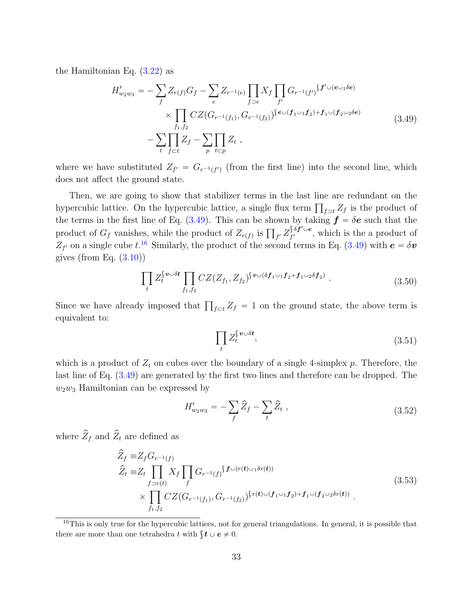<span id="page-33-0"></span>the Hamiltonian Eq. [\(3.22\)](#page-19-1) as

$$
H'_{w_2w_3} = -\sum_{f} Z_{r(f)} G_f - \sum_{e} Z_{r^{-1}(e)} \prod_{f \supset e} X_f \prod_{f'} G_{r^{-1}(f')} f' \cup (e \cup_1 \delta e)
$$
  
 
$$
\times \prod_{f_1, f_2} CZ(G_{r^{-1}(f_1)}, G_{r^{-1}(f_2)})^{e \cup (f_1 \cup_1 f_2) + f_1 \cup (f_2 \cup_2 \delta e)}
$$
  
 
$$
- \sum_{t} \prod_{f \subset t} Z_f - \sum_{p} \prod_{t \subset p} Z_t , \qquad (3.49)
$$

where we have substituted  $Z_{f'} = G_{r^{-1}(f')}$  (from the first line) into the second line, which does not affect the ground state.

Then, we are going to show that stabilizer terms in the last line are redundant on the Then, we are going to show that stabilizer terms in the last line are redundant on the hypercubic lattice. On the hypercubic lattice, a single flux term  $\prod_{f \supset t} Z_f$  is the product of the terms in the first line of Eq. [\(3.49\)](#page-33-0). This can be shown by taking  $\boldsymbol{f} = \delta \boldsymbol{e}$  such that the product of  $G_f$  vanishes, while the product of  $Z_{r(f)}$  is  $\prod_{f'} Z_{f'}^{\delta \delta f' \cup e}$  $f'$ , which is the a product of  $Z_{f'}$  on a single cube t.<sup>[16](#page-33-1)</sup> Similarly, the product of the second terms in Eq. [\(3.49\)](#page-33-0) with  $e = \delta v$ gives (from Eq.  $(3.10)$ )

$$
\prod_{t} Z_t^{\{v \cup \delta t} \prod_{f_1, f_2} CZ(Z_{f_1}, Z_{f_2})^{\{v \cup (\delta f_1 \cup_1 f_2 + f_1 \cup_2 \delta f_2) \}}.
$$
\n(3.50)

Since we have already imposed that  $\prod_{f \subset t} Z_f = 1$  on the ground state, the above term is equivalent to:

$$
\prod_{t} Z_t^{\{v \cup \delta t},\tag{3.51}
$$

which is a product of  $Z_t$  on cubes over the boundary of a single 4-simplex p. Therefore, the last line of Eq. [\(3.49\)](#page-33-0) are generated by the first two lines and therefore can be dropped. The  $w_2w_3$  Hamiltonian can be expressed by

$$
H'_{w_2w_3} = -\sum_f \hat{Z}_f - \sum_t \hat{Z}_t , \qquad (3.52)
$$

where  $\widehat{Z}_f$  and  $\widehat{Z}_t$  are defined as

$$
\hat{Z}_f \equiv Z_f G_{r^{-1}(f)} \n\hat{Z}_t \equiv Z_t \prod_{f \supset r(t)} X_f \prod_f G_{r^{-1}(f)} f^{(r(t)\cup_1 \delta r(t))} \n\times \prod_{f_1, f_2} CZ(G_{r^{-1}(f_1)}, G_{r^{-1}(f_2)})^{r(t)\cup(f_1\cup_1 f_2) + f_1\cup(f_2\cup_2 \delta r(t))}.
$$
\n(3.53)

<span id="page-33-1"></span> $16$ This is only true for the hypercubic lattices, not for general triangulations. In general, it is possible that This is only true for the hypercubic lattices, not to<br>there are more than one tetrahedra t with  $\int t \cup e \neq 0$ .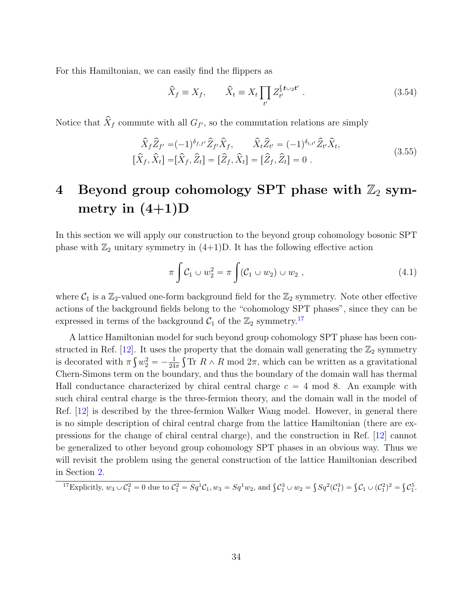For this Hamiltonian, we can easily find the flippers as

$$
\widehat{X}_f \equiv X_f, \qquad \widehat{X}_t \equiv X_t \prod_{t'} Z_{t'}^{\{t \cup_2 t'} \tag{3.54}
$$

Notice that  $\hat{X}_f$  commute with all  $G_{f'}$ , so the commutation relations are simply

$$
\hat{X}_f \hat{Z}_{f'} = (-1)^{\delta_{f,f'}} \hat{Z}_{f'} \hat{X}_f, \qquad \hat{X}_t \hat{Z}_{t'} = (-1)^{\delta_{t,t'}} \hat{Z}_{t'} \hat{X}_t, [\hat{X}_f, \hat{X}_t] = [\hat{X}_f, \hat{Z}_t] = [\hat{Z}_f, \hat{X}_t] = [\hat{Z}_f, \hat{Z}_t] = 0.
$$
\n(3.55)

# <span id="page-34-0"></span>4 Beyond group cohomology SPT phase with  $\mathbb{Z}_2$  symmetry in  $(4+1)D$

In this section we will apply our construction to the beyond group cohomology bosonic SPT phase with  $\mathbb{Z}_2$  unitary symmetry in  $(4+1)D$ . It has the following effective action

$$
\pi \int C_1 \cup w_2^2 = \pi \int (C_1 \cup w_2) \cup w_2 , \qquad (4.1)
$$

where  $C_1$  is a  $\mathbb{Z}_2$ -valued one-form background field for the  $\mathbb{Z}_2$  symmetry. Note other effective actions of the background fields belong to the "cohomology SPT phases", since they can be expressed in terms of the background  $C_1$  of the  $\mathbb{Z}_2$  symmetry.<sup>[17](#page-34-1)</sup>

A lattice Hamiltonian model for such beyond group cohomology SPT phase has been con-structed in Ref. [\[12\]](#page-54-4). It uses the property that the domain wall generating the  $\mathbb{Z}_2$  symmetry is decorated with  $\pi \int w_2^2 = -\frac{1}{24}$  $\frac{1}{24\pi} \int \text{Tr} R \wedge R$  mod  $2\pi$ , which can be written as a gravitational Chern-Simons term on the boundary, and thus the boundary of the domain wall has thermal Hall conductance characterized by chiral central charge  $c = 4 \text{ mod } 8$ . An example with such chiral central charge is the three-fermion theory, and the domain wall in the model of Ref. [\[12\]](#page-54-4) is described by the three-fermion Walker Wang model. However, in general there is no simple description of chiral central charge from the lattice Hamiltonian (there are expressions for the change of chiral central charge), and the construction in Ref. [\[12\]](#page-54-4) cannot be generalized to other beyond group cohomology SPT phases in an obvious way. Thus we will revisit the problem using the general construction of the lattice Hamiltonian described in Section [2.](#page-10-0)

<span id="page-34-1"></span>
$$
\frac{17}{24} \text{Explicitly, } w_3 \cup \mathcal{C}_1^2 = 0 \text{ due to } \mathcal{C}_1^2 = Sq^1 \mathcal{C}_1, w_3 = Sq^1 w_2, \text{ and } \int \mathcal{C}_1^3 \cup w_2 = \int Sq^2(\mathcal{C}_1^3) = \int \mathcal{C}_1 \cup (\mathcal{C}_1^2)^2 = \int \mathcal{C}_1^5.
$$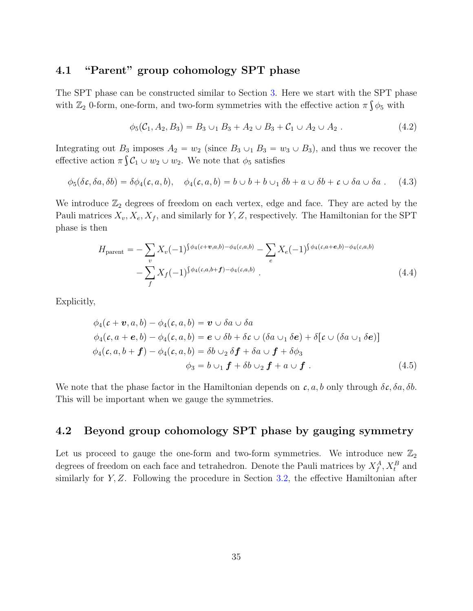## <span id="page-35-0"></span>4.1 "Parent" group cohomology SPT phase

The SPT phase can be constructed similar to Section [3.](#page-15-0) Here we start with the SPT phase with  $\mathbb{Z}_2$  0-form, one-form, and two-form symmetries with the effective action  $\pi \int \phi_5$  with

$$
\phi_5(\mathcal{C}_1, A_2, B_3) = B_3 \cup_1 B_3 + A_2 \cup B_3 + \mathcal{C}_1 \cup A_2 \cup A_2 . \tag{4.2}
$$

Integrating out  $B_3$  imposes  $A_2 = w_2$  (since  $B_3 \cup_1 B_3 = w_3 \cup B_3$ ), and thus we recover the effective action  $\pi \int_0^{\infty} C_1 \cup w_2 \cup w_2$ . We note that  $\phi_5$  satisfies

$$
\phi_5(\delta c, \delta a, \delta b) = \delta \phi_4(c, a, b), \quad \phi_4(c, a, b) = b \cup b + b \cup_1 \delta b + a \cup \delta b + c \cup \delta a \cup \delta a \tag{4.3}
$$

We introduce  $\mathbb{Z}_2$  degrees of freedom on each vertex, edge and face. They are acted by the Pauli matrices  $X_v, X_e, X_f$ , and similarly for Y, Z, respectively. The Hamiltonian for the SPT phase is then

$$
H_{\text{parent}} = -\sum_{v} X_{v} (-1)^{\int \phi_{4}(c+v,a,b) - \phi_{4}(c,a,b)} - \sum_{e} X_{e} (-1)^{\int \phi_{4}(c,a+e,b) - \phi_{4}(c,a,b)} - \sum_{f} X_{f} (-1)^{\int \phi_{4}(c,a,b+f) - \phi_{4}(c,a,b)}.
$$
\n(4.4)

Explicitly,

$$
\phi_4(c + \mathbf{v}, a, b) - \phi_4(c, a, b) = \mathbf{v} \cup \delta a \cup \delta a
$$
  
\n
$$
\phi_4(c, a + \mathbf{e}, b) - \phi_4(c, a, b) = \mathbf{e} \cup \delta b + \delta c \cup (\delta a \cup_1 \delta \mathbf{e}) + \delta[c \cup (\delta a \cup_1 \delta \mathbf{e})]
$$
  
\n
$$
\phi_4(c, a, b + \mathbf{f}) - \phi_4(c, a, b) = \delta b \cup_2 \delta \mathbf{f} + \delta a \cup \mathbf{f} + \delta \phi_3
$$
  
\n
$$
\phi_3 = b \cup_1 \mathbf{f} + \delta b \cup_2 \mathbf{f} + a \cup \mathbf{f} \,. \tag{4.5}
$$

We note that the phase factor in the Hamiltonian depends on  $c, a, b$  only through  $\delta c, \delta a, \delta b$ . This will be important when we gauge the symmetries.

## <span id="page-35-1"></span>4.2 Beyond group cohomology SPT phase by gauging symmetry

Let us proceed to gauge the one-form and two-form symmetries. We introduce new  $\mathbb{Z}_2$ degrees of freedom on each face and tetrahedron. Denote the Pauli matrices by  $X_f^A$ ,  $X_t^B$  and similarly for  $Y, Z$ . Following the procedure in Section [3.2,](#page-18-0) the effective Hamiltonian after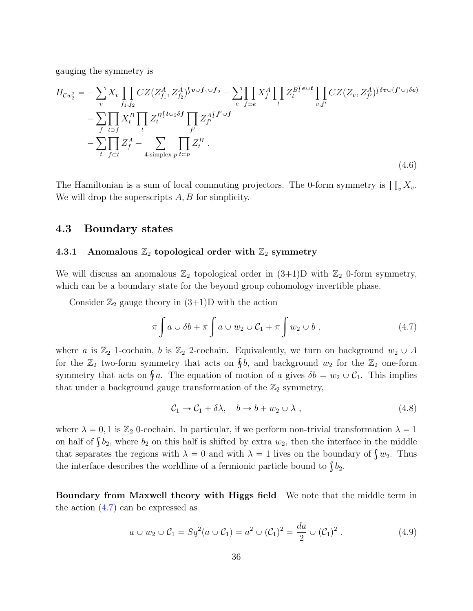gauging the symmetry is

<span id="page-36-4"></span>
$$
H_{\mathcal{C}w_2^2} = -\sum_v X_v \prod_{f_1, f_2} CZ(Z_{f_1}^A, Z_{f_2}^A)^{\{v \cup f_1 \cup f_2} - \sum_e \prod_{f \supset e} X_f^A \prod_t Z_t^{B^{\{e \cup t\}}} \prod_{v, f'} CZ(Z_v, Z_{f'}^A)^{\{\delta v \cup (f' \cup_1 \delta e)}}
$$
  
 
$$
-\sum_f \prod_{t \supset f} X_t^B \prod_t Z_t^{B^{\{t \cup_2 \delta f\}}} \prod_{f'} Z_{f'}^{A^{\{f' \cup f\}}}
$$
  
 
$$
-\sum_t \prod_{f \subset t} Z_f^A - \sum_{\text{4-simplex } p} \prod_{t \subset p} Z_t^B.
$$
 (4.6)

The Hamiltonian is a sum of local commuting projectors. The 0-form symmetry is  $\prod_{v} X_v$ . We will drop the superscripts A, B for simplicity.

### <span id="page-36-0"></span>4.3 Boundary states

#### <span id="page-36-1"></span>4.3.1 Anomalous  $\mathbb{Z}_2$  topological order with  $\mathbb{Z}_2$  symmetry

We will discuss an anomalous  $\mathbb{Z}_2$  topological order in  $(3+1)D$  with  $\mathbb{Z}_2$  0-form symmetry, which can be a boundary state for the beyond group cohomology invertible phase.

Consider  $\mathbb{Z}_2$  gauge theory in  $(3+1)D$  with the action

<span id="page-36-2"></span>
$$
\pi \int a \cup \delta b + \pi \int a \cup w_2 \cup C_1 + \pi \int w_2 \cup b , \qquad (4.7)
$$

where a is  $\mathbb{Z}_2$  1-cochain, b is  $\mathbb{Z}_2$  2-cochain. Equivalently, we turn on background  $w_2 \cup A$ where a is  $\mathbb{Z}_2$  1-cochain, b is  $\mathbb{Z}_2$  2-cochain. Equivalently, we turn on background  $w_2 \cup A$  for the  $\mathbb{Z}_2$  two-form symmetry that acts on  $\S b$ , and background  $w_2$  for the  $\mathbb{Z}_2$  one-form for the  $\mathbb{Z}_2$  two-form symmetry that acts on  $\oint o$ , and background  $w_2$  for the  $\mathbb{Z}_2$  one-form<br>symmetry that acts on  $\oint a$ . The equation of motion of a gives  $\delta b = w_2 \cup C_1$ . This implies that under a background gauge transformation of the  $\mathbb{Z}_2$  symmetry,

$$
C_1 \to C_1 + \delta \lambda, \quad b \to b + w_2 \cup \lambda , \qquad (4.8)
$$

where  $\lambda = 0, 1$  is  $\mathbb{Z}_2$  0-cochain. In particular, if we perform non-trivial transformation  $\lambda = 1$ where  $\lambda = 0$ , 1 is  $\mathbb{Z}_2$  0-cochain. In particular, if we perform non-trivial transformation  $\lambda = 1$ <br>on half of  $\int b_2$ , where  $b_2$  on this half is shifted by extra  $w_2$ , then the interface in the middle on half of  $\int b_2$ , where  $b_2$  on this half is shifted by extra  $w_2$ , then the interface in the middle that separates the regions with  $\lambda = 0$  and with  $\lambda = 1$  lives on the boundary of  $\int w_2$ . Thus that separates the regions with  $\lambda = 0$  and with  $\lambda = 1$  lives on the bound to  $\int b_2$ .<br>the interface describes the worldline of a fermionic particle bound to  $\int b_2$ .

Boundary from Maxwell theory with Higgs field We note that the middle term in the action  $(4.7)$  can be expressed as

<span id="page-36-3"></span>
$$
a \cup w_2 \cup C_1 = Sq^2(a \cup C_1) = a^2 \cup (C_1)^2 = \frac{da}{2} \cup (C_1)^2.
$$
 (4.9)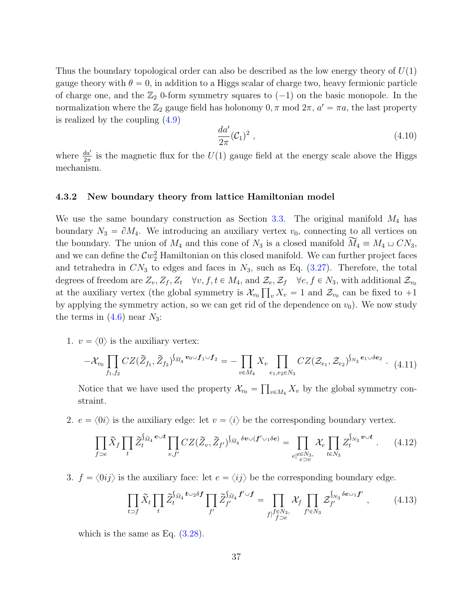Thus the boundary topological order can also be described as the low energy theory of  $U(1)$ gauge theory with  $\theta = 0$ , in addition to a Higgs scalar of charge two, heavy fermionic particle of charge one, and the  $\mathbb{Z}_2$  0-form symmetry squares to  $(-1)$  on the basic monopole. In the normalization where the  $\mathbb{Z}_2$  gauge field has holonomy  $0, \pi \mod 2\pi$ ,  $a' = \pi a$ , the last property is realized by the coupling [\(4.9\)](#page-36-3)

$$
\frac{da'}{2\pi}(\mathcal{C}_1)^2 \tag{4.10}
$$

where  $\frac{da'}{2\pi}$  is the magnetic flux for the  $U(1)$  gauge field at the energy scale above the Higgs mechanism.

#### <span id="page-37-0"></span>4.3.2 New boundary theory from lattice Hamiltonian model

We use the same boundary construction as Section [3.3.](#page-21-0) The original manifold  $M_4$  has boundary  $N_3 = \partial M_4$ . We introducing an auxiliary vertex  $v_0$ , connecting to all vertices on the boundary. The union of  $M_4$  and this cone of  $N_3$  is a closed manifold  $\overline{M}_4 \equiv M_4 \sqcup CN_3$ , and we can define the  $\mathcal{C}w_2^2$  Hamiltonian on this closed manifold. We can further project faces and tetrahedra in  $CN_3$  to edges and faces in  $N_3$ , such as Eq. [\(3.27\)](#page-21-1). Therefore, the total degrees of freedom are  $Z_v, Z_f, Z_t \quad \forall v, f, t \in M_4$ , and  $\mathcal{Z}_e, \mathcal{Z}_f \quad \forall e, f \in N_3$ , with additional  $\mathcal{Z}_{v_0}$ at the auxiliary vertex (the global symmetry is  $\mathcal{X}_{v_0}\prod_v X_v = 1$  and  $\mathcal{Z}_{v_0}$  can be fixed to  $+1$ by applying the symmetry action, so we can get rid of the dependence on  $v_0$ ). We now study the terms in  $(4.6)$  near  $N_3$ :

1.  $v = \langle 0 \rangle$  is the auxiliary vertex:

<span id="page-37-1"></span>
$$
-\mathcal{X}_{v_0} \prod_{f_1, f_2} CZ(\widetilde{Z}_{f_1}, \widetilde{Z}_{f_2})^{\int_{\widetilde{M}_4} v_0 \cup f_1 \cup f_2} = - \prod_{v \in M_4} X_v \prod_{e_1, e_2 \in N_3} CZ(\mathcal{Z}_{e_1}, \mathcal{Z}_{e_2})^{\int_{N_3} e_1 \cup \delta e_2} \tag{4.11}
$$

Notice that we have used the property  $\mathcal{X}_{v_0} = \prod_{v \in M_4} X_v$  by the global symmetry constraint.

2.  $e = \langle 0i \rangle$  is the auxiliary edge: let  $v = \langle i \rangle$  be the corresponding boundary vertex.

<span id="page-37-2"></span>
$$
\prod_{f \supset e} \widetilde{X}_f \prod_t \widetilde{Z}_t^{\int_{\widetilde{M}_4} e \cup t} \prod_{v, f'} CZ(\widetilde{Z}_v, \widetilde{Z}_{f'})^{\int_{\widetilde{M}_4} \delta v \cup (f' \cup_1 \delta e)} = \prod_{e | e \in N_3, \atop e \supset v} \mathcal{X}_e \prod_{t \in N_3} Z_t^{\int_{N_3} v \cup t} . \tag{4.12}
$$

3.  $f = \langle 0ij \rangle$  is the auxiliary face: let  $e = \langle ij \rangle$  be the corresponding boundary edge.

<span id="page-37-3"></span>
$$
\prod_{t \supset f} \widetilde{X}_t \prod_t \widetilde{Z}_t^{\int_{\widetilde{M}_4} t \cup_2 \delta f} \prod_{f'} \widetilde{Z}_{f'}^{\int_{\widetilde{M}_4} f' \cup f} = \prod_{f \mid f \in N_3, \atop f \supset e} \mathcal{X}_f \prod_{f' \in N_3} \mathcal{Z}_{f'}^{\int_{N_3} \delta e \cup_1 f'} , \qquad (4.13)
$$

which is the same as Eq.  $(3.28)$ .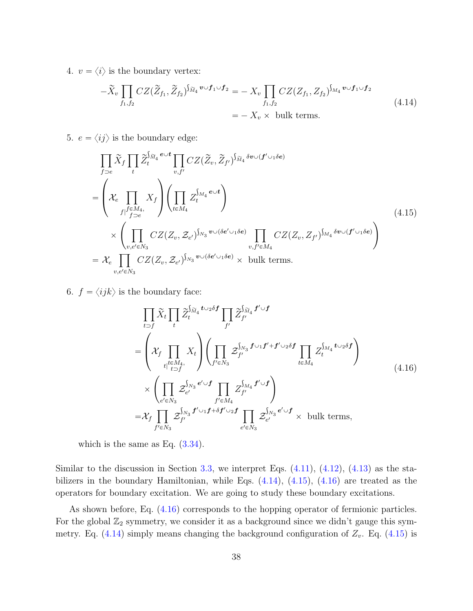4.  $v = \langle i \rangle$  is the boundary vertex:

<span id="page-38-0"></span>
$$
-\widetilde{X}_v \prod_{f_1, f_2} CZ(\widetilde{Z}_{f_1}, \widetilde{Z}_{f_2})^{\int_{\widetilde{M}_4} \mathbf{v} \cup f_1 \cup f_2} = -X_v \prod_{f_1, f_2} CZ(Z_{f_1}, Z_{f_2})^{\int_{M_4} \mathbf{v} \cup f_1 \cup f_2}
$$
\n
$$
= -X_v \times \text{ bulk terms.}
$$
\n(4.14)

5.  $e = \langle ij \rangle$  is the boundary edge:

<span id="page-38-1"></span>
$$
\prod_{f\supset e} \widetilde{X}_f \prod_t \widetilde{Z}_t^{\widetilde{M}_4} \overset{e\cup t}{\longrightarrow} \prod_{v,f'} CZ(\widetilde{Z}_v, \widetilde{Z}_{f'})^{\widetilde{M}_4} \overset{\delta v\cup (f'\cup_1\delta e)}{\longrightarrow}
$$
\n
$$
= \left(\mathcal{X}_e \prod_{f|f\in M_4, f\atop f\supset e} X_f \right) \left(\prod_{t\in M_4} Z_t^{\widetilde{M}_4} \overset{e\cup t}{\longrightarrow} \right)
$$
\n
$$
\times \left(\prod_{v,e'\in N_3} CZ(Z_v, \mathcal{Z}_{e'})^{\widetilde{M}_3} \overset{v\cup (\delta e'\cup_1\delta e)}{\longrightarrow} \prod_{v,f'\in M_4} CZ(Z_v, Z_{f'})^{\widetilde{M}_4} \overset{\delta v\cup (f'\cup_1\delta e)}{\longrightarrow} \right)
$$
\n
$$
= \mathcal{X}_e \prod_{v,e'\in N_3} CZ(Z_v, \mathcal{Z}_{e'})^{\widetilde{M}_3} \overset{v\cup (\delta e'\cup_1\delta e)}{\longrightarrow} \times \text{ bulk terms.}
$$
\n(4.15)

<span id="page-38-2"></span>6.  $f = \langle ijk \rangle$  is the boundary face:

$$
\prod_{t \supset f} \widetilde{X}_t \prod_t \widetilde{Z}_t^{\int_{\widetilde{M}_4} t \cup 2\delta f} \prod_{f'} \widetilde{Z}_{f'}^{\int_{\widetilde{M}_4} f' \cup f}
$$
\n
$$
= \left( \mathcal{X}_f \prod_{t \in M_4, t \in M_4, t \atop t \in f} X_t \right) \left( \prod_{f' \in N_3} \mathcal{Z}_{f'}^{\int_{N_3} f \cup 1f' + f' \cup 2\delta f} \prod_{t \in M_4} Z_t^{\int_{M_4} t \cup 2\delta f} \right)
$$
\n
$$
\times \left( \prod_{e' \in N_3} \mathcal{Z}_{e'}^{\int_{N_3} e' \cup f} \prod_{f' \in M_4} Z_{f'}^{\int_{M_4} f' \cup f} \right)
$$
\n
$$
= \mathcal{X}_f \prod_{f' \in N_3} \mathcal{Z}_{f'}^{\int_{N_3} f' \cup 1f + \delta f' \cup 2f} \prod_{e' \in N_3} \mathcal{Z}_{e'}^{\int_{N_3} e' \cup f} \times \text{ bulk terms},
$$
\n(4.16)

which is the same as Eq.  $(3.34)$ .

Similar to the discussion in Section [3.3,](#page-21-0) we interpret Eqs.  $(4.11)$ ,  $(4.12)$ ,  $(4.13)$  as the stabilizers in the boundary Hamiltonian, while Eqs. [\(4.14\)](#page-38-0), [\(4.15\)](#page-38-1), [\(4.16\)](#page-38-2) are treated as the operators for boundary excitation. We are going to study these boundary excitations.

As shown before, Eq. [\(4.16\)](#page-38-2) corresponds to the hopping operator of fermionic particles. For the global  $\mathbb{Z}_2$  symmetry, we consider it as a background since we didn't gauge this symmetry. Eq.  $(4.14)$  simply means changing the background configuration of  $Z_v$ . Eq.  $(4.15)$  is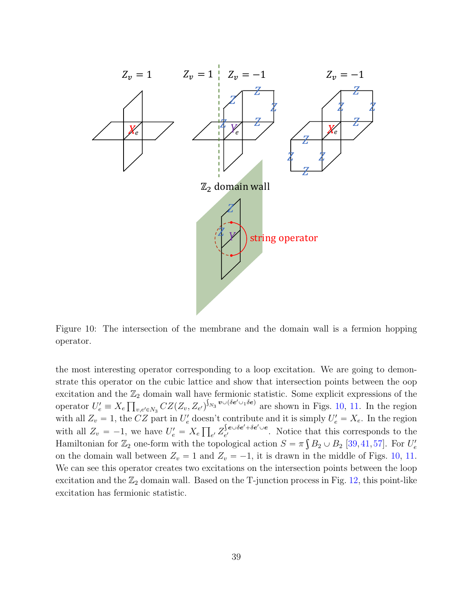<span id="page-39-0"></span>

Figure 10: The intersection of the membrane and the domain wall is a fermion hopping operator.

the most interesting operator corresponding to a loop excitation. We are going to demonstrate this operator on the cubic lattice and show that intersection points between the oop excitation and the  $\mathbb{Z}_2$  domain wall have fermionic statistic. Some explicit expressions of the operator  $U'_e \equiv X_e \prod_{v,e' \in N_3} CZ(Z_v, Z_{e'})^{\int_{N_3} v \cup (\delta e' \cup {}_1 \delta e)}$  are shown in Figs. [10,](#page-39-0) [11.](#page-40-1) In the region with all  $Z_v = 1$ , the CZ part in  $U'_e$  doesn't contribute and it is simply  $U'_e = X_e$ . In the region with all  $Z_v = -1$ , we have  $U'_e = X_e$ ś  $e \prime Z$  $\ddot{\phantom{0}}$  $\bm{e}\!\cup\!\delta\bm{e}^\prime\!\!+\!\delta\bm{e}^\prime\!\cup\!\bm{e}$  $e^{i}$  ever the vector exponds to the equal state. Hamiltonian for  $\mathbb{Z}_2$  one-form with the topological action  $S = \pi \int B_2 \cup B_2$  [\[39,](#page-56-4)[41,](#page-56-5)[57\]](#page-57-11). For  $U_e'$ on the domain wall between  $Z_v = 1$  and  $Z_v = -1$ , it is drawn in the middle of Figs. [10,](#page-39-0) [11.](#page-40-1) We can see this operator creates two excitations on the intersection points between the loop excitation and the  $\mathbb{Z}_2$  domain wall. Based on the T-junction process in Fig. [12,](#page-41-1) this point-like excitation has fermionic statistic.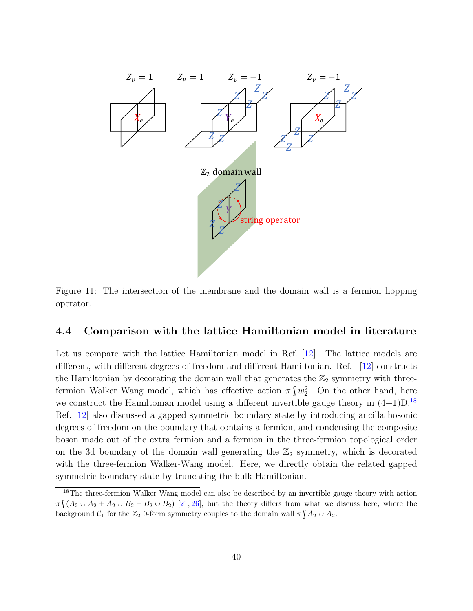<span id="page-40-1"></span>

Figure 11: The intersection of the membrane and the domain wall is a fermion hopping operator.

## <span id="page-40-0"></span>4.4 Comparison with the lattice Hamiltonian model in literature

Let us compare with the lattice Hamiltonian model in Ref. [\[12\]](#page-54-4). The lattice models are different, with different degrees of freedom and different Hamiltonian. Ref. [\[12\]](#page-54-4) constructs the Hamiltonian by decorating the domain wall that generates the  $\mathbb{Z}_2$  symmetry with threefermion Walker Wang model, which has effective action  $\pi \int w_2^2$ . On the other hand, here we construct the Hamiltonian model using a different invertible gauge theory in  $(4+1)D^{18}$  $(4+1)D^{18}$  $(4+1)D^{18}$ Ref. [\[12\]](#page-54-4) also discussed a gapped symmetric boundary state by introducing ancilla bosonic degrees of freedom on the boundary that contains a fermion, and condensing the composite boson made out of the extra fermion and a fermion in the three-fermion topological order on the 3d boundary of the domain wall generating the  $\mathbb{Z}_2$  symmetry, which is decorated with the three-fermion Walker-Wang model. Here, we directly obtain the related gapped symmetric boundary state by truncating the bulk Hamiltonian.

<span id="page-40-2"></span> $18$ The three-fermion Walker Wang model can also be described by an invertible gauge theory with action  $\pi\int (A_2 \cup A_2 + A_2 \cup B_2 + B_2 \cup B_2)$  [\[21,](#page-54-11) [26\]](#page-55-4), but the theory differs from what we discuss here, where the background  $C_1$  for the  $\mathbb{Z}_2$  0-form symmetry couples to the domain wall  $\pi \int A_2 \cup A_2$ .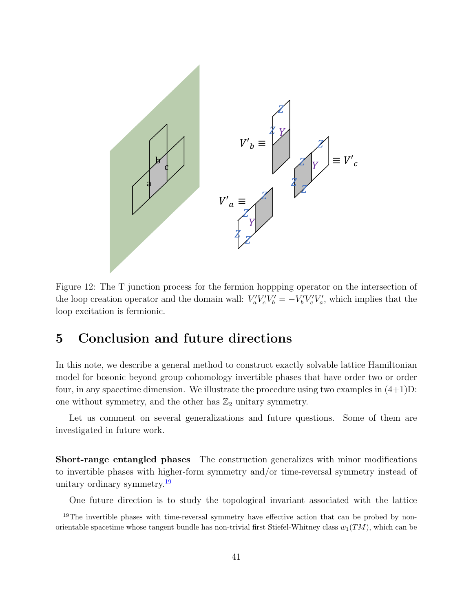<span id="page-41-1"></span>

Figure 12: The T junction process for the fermion hoppping operator on the intersection of the loop creation operator and the domain wall:  $V_a'V_c'V_b' = -V_b'V_c'V_a'$ , which implies that the loop excitation is fermionic.

## <span id="page-41-0"></span>5 Conclusion and future directions

In this note, we describe a general method to construct exactly solvable lattice Hamiltonian model for bosonic beyond group cohomology invertible phases that have order two or order four, in any spacetime dimension. We illustrate the procedure using two examples in  $(4+1)D$ : one without symmetry, and the other has  $\mathbb{Z}_2$  unitary symmetry.

Let us comment on several generalizations and future questions. Some of them are investigated in future work.

Short-range entangled phases The construction generalizes with minor modifications to invertible phases with higher-form symmetry and/or time-reversal symmetry instead of unitary ordinary symmetry.[19](#page-41-2)

<span id="page-41-2"></span>One future direction is to study the topological invariant associated with the lattice

<sup>&</sup>lt;sup>19</sup>The invertible phases with time-reversal symmetry have effective action that can be probed by nonorientable spacetime whose tangent bundle has non-trivial first Stiefel-Whitney class  $w_1(TM)$ , which can be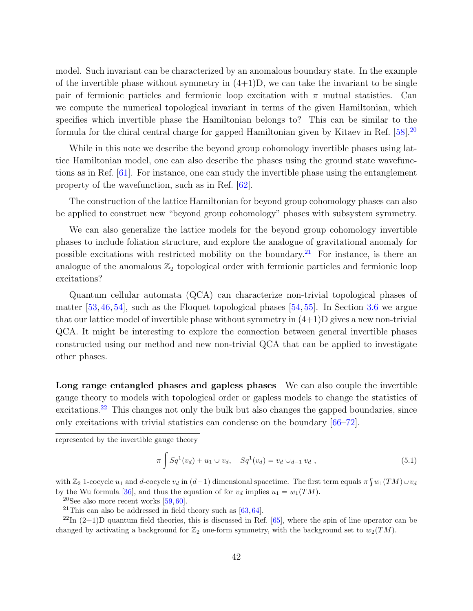model. Such invariant can be characterized by an anomalous boundary state. In the example of the invertible phase without symmetry in  $(4+1)D$ , we can take the invariant to be single pair of fermionic particles and fermionic loop excitation with  $\pi$  mutual statistics. Can we compute the numerical topological invariant in terms of the given Hamiltonian, which specifies which invertible phase the Hamiltonian belongs to? This can be similar to the formula for the chiral central charge for gapped Hamiltonian given by Kitaev in Ref. [\[58\]](#page-57-12).[20](#page-42-0)

While in this note we describe the beyond group cohomology invertible phases using lattice Hamiltonian model, one can also describe the phases using the ground state wavefunctions as in Ref. [\[61\]](#page-58-0). For instance, one can study the invertible phase using the entanglement property of the wavefunction, such as in Ref. [\[62\]](#page-58-1).

The construction of the lattice Hamiltonian for beyond group cohomology phases can also be applied to construct new "beyond group cohomology" phases with subsystem symmetry.

We can also generalize the lattice models for the beyond group cohomology invertible phases to include foliation structure, and explore the analogue of gravitational anomaly for possible excitations with restricted mobility on the boundary.<sup>[21](#page-42-1)</sup> For instance, is there an analogue of the anomalous  $\mathbb{Z}_2$  topological order with fermionic particles and fermionic loop excitations?

Quantum cellular automata (QCA) can characterize non-trivial topological phases of matter  $[53, 46, 54]$  $[53, 46, 54]$  $[53, 46, 54]$  $[53, 46, 54]$  $[53, 46, 54]$ , such as the Floquet topological phases  $[54, 55]$  $[54, 55]$  $[54, 55]$ . In Section [3.6](#page-32-0) we argue that our lattice model of invertible phase without symmetry in  $(4+1)$ D gives a new non-trivial QCA. It might be interesting to explore the connection between general invertible phases constructed using our method and new non-trivial QCA that can be applied to investigate other phases.

Long range entangled phases and gapless phases We can also couple the invertible gauge theory to models with topological order or gapless models to change the statistics of excitations.<sup>[22](#page-42-2)</sup> This changes not only the bulk but also changes the gapped boundaries, since only excitations with trivial statistics can condense on the boundary [\[66–](#page-58-2)[72\]](#page-59-0).

represented by the invertible gauge theory

$$
\pi \int Sq^1(v_d) + u_1 \cup v_d, \quad Sq^1(v_d) = v_d \cup_{d-1} v_d , \qquad (5.1)
$$

with  $\mathbb{Z}_2$  1-cocycle  $u_1$  and d-cocycle  $v_d$  in  $(d+1)$  dimensional spacetime. The first term equals  $\pi \int w_1(TM) \cup v_d$ by the Wu formula [\[36\]](#page-56-1), and thus the equation of for  $v_d$  implies  $u_1 = w_1(TM)$ .

<span id="page-42-0"></span> $20$ See also more recent works [\[59,](#page-58-3) [60\]](#page-58-4).

<span id="page-42-2"></span><span id="page-42-1"></span><sup>21</sup>This can also be addressed in field theory such as  $[63, 64]$  $[63, 64]$  $[63, 64]$ .

 $^{22}$ In (2+1)D quantum field theories, this is discussed in Ref. [\[65\]](#page-58-7), where the spin of line operator can be changed by activating a background for  $\mathbb{Z}_2$  one-form symmetry, with the background set to  $w_2(TM)$ .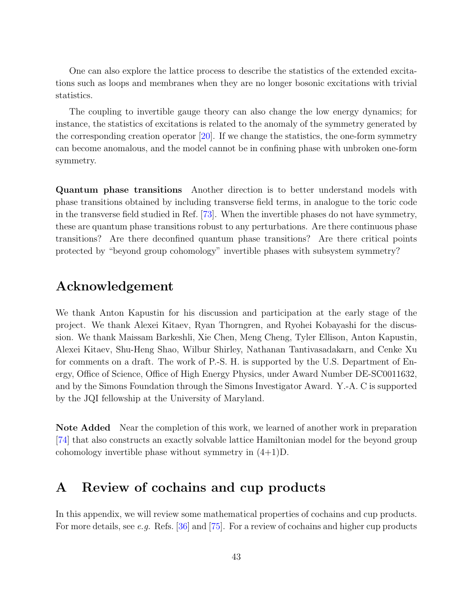One can also explore the lattice process to describe the statistics of the extended excitations such as loops and membranes when they are no longer bosonic excitations with trivial statistics.

The coupling to invertible gauge theory can also change the low energy dynamics; for instance, the statistics of excitations is related to the anomaly of the symmetry generated by the corresponding creation operator [\[20\]](#page-54-13). If we change the statistics, the one-form symmetry can become anomalous, and the model cannot be in confining phase with unbroken one-form symmetry.

Quantum phase transitions Another direction is to better understand models with phase transitions obtained by including transverse field terms, in analogue to the toric code in the transverse field studied in Ref. [\[73\]](#page-59-1). When the invertible phases do not have symmetry, these are quantum phase transitions robust to any perturbations. Are there continuous phase transitions? Are there deconfined quantum phase transitions? Are there critical points protected by "beyond group cohomology" invertible phases with subsystem symmetry?

## Acknowledgement

We thank Anton Kapustin for his discussion and participation at the early stage of the project. We thank Alexei Kitaev, Ryan Thorngren, and Ryohei Kobayashi for the discussion. We thank Maissam Barkeshli, Xie Chen, Meng Cheng, Tyler Ellison, Anton Kapustin, Alexei Kitaev, Shu-Heng Shao, Wilbur Shirley, Nathanan Tantivasadakarn, and Cenke Xu for comments on a draft. The work of P.-S. H. is supported by the U.S. Department of Energy, Office of Science, Office of High Energy Physics, under Award Number DE-SC0011632, and by the Simons Foundation through the Simons Investigator Award. Y.-A. C is supported by the JQI fellowship at the University of Maryland.

Note Added Near the completion of this work, we learned of another work in preparation [\[74\]](#page-59-2) that also constructs an exactly solvable lattice Hamiltonian model for the beyond group cohomology invertible phase without symmetry in (4+1)D.

## <span id="page-43-0"></span>A Review of cochains and cup products

In this appendix, we will review some mathematical properties of cochains and cup products. For more details, see e.g. Refs. [\[36\]](#page-56-1) and [\[75\]](#page-59-3). For a review of cochains and higher cup products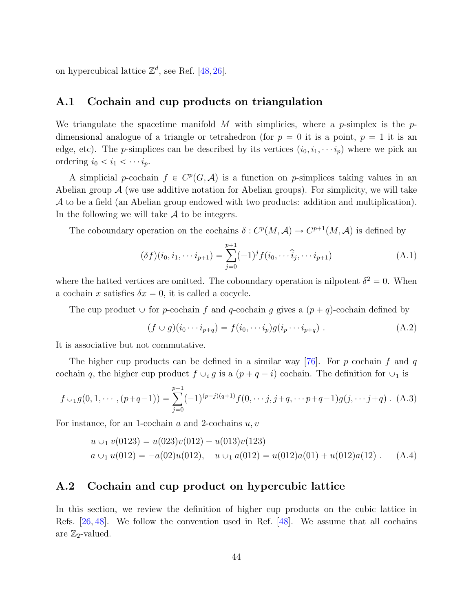on hypercubical lattice  $\mathbb{Z}^d$ , see Ref. [\[48,](#page-57-2) [26\]](#page-55-4).

## <span id="page-44-0"></span>A.1 Cochain and cup products on triangulation

We triangulate the spacetime manifold M with simplicies, where a p-simplex is the  $p$ dimensional analogue of a triangle or tetrahedron (for  $p = 0$  it is a point,  $p = 1$  it is an edge, etc). The *p*-simplices can be described by its vertices  $(i_0, i_1, \dots, i_p)$  where we pick an ordering  $i_0 < i_1 < \cdots i_p$ .

A simplicial p-cochain  $f \in C^p(G, \mathcal{A})$  is a function on p-simplices taking values in an Abelian group  $\mathcal A$  (we use additive notation for Abelian groups). For simplicity, we will take A to be a field (an Abelian group endowed with two products: addition and multiplication). In the following we will take  $A$  to be integers.

The coboundary operation on the cochains  $\delta: C^p(M, \mathcal{A}) \to C^{p+1}(M, \mathcal{A})$  is defined by

$$
(\delta f)(i_0, i_1, \cdots i_{p+1}) = \sum_{j=0}^{p+1} (-1)^j f(i_0, \cdots \hat{i}_j, \cdots i_{p+1})
$$
 (A.1)

where the hatted vertices are omitted. The coboundary operation is nilpotent  $\delta^2 = 0$ . When a cochain x satisfies  $\delta x = 0$ , it is called a cocycle.

The cup product  $\cup$  for p-cochain f and q-cochain g gives a  $(p+q)$ -cochain defined by

$$
(f \cup g)(i_0 \cdots i_{p+q}) = f(i_0, \cdots i_p)g(i_p \cdots i_{p+q}). \tag{A.2}
$$

It is associative but not commutative.

The higher cup products can be defined in a similar way  $[76]$ . For p cochain f and q cochain q, the higher cup product  $f \cup_i g$  is a  $(p+q-i)$  cochain. The definition for  $\cup_1$  is

$$
f \cup_1 g(0, 1, \cdots, (p+q-1)) = \sum_{j=0}^{p-1} (-1)^{(p-j)(q+1)} f(0, \cdots, j, j+q, \cdots p+q-1) g(j, \cdots, j+q) .
$$
 (A.3)

For instance, for an 1-cochain  $a$  and 2-cochains  $u, v$ 

$$
u \cup_1 v(0123) = u(023)v(012) - u(013)v(123)
$$
  
\n
$$
a \cup_1 u(012) = -a(02)u(012), \quad u \cup_1 a(012) = u(012)a(01) + u(012)a(12).
$$
 (A.4)

## <span id="page-44-1"></span>A.2 Cochain and cup product on hypercubic lattice

In this section, we review the definition of higher cup products on the cubic lattice in Refs. [\[26,](#page-55-4) [48\]](#page-57-2). We follow the convention used in Ref. [\[48\]](#page-57-2). We assume that all cochains are  $\mathbb{Z}_2$ -valued.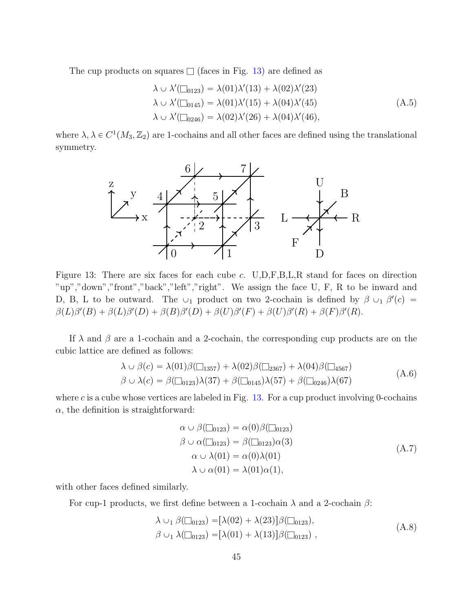The cup products on squares  $\Box$  (faces in Fig. [13\)](#page-45-0) are defined as

$$
\lambda \cup \lambda'(\square_{0123}) = \lambda(01)\lambda'(13) + \lambda(02)\lambda'(23)
$$
  
\n
$$
\lambda \cup \lambda'(\square_{0145}) = \lambda(01)\lambda'(15) + \lambda(04)\lambda'(45)
$$
  
\n
$$
\lambda \cup \lambda'(\square_{0246}) = \lambda(02)\lambda'(26) + \lambda(04)\lambda'(46),
$$
\n(A.5)

<span id="page-45-0"></span>where  $\lambda, \lambda \in C^1(M_3, \mathbb{Z}_2)$  are 1-cochains and all other faces are defined using the translational symmetry.



Figure 13: There are six faces for each cube c. U,D,F,B,L,R stand for faces on direction "up","down","front","back","left","right". We assign the face U, F, R to be inward and D, B, L to be outward. The  $\cup_1$  product on two 2-cochain is defined by  $\beta \cup_1 \beta'(c) =$  $\beta(L)\beta'(B) + \beta(L)\beta'(D) + \beta(B)\beta'(D) + \beta(U)\beta'(F) + \beta(U)\beta'(R) + \beta(F)\beta'(R).$ 

If  $\lambda$  and  $\beta$  are a 1-cochain and a 2-cochain, the corresponding cup products are on the cubic lattice are defined as follows:

$$
\lambda \cup \beta(c) = \lambda(01)\beta(\square_{1357}) + \lambda(02)\beta(\square_{2367}) + \lambda(04)\beta(\square_{4567})
$$
  

$$
\beta \cup \lambda(c) = \beta(\square_{0123})\lambda(37) + \beta(\square_{0145})\lambda(57) + \beta(\square_{0246})\lambda(67)
$$
\n(A.6)

where  $c$  is a cube whose vertices are labeled in Fig. [13.](#page-45-0) For a cup product involving 0-cochains  $\alpha$ , the definition is straightforward:

$$
\alpha \cup \beta(\square_{0123}) = \alpha(0)\beta(\square_{0123})
$$
  
\n
$$
\beta \cup \alpha(\square_{0123}) = \beta(\square_{0123})\alpha(3)
$$
  
\n
$$
\alpha \cup \lambda(01) = \alpha(0)\lambda(01)
$$
  
\n
$$
\lambda \cup \alpha(01) = \lambda(01)\alpha(1),
$$
\n(A.7)

with other faces defined similarly.

For cup-1 products, we first define between a 1-cochain  $\lambda$  and a 2-cochain  $\beta$ :

$$
\lambda \cup_1 \beta(\square_{0123}) = [\lambda(02) + \lambda(23)]\beta(\square_{0123}), \beta \cup_1 \lambda(\square_{0123}) = [\lambda(01) + \lambda(13)]\beta(\square_{0123}),
$$
\n(A.8)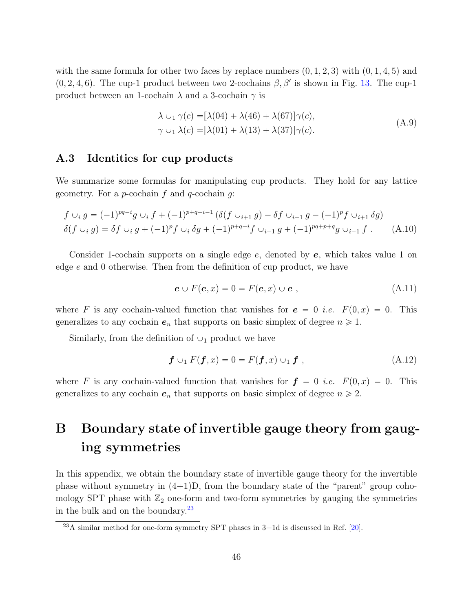with the same formula for other two faces by replace numbers  $(0, 1, 2, 3)$  with  $(0, 1, 4, 5)$  and  $(0, 2, 4, 6)$ . The cup-1 product between two 2-cochains  $\beta, \beta'$  is shown in Fig. [13.](#page-45-0) The cup-1 product between an 1-cochain  $\lambda$  and a 3-cochain  $\gamma$  is

$$
\lambda \cup_1 \gamma(c) = [\lambda(04) + \lambda(46) + \lambda(67)]\gamma(c),
$$
  
\n
$$
\gamma \cup_1 \lambda(c) = [\lambda(01) + \lambda(13) + \lambda(37)]\gamma(c).
$$
\n(A.9)

## <span id="page-46-0"></span>A.3 Identities for cup products

We summarize some formulas for manipulating cup products. They hold for any lattice geometry. For a *p*-cochain f and q-cochain q:

$$
f \cup_i g = (-1)^{pq-i} g \cup_i f + (-1)^{p+q-i-1} (\delta(f \cup_{i+1} g) - \delta f \cup_{i+1} g - (-1)^p f \cup_{i+1} \delta g)
$$
  

$$
\delta(f \cup_i g) = \delta f \cup_i g + (-1)^p f \cup_i \delta g + (-1)^{p+q-i} f \cup_{i-1} g + (-1)^{pq+p+q} g \cup_{i-1} f . \tag{A.10}
$$

Consider 1-cochain supports on a single edge  $e$ , denoted by  $e$ , which takes value 1 on edge e and 0 otherwise. Then from the definition of cup product, we have

$$
e \cup F(e, x) = 0 = F(e, x) \cup e , \qquad (A.11)
$$

where F is any cochain-valued function that vanishes for  $e = 0$  *i.e.*  $F(0, x) = 0$ . This generalizes to any cochain  $e_n$  that supports on basic simplex of degree  $n \geq 1$ .

Similarly, from the definition of  $\cup_1$  product we have

$$
\mathbf{f} \cup_1 F(\mathbf{f}, x) = 0 = F(\mathbf{f}, x) \cup_1 \mathbf{f} , \qquad (A.12)
$$

where F is any cochain-valued function that vanishes for  $f = 0$  *i.e.*  $F(0, x) = 0$ . This generalizes to any cochain  $e_n$  that supports on basic simplex of degree  $n \geq 2$ .

# <span id="page-46-1"></span>B Boundary state of invertible gauge theory from gauging symmetries

In this appendix, we obtain the boundary state of invertible gauge theory for the invertible phase without symmetry in  $(4+1)D$ , from the boundary state of the "parent" group cohomology SPT phase with  $\mathbb{Z}_2$  one-form and two-form symmetries by gauging the symmetries in the bulk and on the boundary. $^{23}$  $^{23}$  $^{23}$ 

<span id="page-46-2"></span> $^{23}$ A similar method for one-form symmetry SPT phases in 3+1d is discussed in Ref. [\[20\]](#page-54-13).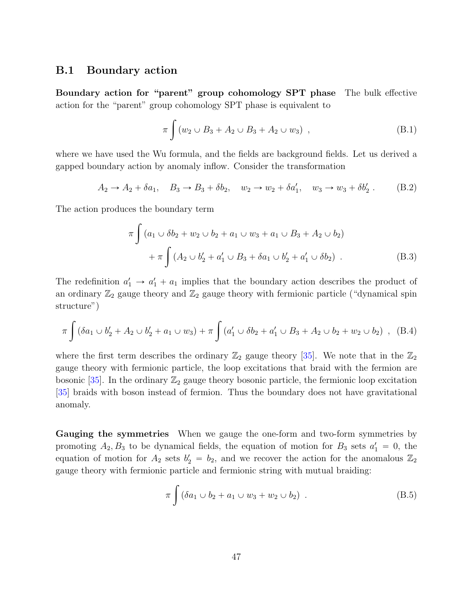### <span id="page-47-0"></span>B.1 Boundary action

Boundary action for "parent" group cohomology SPT phase The bulk effective action for the "parent" group cohomology SPT phase is equivalent to

$$
\pi \int (w_2 \cup B_3 + A_2 \cup B_3 + A_2 \cup w_3) , \qquad (B.1)
$$

where we have used the Wu formula, and the fields are background fields. Let us derived a gapped boundary action by anomaly inflow. Consider the transformation

$$
A_2 \to A_2 + \delta a_1, \quad B_3 \to B_3 + \delta b_2, \quad w_2 \to w_2 + \delta a'_1, \quad w_3 \to w_3 + \delta b'_2 \ . \tag{B.2}
$$

The action produces the boundary term

$$
\pi \int (a_1 \cup \delta b_2 + w_2 \cup b_2 + a_1 \cup w_3 + a_1 \cup B_3 + A_2 \cup b_2)
$$
  
+ 
$$
\pi \int (A_2 \cup b'_2 + a'_1 \cup B_3 + \delta a_1 \cup b'_2 + a'_1 \cup \delta b_2).
$$
 (B.3)

The redefinition  $a'_1 \rightarrow a'_1 + a_1$  implies that the boundary action describes the product of an ordinary  $\mathbb{Z}_2$  gauge theory and  $\mathbb{Z}_2$  gauge theory with fermionic particle ("dynamical spin structure")

$$
\pi \int (\delta a_1 \cup b_2' + A_2 \cup b_2' + a_1 \cup w_3) + \pi \int (a_1' \cup \delta b_2 + a_1' \cup B_3 + A_2 \cup b_2 + w_2 \cup b_2) , \quad (B.4)
$$

where the first term describes the ordinary  $\mathbb{Z}_2$  gauge theory [\[35\]](#page-56-0). We note that in the  $\mathbb{Z}_2$ gauge theory with fermionic particle, the loop excitations that braid with the fermion are bosonic [\[35\]](#page-56-0). In the ordinary  $\mathbb{Z}_2$  gauge theory bosonic particle, the fermionic loop excitation [\[35\]](#page-56-0) braids with boson instead of fermion. Thus the boundary does not have gravitational anomaly.

Gauging the symmetries When we gauge the one-form and two-form symmetries by promoting  $A_2, B_3$  to be dynamical fields, the equation of motion for  $B_3$  sets  $a'_1 = 0$ , the equation of motion for  $A_2$  sets  $b'_2 = b_2$ , and we recover the action for the anomalous  $\mathbb{Z}_2$ gauge theory with fermionic particle and fermionic string with mutual braiding:

$$
\pi \int (\delta a_1 \cup b_2 + a_1 \cup w_3 + w_2 \cup b_2) \tag{B.5}
$$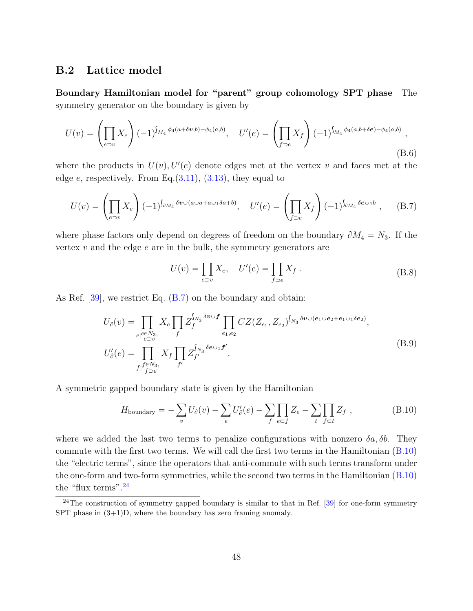## <span id="page-48-0"></span>B.2 Lattice model

Boundary Hamiltonian model for "parent" group cohomology SPT phase The symmetry generator on the boundary is given by

$$
U(v) = \left(\prod_{e \supset v} X_e\right) (-1)^{\int_{M_4} \phi_4(a+\delta v, b) - \phi_4(a, b)}, \quad U'(e) = \left(\prod_{f \supset e} X_f\right) (-1)^{\int_{M_4} \phi_4(a, b+\delta e) - \phi_4(a, b)},
$$
\n(B.6)

where the products in  $U(v)$ ,  $U'(e)$  denote edges met at the vertex v and faces met at the edge  $e$ , respectively. From Eq.  $(3.11)$ ,  $(3.13)$ , they equal to

<span id="page-48-1"></span>
$$
U(v) = \left(\prod_{e \supset v} X_e\right) (-1)^{\int_{\partial M_4} \delta v \cup (a \cup a + a \cup 1 \delta a + b)}, \quad U'(e) = \left(\prod_{f \supset e} X_f\right) (-1)^{\int_{\partial M_4} \delta e \cup 1 b}, \quad (B.7)
$$

where phase factors only depend on degrees of freedom on the boundary  $\partial M_4 = N_3$ . If the vertex  $v$  and the edge  $e$  are in the bulk, the symmetry generators are

$$
U(v) = \prod_{e \supset v} X_e, \quad U'(e) = \prod_{f \supset e} X_f.
$$
 (B.8)

As Ref. [\[39\]](#page-56-4), we restrict Eq. [\(B.7\)](#page-48-1) on the boundary and obtain:

$$
U_{\partial}(v) = \prod_{e|e \in N_3, \atop f|f \supset e} X_e \prod_f Z_f^{\int_{N_3} \delta v \cup f} \prod_{e_1, e_2} CZ(Z_{e_1}, Z_{e_2})^{\int_{N_3} \delta v \cup (e_1 \cup e_2 + e_1 \cup_1 \delta e_2)},
$$
  
\n
$$
U'_{\partial}(e) = \prod_{f|f \in N_3, \atop f \supset e} X_f \prod_{f'} Z_{f'}^{\int_{N_3} \delta e \cup_1 f'}.
$$
\n(B.9)

A symmetric gapped boundary state is given by the Hamiltonian

<span id="page-48-2"></span>
$$
H_{\text{boundary}} = -\sum_{v} U_{\partial}(v) - \sum_{e} U'_{\partial}(e) - \sum_{f} \prod_{e \subset f} Z_e - \sum_{t} \prod_{f \subset t} Z_f , \qquad (B.10)
$$

where we added the last two terms to penalize configurations with nonzero  $\delta a, \delta b$ . They commute with the first two terms. We will call the first two terms in the Hamiltonian [\(B.10\)](#page-48-2) the "electric terms", since the operators that anti-commute with such terms transform under the one-form and two-form symmetries, while the second two terms in the Hamiltonian [\(B.10\)](#page-48-2) the "flux terms".<sup>[24](#page-48-3)</sup>

<span id="page-48-3"></span><sup>&</sup>lt;sup>24</sup>The construction of symmetry gapped boundary is similar to that in Ref. [\[39\]](#page-56-4) for one-form symmetry SPT phase in (3+1)D, where the boundary has zero framing anomaly.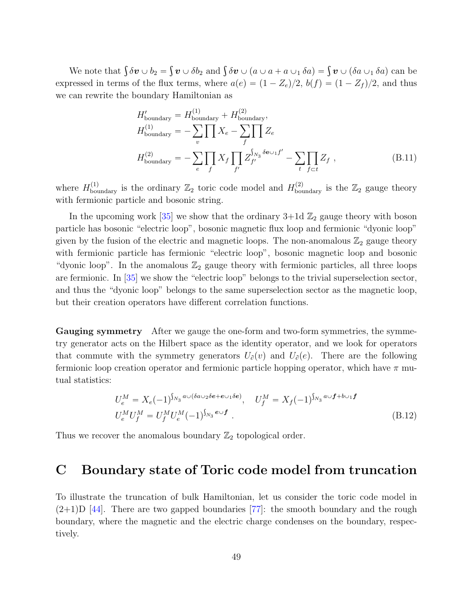We note that  $\int \delta v \cup b_2 = \int v \cup \delta b_2$  and  $\int \delta v \cup (a \cup a + a \cup_1 \delta a) = \int v \cup (\delta a \cup_1 \delta a)$  can be expressed in terms of the flux terms, where  $a(e) = (1 - Z_e)/2$ ,  $b(f) = (1 - Z_f)/2$ , and thus we can rewrite the boundary Hamiltonian as

$$
H'_{\text{boundary}} = H^{(1)}_{\text{boundary}} + H^{(2)}_{\text{boundary}},
$$
  
\n
$$
H^{(1)}_{\text{boundary}} = -\sum_{v} \prod_{r} X_e - \sum_{f} \prod_{f'} Z_e
$$
  
\n
$$
H^{(2)}_{\text{boundary}} = -\sum_{e} \prod_{f} X_f \prod_{f'} Z_{f'}^{S_{N_3} \delta e \cup f'} - \sum_{t} \prod_{f \subset t} Z_f,
$$
\n(B.11)

where  $H_{\text{boundary}}^{(1)}$  is the ordinary  $\mathbb{Z}_2$  toric code model and  $H_{\text{boundary}}^{(2)}$  is the  $\mathbb{Z}_2$  gauge theory with fermionic particle and bosonic string.

In the upcoming work  $[35]$  we show that the ordinary  $3+1d\mathbb{Z}_2$  gauge theory with boson particle has bosonic "electric loop", bosonic magnetic flux loop and fermionic "dyonic loop" given by the fusion of the electric and magnetic loops. The non-anomalous  $\mathbb{Z}_2$  gauge theory with fermionic particle has fermionic "electric loop", bosonic magnetic loop and bosonic "dyonic loop". In the anomalous  $\mathbb{Z}_2$  gauge theory with fermionic particles, all three loops are fermionic. In [\[35\]](#page-56-0) we show the "electric loop" belongs to the trivial superselection sector, and thus the "dyonic loop" belongs to the same superselection sector as the magnetic loop, but their creation operators have different correlation functions.

Gauging symmetry After we gauge the one-form and two-form symmetries, the symmetry generator acts on the Hilbert space as the identity operator, and we look for operators that commute with the symmetry generators  $U_{\partial}(v)$  and  $U_{\partial}(e)$ . There are the following fermionic loop creation operator and fermionic particle hopping operator, which have  $\pi$  mutual statistics:

$$
U_e^M = X_e(-1)^{\int_{N_3} a \cup (\delta a \cup_2 \delta e + e \cup_1 \delta e)}, \quad U_f^M = X_f(-1)^{\int_{N_3} a \cup f + b \cup_1 f}
$$
  
\n
$$
U_e^M U_f^M = U_f^M U_e^M (-1)^{\int_{N_3} e \cup f}.
$$
\n(B.12)

Thus we recover the anomalous boundary  $\mathbb{Z}_2$  topological order.

## <span id="page-49-0"></span>C Boundary state of Toric code model from truncation

To illustrate the truncation of bulk Hamiltonian, let us consider the toric code model in  $(2+1)$ D [\[44\]](#page-56-8). There are two gapped boundaries [\[77\]](#page-59-5): the smooth boundary and the rough boundary, where the magnetic and the electric charge condenses on the boundary, respectively.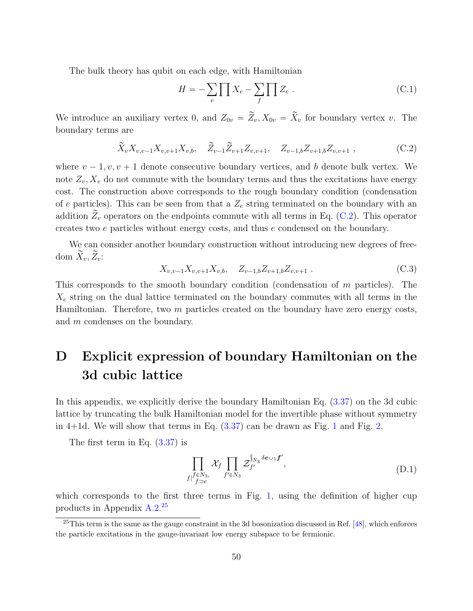The bulk theory has qubit on each edge, with Hamiltonian

$$
H = -\sum_{v} \prod_{v} X_e - \sum_{f} \prod_{v} Z_e \tag{C.1}
$$

We introduce an auxiliary vertex 0, and  $Z_{0v} = \widetilde{Z}_v, X_{0v} = \widetilde{X}_v$  for boundary vertex v. The boundary terms are

<span id="page-50-1"></span>
$$
\widetilde{X}_v X_{v,v-1} X_{v,v+1} X_{v,b}, \quad \widetilde{Z}_{v-1} \widetilde{Z}_{v+1} Z_{v,v+1}, \quad Z_{v-1,b} Z_{v+1,b} Z_{v,v+1} , \qquad (C.2)
$$

where  $v - 1, v, v + 1$  denote consecutive boundary vertices, and b denote bulk vertex. We note  $Z_v, X_v$  do not commute with the boundary terms and thus the excitations have energy cost. The construction above corresponds to the rough boundary condition (condensation of e particles). This can be seen from that a  $Z_e$  string terminated on the boundary with an addition  $\tilde{Z}_v$  operators on the endpoints commute with all terms in Eq. [\(C.2\)](#page-50-1). This operator creates two e particles without energy costs, and thus e condensed on the boundary.

We can consider another boundary construction without introducing new degrees of freedom  $\bar{X}_v, \bar{Z}_v$ :

$$
X_{v,v-1}X_{v,v+1}X_{v,b}, \quad Z_{v-1,b}Z_{v+1,b}Z_{v,v+1} . \tag{C.3}
$$

This corresponds to the smooth boundary condition (condensation of  $m$  particles). The  $X_e$  string on the dual lattice terminated on the boundary commutes with all terms in the Hamiltonian. Therefore, two  $m$  particles created on the boundary have zero energy costs, and m condenses on the boundary.

# <span id="page-50-0"></span>D Explicit expression of boundary Hamiltonian on the 3d cubic lattice

In this appendix, we explicitly derive the boundary Hamiltonian Eq. [\(3.37\)](#page-24-0) on the 3d cubic lattice by truncating the bulk Hamiltonian model for the invertible phase without symmetry in 4+1d. We will show that terms in Eq. [\(3.37\)](#page-24-0) can be drawn as Fig. [1](#page-7-0) and Fig. [2.](#page-8-0)

The first term in Eq. [\(3.37\)](#page-24-0) is

$$
\prod_{f|f \in N_3, \atop f \supset e} \mathcal{X}_f \prod_{f' \in N_3} \mathcal{Z}_{f'}^{\int_{N_3} \delta e \cup_1 f'}, \tag{D.1}
$$

which corresponds to the first three terms in Fig. [1,](#page-7-0) using the definition of higher cup products in Appendix [A.2.](#page-44-1) [25](#page-50-2)

<span id="page-50-2"></span><sup>&</sup>lt;sup>25</sup>This term is the same as the gauge constraint in the 3d bosonization discussed in Ref.  $[48]$ , which enforces the particle excitations in the gauge-invariant low energy subspace to be fermionic.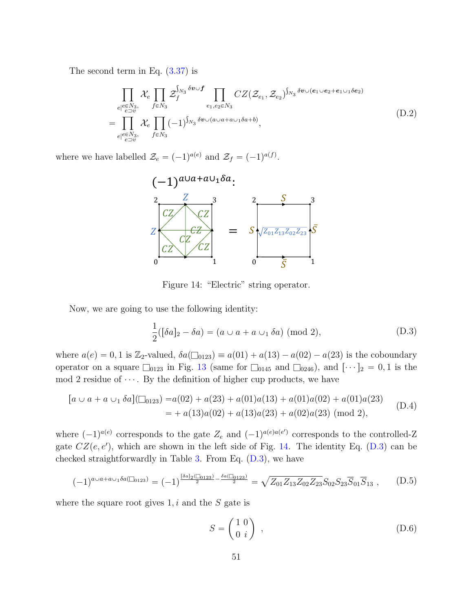<span id="page-51-2"></span>The second term in Eq.  $(3.37)$  is

$$
\prod_{\substack{e|e\in N_3,\\e\supset v}} \mathcal{X}_e \prod_{f\in N_3} \mathcal{Z}_f^{S_{N_3}\delta v \cup f} \prod_{e_1, e_2 \in N_3} CZ(\mathcal{Z}_{e_1}, \mathcal{Z}_{e_2})^{S_{N_3}\delta v \cup (e_1 \cup e_2 + e_1 \cup_1 \delta e_2)}
$$
\n
$$
= \prod_{\substack{e|e\in N_3,\\e\supset v}} \mathcal{X}_e \prod_{f\in N_3} (-1)^{S_{N_3}\delta v \cup (a \cup a + a \cup_1 \delta a + b)}, \tag{D.2}
$$

<span id="page-51-0"></span>where we have labelled  $\mathcal{Z}_e = (-1)^{a(e)}$  and  $\mathcal{Z}_f = (-1)^{a(f)}$ .



Figure 14: "Electric" string operator.

<span id="page-51-1"></span>Now, we are going to use the following identity:

$$
\frac{1}{2}([\delta a]_2 - \delta a) = (a \cup a + a \cup_1 \delta a) \pmod{2},\tag{D.3}
$$

where  $a(e) = 0, 1$  is  $\mathbb{Z}_2$ -valued,  $\delta a(\square_{0123}) \equiv a(01) + a(13) - a(02) - a(23)$  is the coboundary operator on a square  $\square_{0123}$  in Fig. [13](#page-45-0) (same for  $\square_{0145}$  and  $\square_{0246}$ ), and  $\lbrack \cdots \rbrack_2 = 0, 1$  is the mod 2 residue of  $\cdots$ . By the definition of higher cup products, we have

$$
[a \cup a + a \cup_1 \delta a](\square_{0123}) = a(02) + a(23) + a(01)a(13) + a(01)a(02) + a(01)a(23)
$$
  
= + a(13)a(02) + a(13)a(23) + a(02)a(23) (mod 2), (D.4)

where  $(-1)^{a(e)}$  corresponds to the gate  $Z_e$  and  $(-1)^{a(e)a(e')}$  corresponds to the controlled-Z gate  $CZ(e, e')$ , which are shown in the left side of Fig. [14.](#page-51-0) The identity Eq. [\(D.3\)](#page-51-1) can be checked straightforwardly in Table [3.](#page-52-0) From Eq.  $(D.3)$ , we have

$$
(-1)^{a\cup a+a\cup 1}\delta a(\square_{0123}) = (-1)^{\frac{\delta a_1(\square_{0123})}{2} - \frac{\delta a(\square_{0123})}{2}} = \sqrt{Z_{01}Z_{13}Z_{02}Z_{23}}S_{02}S_{23}\overline{S}_{01}\overline{S}_{13} ,\qquad (D.5)
$$

where the square root gives  $1, i$  and the S gate is

$$
S = \begin{pmatrix} 1 & 0 \\ 0 & i \end{pmatrix} , \tag{D.6}
$$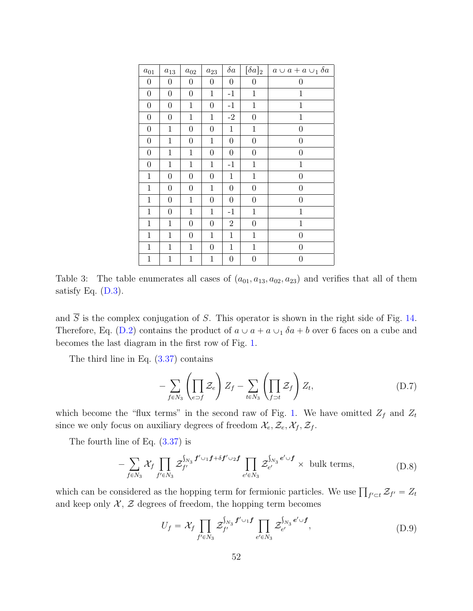<span id="page-52-0"></span>

| $a_{01}$         | $a_{13}$         | $a_{02}$         | $a_{23}$         | $\delta a$       | $[\delta a]_2$   | $a \cup a + a \cup_1 \delta a$ |
|------------------|------------------|------------------|------------------|------------------|------------------|--------------------------------|
| $\boldsymbol{0}$ | $\boldsymbol{0}$ | $\boldsymbol{0}$ | $\boldsymbol{0}$ | $\boldsymbol{0}$ | $\boldsymbol{0}$ | $\boldsymbol{0}$               |
| $\boldsymbol{0}$ | $\boldsymbol{0}$ | $\boldsymbol{0}$ | $\mathbf{1}$     | $-1$             | $\mathbf{1}$     | $\mathbf{1}$                   |
| $\boldsymbol{0}$ | $\boldsymbol{0}$ | $\,1$            | $\boldsymbol{0}$ | $-1$             | $\mathbf 1$      | $\mathbf 1$                    |
| $\boldsymbol{0}$ | $\boldsymbol{0}$ | $\mathbf{1}$     | $\mathbf{1}$     | $-2$             | $\boldsymbol{0}$ | $\mathbf{1}$                   |
| $\boldsymbol{0}$ | $\mathbf{1}$     | $\overline{0}$   | $\overline{0}$   | $\mathbf{1}$     | $\mathbf{1}$     | $\overline{0}$                 |
| $\boldsymbol{0}$ | $\mathbf{1}$     | $\overline{0}$   | $\mathbf{1}$     | $\boldsymbol{0}$ | $\boldsymbol{0}$ | $\boldsymbol{0}$               |
| $\boldsymbol{0}$ | $\mathbf{1}$     | $\mathbf{1}$     | $\boldsymbol{0}$ | $\boldsymbol{0}$ | $\boldsymbol{0}$ | $\boldsymbol{0}$               |
| $\boldsymbol{0}$ | $\mathbf{1}$     | $\,1$            | $\,1$            | $^{\rm -1}$      | $1\,$            | $\mathbf{1}$                   |
| $\mathbf{1}$     | $\boldsymbol{0}$ | $\overline{0}$   | $\overline{0}$   | $\mathbf{1}$     | $\mathbf{1}$     | $\overline{0}$                 |
| $\mathbf{1}$     | $\boldsymbol{0}$ | $\overline{0}$   | $\mathbf{1}$     | $\boldsymbol{0}$ | $\boldsymbol{0}$ | $\overline{0}$                 |
| 1                | $\overline{0}$   | $\mathbf{1}$     | $\overline{0}$   | $\boldsymbol{0}$ | $\boldsymbol{0}$ | $\boldsymbol{0}$               |
| $\mathbf{1}$     | $\boldsymbol{0}$ | $\mathbf{1}$     | $\mathbf{1}$     | $-1$             | $\mathbf 1$      | $\mathbf{1}$                   |
| $\mathbf{1}$     | $\mathbf{1}$     | $\overline{0}$   | $\boldsymbol{0}$ | $\overline{2}$   | $\boldsymbol{0}$ | $\mathbf{1}$                   |
| $\mathbf{1}$     | $\mathbf{1}$     | $\overline{0}$   | $\mathbf{1}$     | $\mathbf{1}$     | $\mathbf{1}$     | $\overline{0}$                 |
| $\mathbf{1}$     | $\mathbf{1}$     | $\mathbf{1}$     | $\overline{0}$   | $\mathbf{1}$     | $\mathbf 1$      | $\boldsymbol{0}$               |
| $\mathbf{1}$     | $\mathbf{1}$     | $\mathbf{1}$     | $\mathbf{1}$     | $\boldsymbol{0}$ | $\boldsymbol{0}$ | $\boldsymbol{0}$               |

Table 3: The table enumerates all cases of  $(a_{01}, a_{13}, a_{02}, a_{23})$  and verifies that all of them satisfy Eq.  $(D.3)$ .

and  $\overline{S}$  is the complex conjugation of S. This operator is shown in the right side of Fig. [14.](#page-51-0) Therefore, Eq. [\(D.2\)](#page-51-2) contains the product of  $a \cup a + a \cup \delta a + b$  over 6 faces on a cube and becomes the last diagram in the first row of Fig. [1.](#page-7-0)

The third line in Eq.  $(3.37)$  contains

$$
-\sum_{f\in N_3}\left(\prod_{e\supset f}\mathcal{Z}_e\right)Z_f-\sum_{t\in N_3}\left(\prod_{f\supset t}\mathcal{Z}_f\right)Z_t,
$$
\n(D.7)

which become the "flux terms" in the second raw of Fig. [1.](#page-7-0) We have omitted  $Z_f$  and  $Z_t$ since we only focus on auxiliary degrees of freedom  $\mathcal{X}_e, \mathcal{Z}_e, \mathcal{X}_f, \mathcal{Z}_f$ .

The fourth line of Eq. [\(3.37\)](#page-24-0) is

$$
-\sum_{f\in N_3} \mathcal{X}_f \prod_{f'\in N_3} \mathcal{Z}_{f'}^{\int_{N_3} f'\cup_1 f+\delta f'\cup_2 f} \prod_{e'\in N_3} \mathcal{Z}_{e'}^{\int_{N_3} e'\cup f} \times \text{ bulk terms},\tag{D.8}
$$

which can be considered as the hopping term for fermionic particles. We use  $\prod_{f' \subset t} \mathcal{Z}_{f'} = Z_t$ and keep only  $\mathcal{X}, \mathcal{Z}$  degrees of freedom, the hopping term becomes

$$
U_f = \mathcal{X}_f \prod_{f' \in N_3} \mathcal{Z}_{f'}^{\int_{N_3} f' \cup_1 f} \prod_{e' \in N_3} \mathcal{Z}_{e'}^{\int_{N_3} e' \cup f}, \tag{D.9}
$$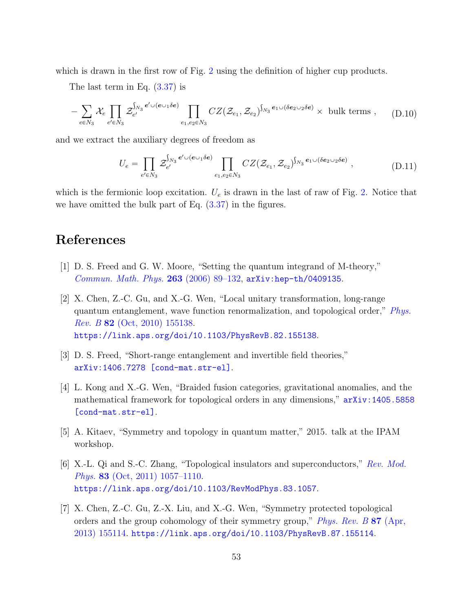which is drawn in the first row of Fig. [2](#page-8-0) using the definition of higher cup products.

The last term in Eq. [\(3.37\)](#page-24-0) is

$$
-\sum_{e \in N_3} \mathcal{X}_e \prod_{e' \in N_3} \mathcal{Z}_{e'}^{S_{N_3} e' \cup (e \cup_1 \delta e)} \prod_{e_1, e_2 \in N_3} CZ(\mathcal{Z}_{e_1}, \mathcal{Z}_{e_2})^{S_{N_3} e_1 \cup (\delta e_2 \cup_2 \delta e)} \times \text{ bulk terms }, \qquad (D.10)
$$

and we extract the auxiliary degrees of freedom as

$$
U_e = \prod_{e' \in N_3} \mathcal{Z}_{e'}^{\int_{N_3} e' \cup (e \cup_1 \delta e)} \prod_{e_1, e_2 \in N_3} CZ(\mathcal{Z}_{e_1}, \mathcal{Z}_{e_2})^{\int_{N_3} e_1 \cup (\delta e_2 \cup_2 \delta e)} , \qquad (D.11)
$$

which is the fermionic loop excitation.  $U_e$  is drawn in the last of raw of Fig. [2.](#page-8-0) Notice that we have omitted the bulk part of Eq. [\(3.37\)](#page-24-0) in the figures.

## References

- <span id="page-53-0"></span>[1] D. S. Freed and G. W. Moore, "Setting the quantum integrand of M-theory," [Commun. Math. Phys.](http://dx.doi.org/10.1007/s00220-005-1482-7) 263 (2006) 89–132, [arXiv:hep-th/0409135](http://arxiv.org/abs/hep-th/0409135).
- [2] X. Chen, Z.-C. Gu, and X.-G. Wen, "Local unitary transformation, long-range quantum entanglement, wave function renormalization, and topological order," [Phys.](http://dx.doi.org/10.1103/PhysRevB.82.155138) Rev. B 82 [\(Oct, 2010\) 155138.](http://dx.doi.org/10.1103/PhysRevB.82.155138) <https://link.aps.org/doi/10.1103/PhysRevB.82.155138>.
- [3] D. S. Freed, "Short-range entanglement and invertible field theories," [arXiv:1406.7278 \[cond-mat.str-el\]](http://arxiv.org/abs/1406.7278).
- [4] L. Kong and X.-G. Wen, "Braided fusion categories, gravitational anomalies, and the mathematical framework for topological orders in any dimensions," [arXiv:1405.5858](http://arxiv.org/abs/1405.5858) [\[cond-mat.str-el\]](http://arxiv.org/abs/1405.5858).
- <span id="page-53-1"></span>[5] A. Kitaev, "Symmetry and topology in quantum matter," 2015. talk at the IPAM workshop.
- <span id="page-53-2"></span>[6] X.-L. Qi and S.-C. Zhang, "Topological insulators and superconductors," [Rev. Mod.](http://dx.doi.org/10.1103/RevModPhys.83.1057) Phys. 83 [\(Oct, 2011\) 1057–1110.](http://dx.doi.org/10.1103/RevModPhys.83.1057) <https://link.aps.org/doi/10.1103/RevModPhys.83.1057>.
- <span id="page-53-3"></span>[7] X. Chen, Z.-C. Gu, Z.-X. Liu, and X.-G. Wen, "Symmetry protected topological orders and the group cohomology of their symmetry group," [Phys. Rev. B](http://dx.doi.org/10.1103/PhysRevB.87.155114) 87 (Apr, [2013\) 155114.](http://dx.doi.org/10.1103/PhysRevB.87.155114) <https://link.aps.org/doi/10.1103/PhysRevB.87.155114>.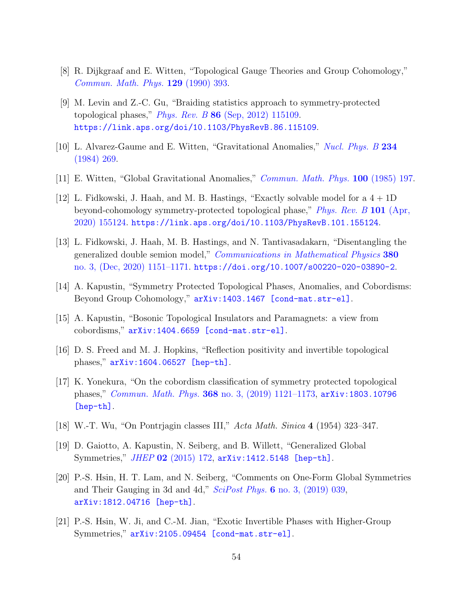- <span id="page-54-0"></span>[8] R. Dijkgraaf and E. Witten, "Topological Gauge Theories and Group Cohomology," [Commun. Math. Phys.](http://dx.doi.org/10.1007/BF02096988) 129 (1990) 393.
- <span id="page-54-1"></span>[9] M. Levin and Z.-C. Gu, "Braiding statistics approach to symmetry-protected topological phases," *Phys. Rev. B*  $86$  [\(Sep, 2012\) 115109.](http://dx.doi.org/10.1103/PhysRevB.86.115109) <https://link.aps.org/doi/10.1103/PhysRevB.86.115109>.
- <span id="page-54-2"></span>[10] L. Alvarez-Gaume and E. Witten, "Gravitational Anomalies," [Nucl. Phys. B](http://dx.doi.org/10.1016/0550-3213(84)90066-X) 234 [\(1984\) 269.](http://dx.doi.org/10.1016/0550-3213(84)90066-X)
- <span id="page-54-3"></span>[11] E. Witten, "Global Gravitational Anomalies," [Commun. Math. Phys.](http://dx.doi.org/10.1007/BF01212448) 100 (1985) 197.
- <span id="page-54-4"></span>[12] L. Fidkowski, J. Haah, and M. B. Hastings, "Exactly solvable model for a  $4 + 1D$ beyond-cohomology symmetry-protected topological phase," [Phys. Rev. B](http://dx.doi.org/10.1103/PhysRevB.101.155124) 101 (Apr, [2020\) 155124.](http://dx.doi.org/10.1103/PhysRevB.101.155124) <https://link.aps.org/doi/10.1103/PhysRevB.101.155124>.
- <span id="page-54-5"></span>[13] L. Fidkowski, J. Haah, M. B. Hastings, and N. Tantivasadakarn, "Disentangling the generalized double semion model," [Communications in Mathematical Physics](http://dx.doi.org/10.1007/s00220-020-03890-2) 380 [no. 3, \(Dec, 2020\) 1151–1171.](http://dx.doi.org/10.1007/s00220-020-03890-2) <https://doi.org/10.1007/s00220-020-03890-2>.
- <span id="page-54-6"></span>[14] A. Kapustin, "Symmetry Protected Topological Phases, Anomalies, and Cobordisms: Beyond Group Cohomology," [arXiv:1403.1467 \[cond-mat.str-el\]](http://arxiv.org/abs/1403.1467).
- <span id="page-54-8"></span>[15] A. Kapustin, "Bosonic Topological Insulators and Paramagnets: a view from cobordisms," [arXiv:1404.6659 \[cond-mat.str-el\]](http://arxiv.org/abs/1404.6659).
- <span id="page-54-12"></span>[16] D. S. Freed and M. J. Hopkins, "Reflection positivity and invertible topological phases," [arXiv:1604.06527 \[hep-th\]](http://arxiv.org/abs/1604.06527).
- <span id="page-54-7"></span>[17] K. Yonekura, "On the cobordism classification of symmetry protected topological phases," Commun. Math. Phys. 368 [no. 3, \(2019\) 1121–1173,](http://dx.doi.org/10.1007/s00220-019-03439-y) [arXiv:1803.10796](http://arxiv.org/abs/1803.10796) [\[hep-th\]](http://arxiv.org/abs/1803.10796).
- <span id="page-54-9"></span>[18] W.-T. Wu, "On Pontrjagin classes III," Acta Math. Sinica 4 (1954) 323–347.
- <span id="page-54-10"></span>[19] D. Gaiotto, A. Kapustin, N. Seiberg, and B. Willett, "Generalized Global Symmetries," JHEP 02 [\(2015\) 172,](http://dx.doi.org/10.1007/JHEP02(2015)172) [arXiv:1412.5148 \[hep-th\]](http://arxiv.org/abs/1412.5148).
- <span id="page-54-13"></span>[20] P.-S. Hsin, H. T. Lam, and N. Seiberg, "Comments on One-Form Global Symmetries and Their Gauging in 3d and 4d,"  $SciPost Phys.$  6 [no. 3, \(2019\) 039,](http://dx.doi.org/10.21468/SciPostPhys.6.3.039) [arXiv:1812.04716 \[hep-th\]](http://arxiv.org/abs/1812.04716).
- <span id="page-54-11"></span>[21] P.-S. Hsin, W. Ji, and C.-M. Jian, "Exotic Invertible Phases with Higher-Group Symmetries," [arXiv:2105.09454 \[cond-mat.str-el\]](http://arxiv.org/abs/2105.09454).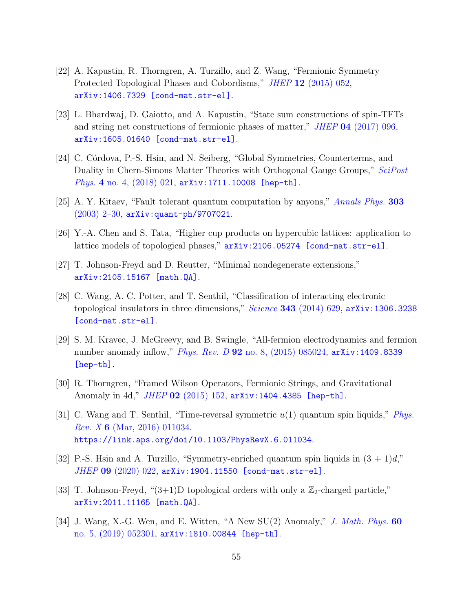- <span id="page-55-0"></span>[22] A. Kapustin, R. Thorngren, A. Turzillo, and Z. Wang, "Fermionic Symmetry Protected Topological Phases and Cobordisms," *JHEP* 12 [\(2015\) 052,](http://dx.doi.org/10.1007/JHEP12(2015)052) [arXiv:1406.7329 \[cond-mat.str-el\]](http://arxiv.org/abs/1406.7329).
- <span id="page-55-1"></span>[23] L. Bhardwaj, D. Gaiotto, and A. Kapustin, "State sum constructions of spin-TFTs and string net constructions of fermionic phases of matter," JHEP 04 [\(2017\) 096,](http://dx.doi.org/10.1007/JHEP04(2017)096) [arXiv:1605.01640 \[cond-mat.str-el\]](http://arxiv.org/abs/1605.01640).
- <span id="page-55-2"></span>[24] C. Córdova, P.-S. Hsin, and N. Seiberg, "Global Symmetries, Counterterms, and Duality in Chern-Simons Matter Theories with Orthogonal Gauge Groups," [SciPost](http://dx.doi.org/10.21468/SciPostPhys.4.4.021) Phys. 4 [no. 4, \(2018\) 021,](http://dx.doi.org/10.21468/SciPostPhys.4.4.021) [arXiv:1711.10008 \[hep-th\]](http://arxiv.org/abs/1711.10008).
- <span id="page-55-3"></span>[25] A. Y. Kitaev, "Fault tolerant quantum computation by anyons," [Annals Phys.](http://dx.doi.org/10.1016/S0003-4916(02)00018-0) 303 [\(2003\) 2–30,](http://dx.doi.org/10.1016/S0003-4916(02)00018-0) [arXiv:quant-ph/9707021](http://arxiv.org/abs/quant-ph/9707021).
- <span id="page-55-4"></span>[26] Y.-A. Chen and S. Tata, "Higher cup products on hypercubic lattices: application to lattice models of topological phases," [arXiv:2106.05274 \[cond-mat.str-el\]](http://arxiv.org/abs/2106.05274).
- <span id="page-55-5"></span>[27] T. Johnson-Freyd and D. Reutter, "Minimal nondegenerate extensions," [arXiv:2105.15167 \[math.QA\]](http://arxiv.org/abs/2105.15167).
- <span id="page-55-6"></span>[28] C. Wang, A. C. Potter, and T. Senthil, "Classification of interacting electronic topological insulators in three dimensions,"  $Science$  343 [\(2014\) 629,](http://dx.doi.org/10.1126/science.1243326)  $arXiv:1306.3238$ [\[cond-mat.str-el\]](http://arxiv.org/abs/1306.3238).
- [29] S. M. Kravec, J. McGreevy, and B. Swingle, "All-fermion electrodynamics and fermion number anomaly inflow," *Phys. Rev. D* 92 [no. 8, \(2015\) 085024,](http://dx.doi.org/10.1103/PhysRevD.92.085024) [arXiv:1409.8339](http://arxiv.org/abs/1409.8339) [\[hep-th\]](http://arxiv.org/abs/1409.8339).
- <span id="page-55-8"></span>[30] R. Thorngren, "Framed Wilson Operators, Fermionic Strings, and Gravitational Anomaly in 4d,"  $JHEP$  02 [\(2015\) 152,](http://dx.doi.org/10.1007/JHEP02(2015)152)  $arXiv:1404.4385$  [hep-th].
- [31] C. Wang and T. Senthil, "Time-reversal symmetric  $u(1)$  quantum spin liquids," *[Phys.](http://dx.doi.org/10.1103/PhysRevX.6.011034)* Rev. X 6 [\(Mar, 2016\) 011034.](http://dx.doi.org/10.1103/PhysRevX.6.011034) <https://link.aps.org/doi/10.1103/PhysRevX.6.011034>.
- <span id="page-55-7"></span>[32] P.-S. Hsin and A. Turzillo, "Symmetry-enriched quantum spin liquids in  $(3 + 1)d$ " JHEP 09 [\(2020\) 022,](http://dx.doi.org/10.1007/JHEP09(2020)022) [arXiv:1904.11550 \[cond-mat.str-el\]](http://arxiv.org/abs/1904.11550).
- <span id="page-55-9"></span>[33] T. Johnson-Freyd, " $(3+1)D$  topological orders with only a  $\mathbb{Z}_2$ -charged particle," [arXiv:2011.11165 \[math.QA\]](http://arxiv.org/abs/2011.11165).
- <span id="page-55-10"></span>[34] J. Wang, X.-G. Wen, and E. Witten, "A New SU(2) Anomaly," [J. Math. Phys.](http://dx.doi.org/10.1063/1.5082852) 60 [no. 5, \(2019\) 052301,](http://dx.doi.org/10.1063/1.5082852) [arXiv:1810.00844 \[hep-th\]](http://arxiv.org/abs/1810.00844).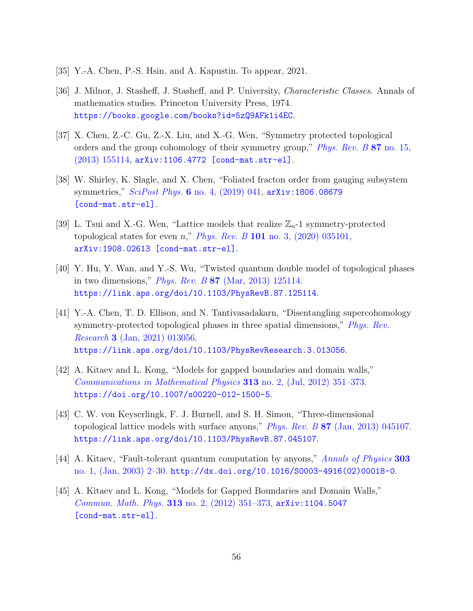- <span id="page-56-0"></span>[35] Y.-A. Chen, P.-S. Hsin, and A. Kapustin. To appear, 2021.
- <span id="page-56-1"></span>[36] J. Milnor, J. Stasheff, J. Stasheff, and P. University, Characteristic Classes. Annals of mathematics studies. Princeton University Press, 1974. <https://books.google.com/books?id=5zQ9AFk1i4EC>.
- <span id="page-56-2"></span>[37] X. Chen, Z.-C. Gu, Z.-X. Liu, and X.-G. Wen, "Symmetry protected topological orders and the group cohomology of their symmetry group," *[Phys. Rev. B](http://dx.doi.org/10.1103/PhysRevB.87.155114)* 87 no. 15, [\(2013\) 155114,](http://dx.doi.org/10.1103/PhysRevB.87.155114) [arXiv:1106.4772 \[cond-mat.str-el\]](http://arxiv.org/abs/1106.4772).
- <span id="page-56-3"></span>[38] W. Shirley, K. Slagle, and X. Chen, "Foliated fracton order from gauging subsystem symmetries,"  $SciPost$  Phys. 6 [no. 4, \(2019\) 041,](http://dx.doi.org/10.21468/SciPostPhys.6.4.041)  $arXiv:1806.08679$ [\[cond-mat.str-el\]](http://arxiv.org/abs/1806.08679).
- <span id="page-56-4"></span>[39] L. Tsui and X.-G. Wen, "Lattice models that realize  $\mathbb{Z}_n$ -1 symmetry-protected topological states for even  $n$ ," *Phys. Rev. B* 101 no. 3,  $(2020)$  035101, [arXiv:1908.02613 \[cond-mat.str-el\]](http://arxiv.org/abs/1908.02613).
- [40] Y. Hu, Y. Wan, and Y.-S. Wu, "Twisted quantum double model of topological phases in two dimensions," Phys. Rev. B 87 [\(Mar, 2013\) 125114.](http://dx.doi.org/10.1103/PhysRevB.87.125114) <https://link.aps.org/doi/10.1103/PhysRevB.87.125114>.
- <span id="page-56-5"></span>[41] Y.-A. Chen, T. D. Ellison, and N. Tantivasadakarn, "Disentangling supercohomology symmetry-protected topological phases in three spatial dimensions," *[Phys. Rev.](http://dx.doi.org/10.1103/PhysRevResearch.3.013056)* Research 3 [\(Jan, 2021\) 013056.](http://dx.doi.org/10.1103/PhysRevResearch.3.013056) <https://link.aps.org/doi/10.1103/PhysRevResearch.3.013056>.
- <span id="page-56-6"></span>[42] A. Kitaev and L. Kong, "Models for gapped boundaries and domain walls," [Communications in Mathematical Physics](http://dx.doi.org/10.1007/s00220-012-1500-5) 313 no. 2, (Jul, 2012) 351–373. <https://doi.org/10.1007/s00220-012-1500-5>.
- <span id="page-56-7"></span>[43] C. W. von Keyserlingk, F. J. Burnell, and S. H. Simon, "Three-dimensional topological lattice models with surface anyons," Phys. Rev. B 87 [\(Jan, 2013\) 045107.](http://dx.doi.org/10.1103/PhysRevB.87.045107) <https://link.aps.org/doi/10.1103/PhysRevB.87.045107>.
- <span id="page-56-8"></span>[44] A. Kitaev, "Fault-tolerant quantum computation by anyons," [Annals of Physics](http://dx.doi.org/10.1016/s0003-4916(02)00018-0) 303 [no. 1, \(Jan, 2003\) 2–30.](http://dx.doi.org/10.1016/s0003-4916(02)00018-0) [http://dx.doi.org/10.1016/S0003-4916\(02\)00018-0](http://dx.doi.org/10.1016/S0003-4916(02)00018-0).
- <span id="page-56-9"></span>[45] A. Kitaev and L. Kong, "Models for Gapped Boundaries and Domain Walls," [Commun. Math. Phys.](http://dx.doi.org/10.1007/s00220-012-1500-5) 313 no. 2, (2012) 351–373, [arXiv:1104.5047](http://arxiv.org/abs/1104.5047) [\[cond-mat.str-el\]](http://arxiv.org/abs/1104.5047).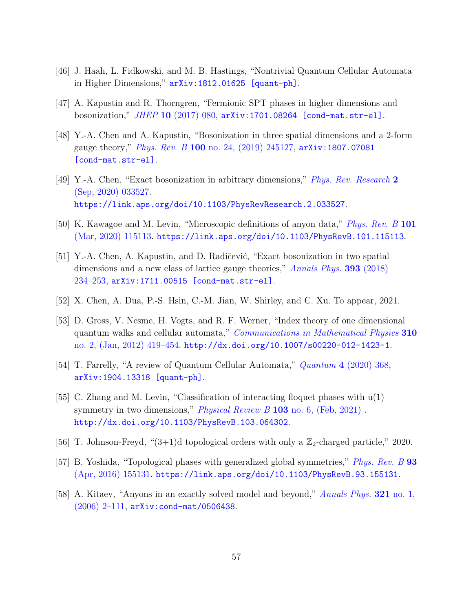- <span id="page-57-0"></span>[46] J. Haah, L. Fidkowski, and M. B. Hastings, "Nontrivial Quantum Cellular Automata in Higher Dimensions," [arXiv:1812.01625 \[quant-ph\]](http://arxiv.org/abs/1812.01625).
- <span id="page-57-1"></span>[47] A. Kapustin and R. Thorngren, "Fermionic SPT phases in higher dimensions and bosonization," JHEP 10 [\(2017\) 080,](http://dx.doi.org/10.1007/JHEP10(2017)080) [arXiv:1701.08264 \[cond-mat.str-el\]](http://arxiv.org/abs/1701.08264).
- <span id="page-57-2"></span>[48] Y.-A. Chen and A. Kapustin, "Bosonization in three spatial dimensions and a 2-form gauge theory," *Phys. Rev. B* 100 no. 24,  $(2019)$  245127, [arXiv:1807.07081](http://arxiv.org/abs/1807.07081) [\[cond-mat.str-el\]](http://arxiv.org/abs/1807.07081).
- <span id="page-57-3"></span>[49] Y.-A. Chen, "Exact bosonization in arbitrary dimensions," [Phys. Rev. Research](http://dx.doi.org/10.1103/PhysRevResearch.2.033527) 2 [\(Sep, 2020\) 033527.](http://dx.doi.org/10.1103/PhysRevResearch.2.033527) <https://link.aps.org/doi/10.1103/PhysRevResearch.2.033527>.
- <span id="page-57-4"></span>[50] K. Kawagoe and M. Levin, "Microscopic definitions of anyon data," *[Phys. Rev. B](http://dx.doi.org/10.1103/PhysRevB.101.115113)* 101 [\(Mar, 2020\) 115113.](http://dx.doi.org/10.1103/PhysRevB.101.115113) <https://link.aps.org/doi/10.1103/PhysRevB.101.115113>.
- <span id="page-57-5"></span>[51] Y.-A. Chen, A. Kapustin, and D. Radičević, "Exact bosonization in two spatial dimensions and a new class of lattice gauge theories," [Annals Phys.](http://dx.doi.org/10.1016/j.aop.2018.03.024) 393 (2018)  $234-253$ ,  $arXiv:1711.00515$  [cond-mat.str-el].
- <span id="page-57-6"></span>[52] X. Chen, A. Dua, P.-S. Hsin, C.-M. Jian, W. Shirley, and C. Xu. To appear, 2021.
- <span id="page-57-7"></span>[53] D. Gross, V. Nesme, H. Vogts, and R. F. Werner, "Index theory of one dimensional quantum walks and cellular automata," *[Communications in Mathematical Physics](http://dx.doi.org/10.1007/s00220-012-1423-1)* 310 [no. 2, \(Jan, 2012\) 419–454.](http://dx.doi.org/10.1007/s00220-012-1423-1) <http://dx.doi.org/10.1007/s00220-012-1423-1>.
- <span id="page-57-8"></span>[54] T. Farrelly, "A review of Quantum Cellular Automata," Quantum 4 [\(2020\) 368,](http://dx.doi.org/10.22331/q-2020-11-30-368) [arXiv:1904.13318 \[quant-ph\]](http://arxiv.org/abs/1904.13318).
- <span id="page-57-9"></span>[55] C. Zhang and M. Levin, "Classification of interacting floquet phases with u(1) symmetry in two dimensions," *[Physical Review B](http://dx.doi.org/10.1103/physrevb.103.064302)* 103 no. 6, (Feb, 2021). <http://dx.doi.org/10.1103/PhysRevB.103.064302>.
- <span id="page-57-10"></span>[56] T. Johnson-Freyd, " $(3+1)d$  topological orders with only a  $\mathbb{Z}_2$ -charged particle," 2020.
- <span id="page-57-11"></span>[57] B. Yoshida, "Topological phases with generalized global symmetries," [Phys. Rev. B](http://dx.doi.org/10.1103/PhysRevB.93.155131) 93 [\(Apr, 2016\) 155131.](http://dx.doi.org/10.1103/PhysRevB.93.155131) <https://link.aps.org/doi/10.1103/PhysRevB.93.155131>.
- <span id="page-57-12"></span>[58] A. Kitaev, "Anyons in an exactly solved model and beyond," [Annals Phys.](http://dx.doi.org/10.1016/j.aop.2005.10.005) 321 no. 1, [\(2006\) 2–111,](http://dx.doi.org/10.1016/j.aop.2005.10.005) [arXiv:cond-mat/0506438](http://arxiv.org/abs/cond-mat/0506438).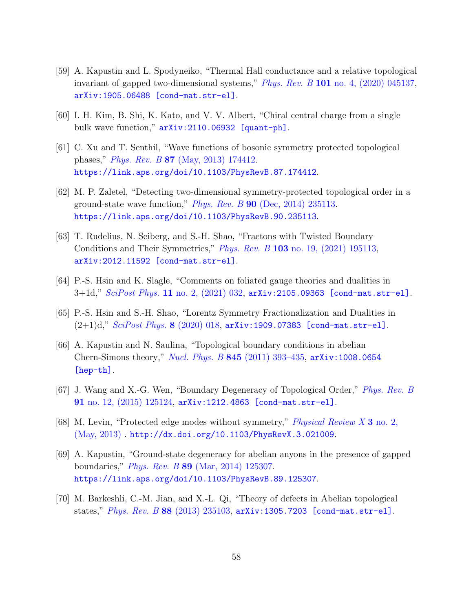- <span id="page-58-3"></span>[59] A. Kapustin and L. Spodyneiko, "Thermal Hall conductance and a relative topological invariant of gapped two-dimensional systems," *Phys. Rev. B* 101 no. 4,  $(2020)$  045137, [arXiv:1905.06488 \[cond-mat.str-el\]](http://arxiv.org/abs/1905.06488).
- <span id="page-58-4"></span>[60] I. H. Kim, B. Shi, K. Kato, and V. V. Albert, "Chiral central charge from a single bulk wave function," [arXiv:2110.06932 \[quant-ph\]](http://arxiv.org/abs/2110.06932).
- <span id="page-58-0"></span>[61] C. Xu and T. Senthil, "Wave functions of bosonic symmetry protected topological phases," Phys. Rev. B 87 [\(May, 2013\) 174412.](http://dx.doi.org/10.1103/PhysRevB.87.174412) <https://link.aps.org/doi/10.1103/PhysRevB.87.174412>.
- <span id="page-58-1"></span>[62] M. P. Zaletel, "Detecting two-dimensional symmetry-protected topological order in a ground-state wave function," *Phys. Rev. B* 90 [\(Dec, 2014\) 235113.](http://dx.doi.org/10.1103/PhysRevB.90.235113) <https://link.aps.org/doi/10.1103/PhysRevB.90.235113>.
- <span id="page-58-5"></span>[63] T. Rudelius, N. Seiberg, and S.-H. Shao, "Fractons with Twisted Boundary Conditions and Their Symmetries," Phys. Rev. B 103 [no. 19, \(2021\) 195113,](http://dx.doi.org/10.1103/PhysRevB.103.195113) [arXiv:2012.11592 \[cond-mat.str-el\]](http://arxiv.org/abs/2012.11592).
- <span id="page-58-6"></span>[64] P.-S. Hsin and K. Slagle, "Comments on foliated gauge theories and dualities in  $3+1d$ ," *SciPost Phys.* 11 no. 2,  $(2021)$  032,  $arXiv:2105.09363$  [cond-mat.str-el].
- <span id="page-58-7"></span>[65] P.-S. Hsin and S.-H. Shao, "Lorentz Symmetry Fractionalization and Dualities in  $(2+1)d$ ," [SciPost Phys.](http://dx.doi.org/10.21468/SciPostPhys.8.2.018) 8 (2020) 018, [arXiv:1909.07383 \[cond-mat.str-el\]](http://arxiv.org/abs/1909.07383).
- <span id="page-58-2"></span>[66] A. Kapustin and N. Saulina, "Topological boundary conditions in abelian Chern-Simons theory," *Nucl. Phys. B* 845 (2011) 393-435, [arXiv:1008.0654](http://arxiv.org/abs/1008.0654) [\[hep-th\]](http://arxiv.org/abs/1008.0654).
- [67] J. Wang and X.-G. Wen, "Boundary Degeneracy of Topological Order," [Phys. Rev. B](http://dx.doi.org/10.1103/PhysRevB.91.125124) 91 [no. 12, \(2015\) 125124,](http://dx.doi.org/10.1103/PhysRevB.91.125124) [arXiv:1212.4863 \[cond-mat.str-el\]](http://arxiv.org/abs/1212.4863).
- [68] M. Levin, "Protected edge modes without symmetry," [Physical Review X](http://dx.doi.org/10.1103/physrevx.3.021009) 3 no. 2, [\(May, 2013\)](http://dx.doi.org/10.1103/physrevx.3.021009) . <http://dx.doi.org/10.1103/PhysRevX.3.021009>.
- [69] A. Kapustin, "Ground-state degeneracy for abelian anyons in the presence of gapped boundaries," Phys. Rev. B 89 [\(Mar, 2014\) 125307.](http://dx.doi.org/10.1103/PhysRevB.89.125307) <https://link.aps.org/doi/10.1103/PhysRevB.89.125307>.
- [70] M. Barkeshli, C.-M. Jian, and X.-L. Qi, "Theory of defects in Abelian topological states," Phys. Rev. B 88 [\(2013\) 235103,](http://dx.doi.org/10.1103/PhysRevB.88.235103)  $arXiv:1305.7203$  [cond-mat.str-el].